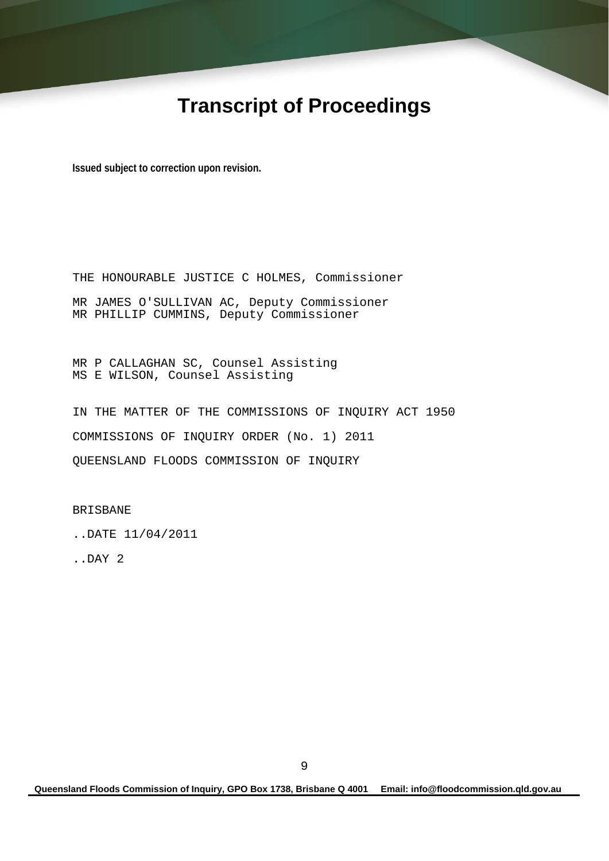# **Transcript of Proceedings**

**Issued subject to correction upon revision.** 

THE HONOURABLE JUSTICE C HOLMES, Commissioner MR JAMES O'SULLIVAN AC, Deputy Commissioner MR PHILLIP CUMMINS, Deputy Commissioner

MR P CALLAGHAN SC, Counsel Assisting MS E WILSON, Counsel Assisting

IN THE MATTER OF THE COMMISSIONS OF INQUIRY ACT 1950 COMMISSIONS OF INQUIRY ORDER (No. 1) 2011 QUEENSLAND FLOODS COMMISSION OF INQUIRY

BRISBANE

..DATE 11/04/2011

..DAY 2

**Queensland Floods Commission of Inquiry, GPO Box 1738, Brisbane Q 4001 Email: info@floodcommission.qld.gov.au**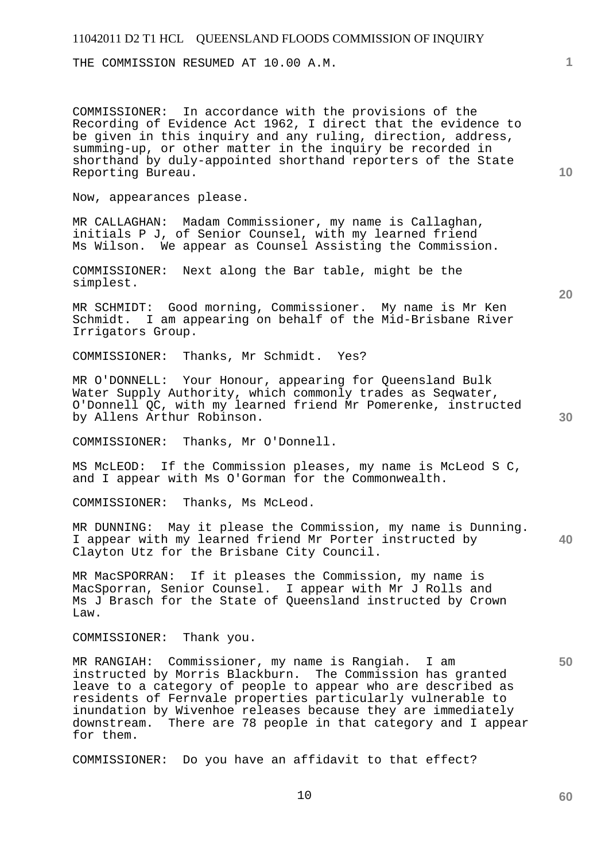THE COMMISSION RESUMED AT 10.00 A.M.

COMMISSIONER: In accordance with the provisions of the Recording of Evidence Act 1962, I direct that the evidence to be given in this inquiry and any ruling, direction, address, summing-up, or other matter in the inquiry be recorded in shorthand by duly-appointed shorthand reporters of the State Reporting Bureau.

Now, appearances please.

MR CALLAGHAN: Madam Commissioner, my name is Callaghan, initials P J, of Senior Counsel, with my learned friend Ms Wilson. We appear as Counsel Assisting the Commission.

COMMISSIONER: Next along the Bar table, might be the simplest.

MR SCHMIDT: Good morning, Commissioner. My name is Mr Ken Schmidt. I am appearing on behalf of the Mid-Brisbane River Irrigators Group.

COMMISSIONER: Thanks, Mr Schmidt. Yes?

MR O'DONNELL: Your Honour, appearing for Queensland Bulk Water Supply Authority, which commonly trades as Seqwater, O'Donnell QC, with my learned friend Mr Pomerenke, instructed by Allens Arthur Robinson.

COMMISSIONER: Thanks, Mr O'Donnell.

MS McLEOD: If the Commission pleases, my name is McLeod S C, and I appear with Ms O'Gorman for the Commonwealth.

COMMISSIONER: Thanks, Ms McLeod.

**40**  MR DUNNING: May it please the Commission, my name is Dunning. I appear with my learned friend Mr Porter instructed by Clayton Utz for the Brisbane City Council.

MR MacSPORRAN: If it pleases the Commission, my name is MacSporran, Senior Counsel. I appear with Mr J Rolls and Ms J Brasch for the State of Queensland instructed by Crown Law.

COMMISSIONER: Thank you.

MR RANGIAH: Commissioner, my name is Rangiah. I am instructed by Morris Blackburn. The Commission has granted leave to a category of people to appear who are described as residents of Fernvale properties particularly vulnerable to inundation by Wivenhoe releases because they are immediately downstream. There are 78 people in that category and I appear for them.

COMMISSIONER: Do you have an affidavit to that effect?

**10** 

**1**

**20**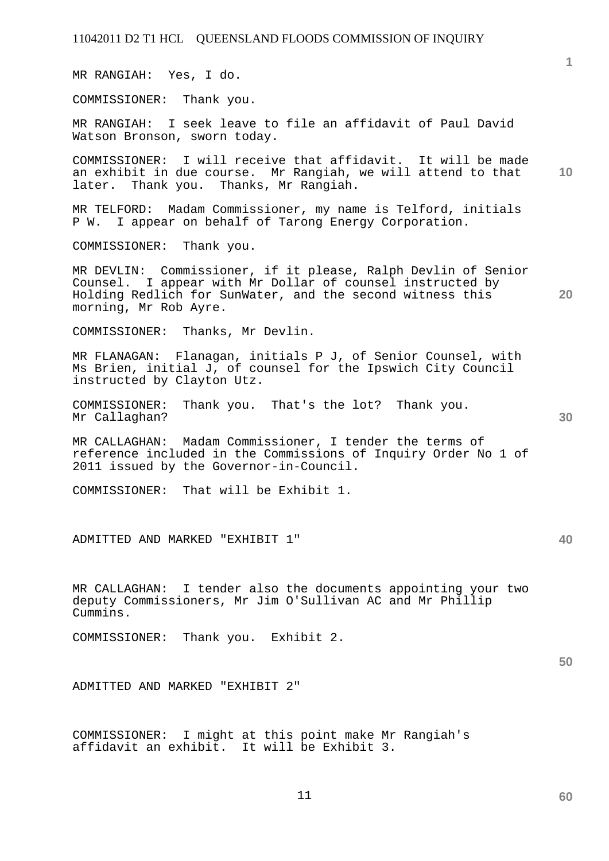11042011 D2 T1 HCL QUEENSLAND FLOODS COMMISSION OF INQUIRY **1 10 20 30 40 50**  MR RANGIAH: Yes, I do. COMMISSIONER: Thank you. MR RANGIAH: I seek leave to file an affidavit of Paul David Watson Bronson, sworn today. COMMISSIONER: I will receive that affidavit. It will be made an exhibit in due course. Mr Rangiah, we will attend to that later. Thank you. Thanks, Mr Rangiah. MR TELFORD: Madam Commissioner, my name is Telford, initials P W. I appear on behalf of Tarong Energy Corporation. COMMISSIONER: Thank you. MR DEVLIN: Commissioner, if it please, Ralph Devlin of Senior Counsel. I appear with Mr Dollar of counsel instructed by Holding Redlich for SunWater, and the second witness this morning, Mr Rob Ayre. COMMISSIONER: Thanks, Mr Devlin. MR FLANAGAN: Flanagan, initials P J, of Senior Counsel, with Ms Brien, initial J, of counsel for the Ipswich City Council instructed by Clayton Utz. COMMISSIONER: Thank you. That's the lot? Thank you. Mr Callaghan? MR CALLAGHAN: Madam Commissioner, I tender the terms of reference included in the Commissions of Inquiry Order No 1 of 2011 issued by the Governor-in-Council. COMMISSIONER: That will be Exhibit 1. ADMITTED AND MARKED "EXHIBIT 1" MR CALLAGHAN: I tender also the documents appointing your two deputy Commissioners, Mr Jim O'Sullivan AC and Mr Phillip Cummins. COMMISSIONER: Thank you. Exhibit 2. ADMITTED AND MARKED "EXHIBIT 2" COMMISSIONER: I might at this point make Mr Rangiah's affidavit an exhibit. It will be Exhibit 3.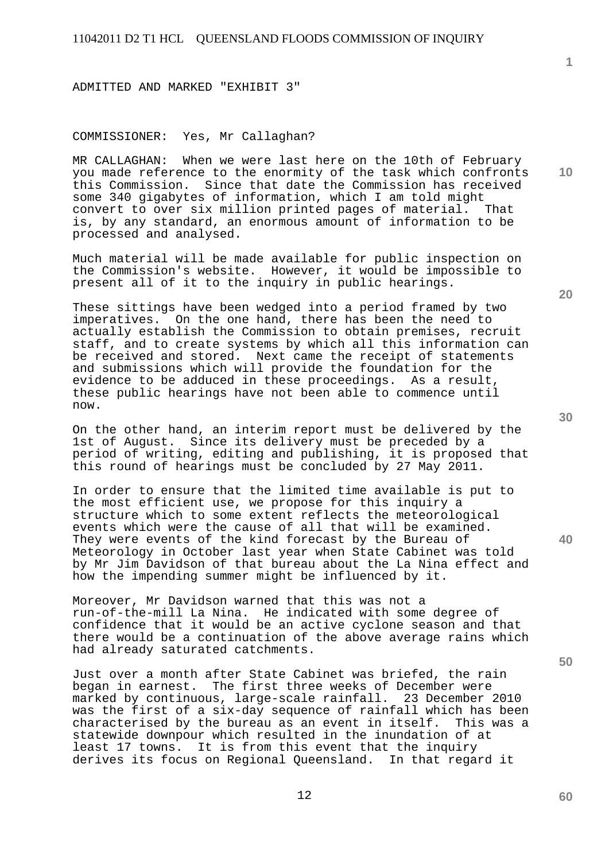ADMITTED AND MARKED "EXHIBIT 3"

# COMMISSIONER: Yes, Mr Callaghan?

MR CALLAGHAN: When we were last here on the 10th of February you made reference to the enormity of the task which confronts this Commission. Since that date the Commission has received some 340 gigabytes of information, which I am told might convert to over six million printed pages of material. That is, by any standard, an enormous amount of information to be processed and analysed.

Much material will be made available for public inspection on the Commission's website. However, it would be impossible to present all of it to the inquiry in public hearings.

These sittings have been wedged into a period framed by two imperatives. On the one hand, there has been the need to actually establish the Commission to obtain premises, recruit staff, and to create systems by which all this information can be received and stored. Next came the receipt of statements and submissions which will provide the foundation for the evidence to be adduced in these proceedings. As a result, these public hearings have not been able to commence until now.

On the other hand, an interim report must be delivered by the 1st of August. Since its delivery must be preceded by a period of writing, editing and publishing, it is proposed that this round of hearings must be concluded by 27 May 2011.

In order to ensure that the limited time available is put to the most efficient use, we propose for this inquiry a structure which to some extent reflects the meteorological events which were the cause of all that will be examined. They were events of the kind forecast by the Bureau of Meteorology in October last year when State Cabinet was told by Mr Jim Davidson of that bureau about the La Nina effect and how the impending summer might be influenced by it.

Moreover, Mr Davidson warned that this was not a run-of-the-mill La Nina. He indicated with some degree of confidence that it would be an active cyclone season and that there would be a continuation of the above average rains which had already saturated catchments.

Just over a month after State Cabinet was briefed, the rain began in earnest. The first three weeks of December were marked by continuous, large-scale rainfall. 23 December 2010 was the first of a six-day sequence of rainfall which has been characterised by the bureau as an event in itself. This was a statewide downpour which resulted in the inundation of at least 17 towns. It is from this event that the inquiry derives its focus on Regional Queensland. In that regard it

**20** 

**1**

**10** 

**40** 

**50**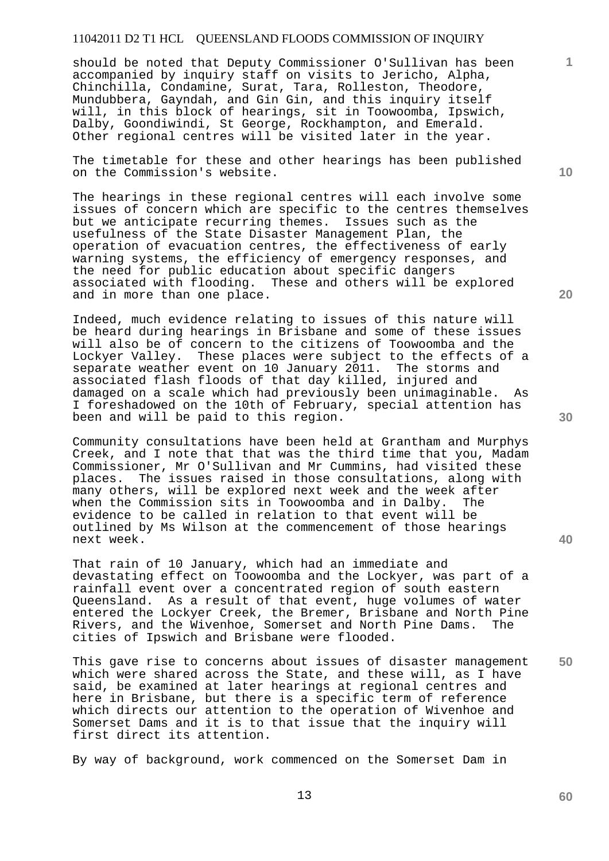should be noted that Deputy Commissioner O'Sullivan has been accompanied by inquiry staff on visits to Jericho, Alpha, Chinchilla, Condamine, Surat, Tara, Rolleston, Theodore, Mundubbera, Gayndah, and Gin Gin, and this inquiry itself will, in this block of hearings, sit in Toowoomba, Ipswich, Dalby, Goondiwindi, St George, Rockhampton, and Emerald. Other regional centres will be visited later in the year.

The timetable for these and other hearings has been published on the Commission's website.

The hearings in these regional centres will each involve some issues of concern which are specific to the centres themselves but we anticipate recurring themes. Issues such as the usefulness of the State Disaster Management Plan, the operation of evacuation centres, the effectiveness of early warning systems, the efficiency of emergency responses, and the need for public education about specific dangers associated with flooding. These and others will be explored and in more than one place.

Indeed, much evidence relating to issues of this nature will be heard during hearings in Brisbane and some of these issues will also be of concern to the citizens of Toowoomba and the Lockyer Valley. These places were subject to the effects of a separate weather event on 10 January 2011. The storms and associated flash floods of that day killed, injured and damaged on a scale which had previously been unimaginable. As I foreshadowed on the 10th of February, special attention has been and will be paid to this region.

Community consultations have been held at Grantham and Murphys Creek, and I note that that was the third time that you, Madam Commissioner, Mr O'Sullivan and Mr Cummins, had visited these places. The issues raised in those consultations, along with many others, will be explored next week and the week after when the Commission sits in Toowoomba and in Dalby. The evidence to be called in relation to that event will be outlined by Ms Wilson at the commencement of those hearings next week.

That rain of 10 January, which had an immediate and devastating effect on Toowoomba and the Lockyer, was part of a rainfall event over a concentrated region of south eastern Queensland. As a result of that event, huge volumes of water entered the Lockyer Creek, the Bremer, Brisbane and North Pine Rivers, and the Wivenhoe, Somerset and North Pine Dams. The cities of Ipswich and Brisbane were flooded.

**50**  This gave rise to concerns about issues of disaster management which were shared across the State, and these will, as I have said, be examined at later hearings at regional centres and here in Brisbane, but there is a specific term of reference which directs our attention to the operation of Wivenhoe and Somerset Dams and it is to that issue that the inquiry will first direct its attention.

By way of background, work commenced on the Somerset Dam in

**10** 

**1**

**20**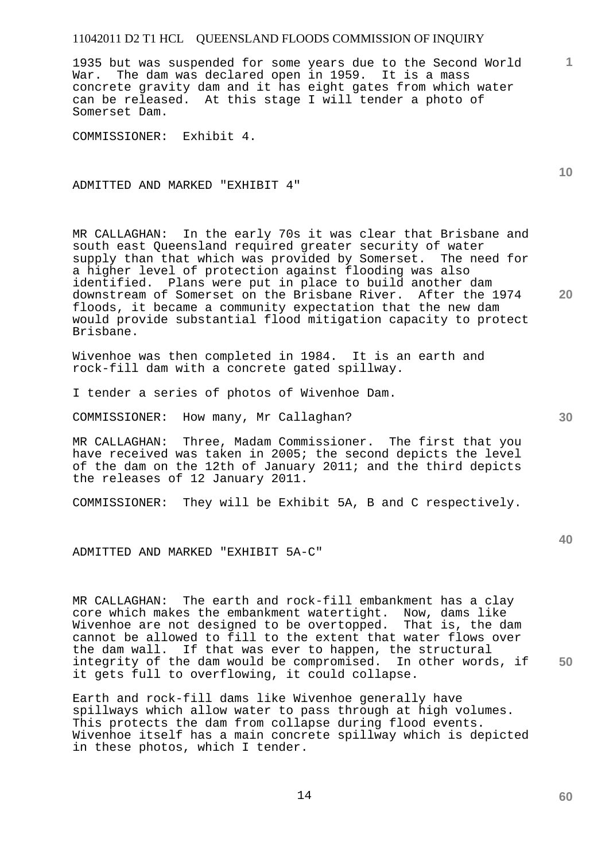1935 but was suspended for some years due to the Second World War. The dam was declared open in 1959. It is a mass concrete gravity dam and it has eight gates from which water can be released. At this stage I will tender a photo of Somerset Dam.

COMMISSIONER: Exhibit 4.

ADMITTED AND MARKED "EXHIBIT 4"

MR CALLAGHAN: In the early 70s it was clear that Brisbane and south east Queensland required greater security of water supply than that which was provided by Somerset. The need for a higher level of protection against flooding was also identified. Plans were put in place to build another dam downstream of Somerset on the Brisbane River. After the 1974 floods, it became a community expectation that the new dam would provide substantial flood mitigation capacity to protect Brisbane.

Wivenhoe was then completed in 1984. It is an earth and rock-fill dam with a concrete gated spillway.

I tender a series of photos of Wivenhoe Dam.

COMMISSIONER: How many, Mr Callaghan?

MR CALLAGHAN: Three, Madam Commissioner. The first that you have received was taken in 2005; the second depicts the level of the dam on the 12th of January 2011; and the third depicts the releases of 12 January 2011.

COMMISSIONER: They will be Exhibit 5A, B and C respectively.

ADMITTED AND MARKED "EXHIBIT 5A-C"

MR CALLAGHAN: The earth and rock-fill embankment has a clay core which makes the embankment watertight. Now, dams like Wivenhoe are not designed to be overtopped. That is, the dam cannot be allowed to fill to the extent that water flows over the dam wall. If that was ever to happen, the structural integrity of the dam would be compromised. In other words, if it gets full to overflowing, it could collapse.

Earth and rock-fill dams like Wivenhoe generally have spillways which allow water to pass through at high volumes. This protects the dam from collapse during flood events. Wivenhoe itself has a main concrete spillway which is depicted in these photos, which I tender.

**10** 

**1**

**30** 

**20**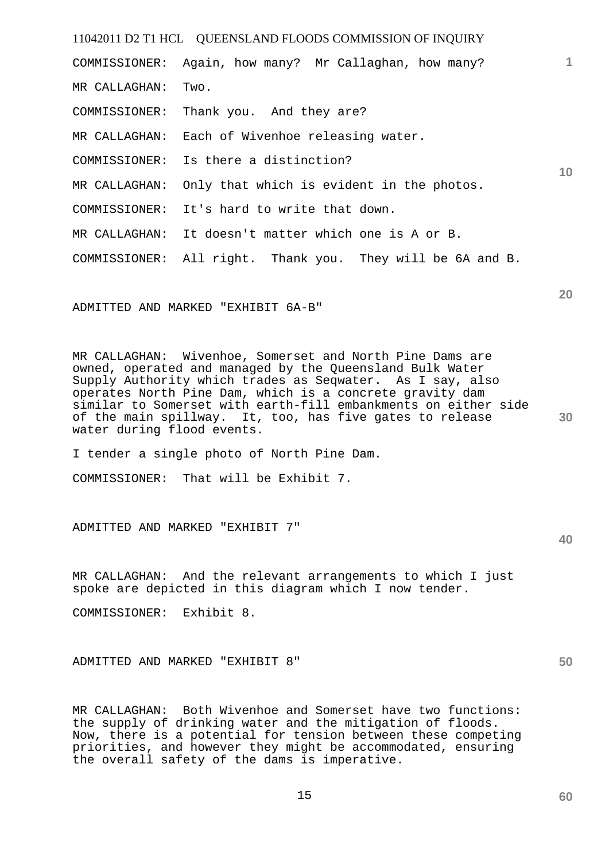11042011 D2 T1 HCL QUEENSLAND FLOODS COMMISSION OF INQUIRY **1 10**  COMMISSIONER: Again, how many? Mr Callaghan, how many? MR CALLAGHAN: Two. COMMISSIONER: Thank you. And they are? MR CALLAGHAN: Each of Wivenhoe releasing water. COMMISSIONER: Is there a distinction? MR CALLAGHAN: Only that which is evident in the photos. COMMISSIONER: It's hard to write that down. MR CALLAGHAN: It doesn't matter which one is A or B. COMMISSIONER: All right. Thank you. They will be 6A and B.

ADMITTED AND MARKED "EXHIBIT 6A-B"

**30**  MR CALLAGHAN: Wivenhoe, Somerset and North Pine Dams are owned, operated and managed by the Queensland Bulk Water Supply Authority which trades as Seqwater. As I say, also operates North Pine Dam, which is a concrete gravity dam similar to Somerset with earth-fill embankments on either side of the main spillway. It, too, has five gates to release water during flood events.

I tender a single photo of North Pine Dam.

COMMISSIONER: That will be Exhibit 7.

ADMITTED AND MARKED "EXHIBIT 7"

MR CALLAGHAN: And the relevant arrangements to which I just spoke are depicted in this diagram which I now tender.

COMMISSIONER: Exhibit 8.

ADMITTED AND MARKED "EXHIBIT 8"

MR CALLAGHAN: Both Wivenhoe and Somerset have two functions: the supply of drinking water and the mitigation of floods. Now, there is a potential for tension between these competing priorities, and however they might be accommodated, ensuring the overall safety of the dams is imperative.

**50** 

# **20**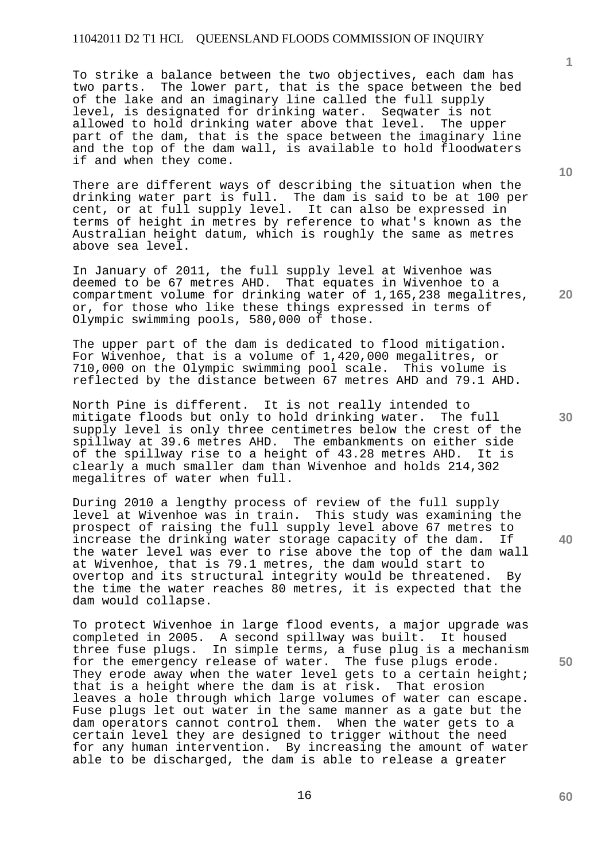To strike a balance between the two objectives, each dam has two parts. The lower part, that is the space between the bed of the lake and an imaginary line called the full supply level, is designated for drinking water. Seqwater is not allowed to hold drinking water above that level. The upper part of the dam, that is the space between the imaginary line and the top of the dam wall, is available to hold floodwaters if and when they come.

There are different ways of describing the situation when the drinking water part is full. The dam is said to be at 100 per cent, or at full supply level. It can also be expressed in terms of height in metres by reference to what's known as the Australian height datum, which is roughly the same as metres above sea level.

In January of 2011, the full supply level at Wivenhoe was deemed to be 67 metres AHD. That equates in Wivenhoe to a compartment volume for drinking water of 1,165,238 megalitres, or, for those who like these things expressed in terms of Olympic swimming pools, 580,000 of those.

The upper part of the dam is dedicated to flood mitigation. For Wivenhoe, that is a volume of 1,420,000 megalitres, or 710,000 on the Olympic swimming pool scale. This volume is reflected by the distance between 67 metres AHD and 79.1 AHD.

North Pine is different. It is not really intended to mitigate floods but only to hold drinking water. The full supply level is only three centimetres below the crest of the spillway at 39.6 metres AHD. The embankments on either side<br>of the spillway rise to a height of 43.28 metres AHD. It is of the spillway rise to a height of 43.28 metres AHD. clearly a much smaller dam than Wivenhoe and holds 214,302 megalitres of water when full.

During 2010 a lengthy process of review of the full supply level at Wivenhoe was in train. This study was examining the prospect of raising the full supply level above 67 metres to<br>increase the drinking water storage capacity of the dam. If increase the drinking water storage capacity of the dam. the water level was ever to rise above the top of the dam wall at Wivenhoe, that is 79.1 metres, the dam would start to overtop and its structural integrity would be threatened. By the time the water reaches 80 metres, it is expected that the dam would collapse.

To protect Wivenhoe in large flood events, a major upgrade was completed in 2005. A second spillway was built. It housed three fuse plugs. In simple terms, a fuse plug is a mechanism for the emergency release of water. The fuse plugs erode. They erode away when the water level gets to a certain height; that is a height where the dam is at risk. That erosion leaves a hole through which large volumes of water can escape. Fuse plugs let out water in the same manner as a gate but the dam operators cannot control them. When the water gets to a certain level they are designed to trigger without the need for any human intervention. By increasing the amount of water able to be discharged, the dam is able to release a greater

**10** 

**1**

**20** 

**30** 

**40**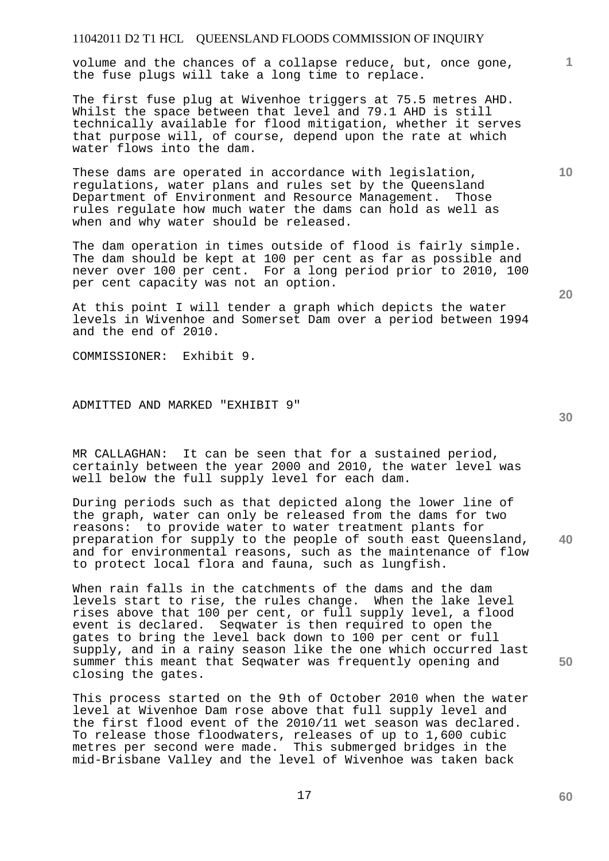volume and the chances of a collapse reduce, but, once gone, the fuse plugs will take a long time to replace.

The first fuse plug at Wivenhoe triggers at 75.5 metres AHD. Whilst the space between that level and 79.1 AHD is still technically available for flood mitigation, whether it serves that purpose will, of course, depend upon the rate at which water flows into the dam.

These dams are operated in accordance with legislation, regulations, water plans and rules set by the Queensland Department of Environment and Resource Management. Those rules regulate how much water the dams can hold as well as when and why water should be released.

The dam operation in times outside of flood is fairly simple. The dam should be kept at 100 per cent as far as possible and never over 100 per cent. For a long period prior to 2010, 100 per cent capacity was not an option.

At this point I will tender a graph which depicts the water levels in Wivenhoe and Somerset Dam over a period between 1994 and the end of 2010.

COMMISSIONER: Exhibit 9.

ADMITTED AND MARKED "EXHIBIT 9"

MR CALLAGHAN: It can be seen that for a sustained period, certainly between the year 2000 and 2010, the water level was well below the full supply level for each dam.

**40**  During periods such as that depicted along the lower line of the graph, water can only be released from the dams for two reasons: to provide water to water treatment plants for preparation for supply to the people of south east Queensland, and for environmental reasons, such as the maintenance of flow to protect local flora and fauna, such as lungfish.

When rain falls in the catchments of the dams and the dam levels start to rise, the rules change. When the lake level rises above that 100 per cent, or full supply level, a flood event is declared. Seqwater is then required to open the gates to bring the level back down to 100 per cent or full supply, and in a rainy season like the one which occurred last summer this meant that Seqwater was frequently opening and closing the gates.

This process started on the 9th of October 2010 when the water level at Wivenhoe Dam rose above that full supply level and the first flood event of the 2010/11 wet season was declared. To release those floodwaters, releases of up to 1,600 cubic metres per second were made. This submerged bridges in the mid-Brisbane Valley and the level of Wivenhoe was taken back

**30** 

**60** 

**50** 

**10**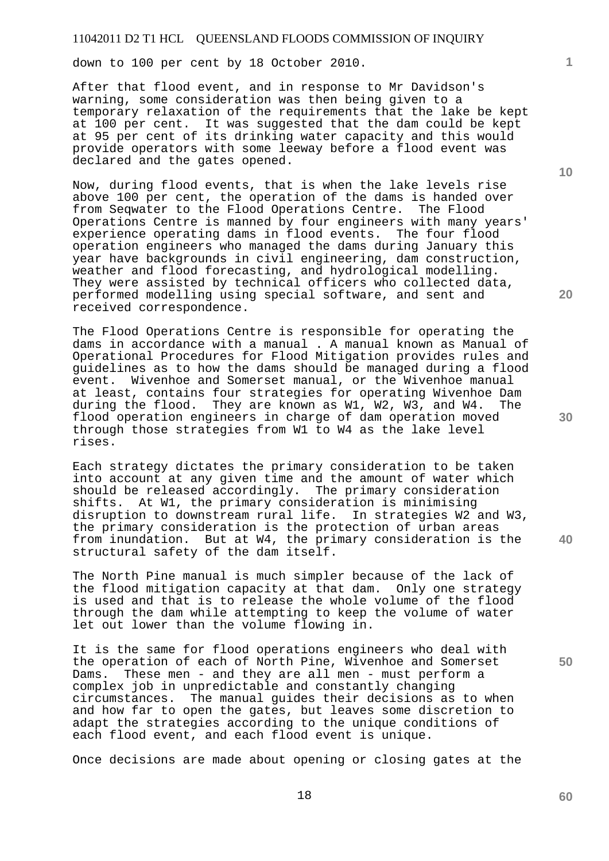down to 100 per cent by 18 October 2010.

After that flood event, and in response to Mr Davidson's warning, some consideration was then being given to a temporary relaxation of the requirements that the lake be kept at 100 per cent. It was suggested that the dam could be kept at 95 per cent of its drinking water capacity and this would provide operators with some leeway before a flood event was declared and the gates opened.

Now, during flood events, that is when the lake levels rise above 100 per cent, the operation of the dams is handed over from Seqwater to the Flood Operations Centre. The Flood Operations Centre is manned by four engineers with many years' experience operating dams in flood events. The four flood operation engineers who managed the dams during January this year have backgrounds in civil engineering, dam construction, weather and flood forecasting, and hydrological modelling. They were assisted by technical officers who collected data, performed modelling using special software, and sent and received correspondence.

The Flood Operations Centre is responsible for operating the dams in accordance with a manual . A manual known as Manual of Operational Procedures for Flood Mitigation provides rules and guidelines as to how the dams should be managed during a flood event. Wivenhoe and Somerset manual, or the Wivenhoe manual at least, contains four strategies for operating Wivenhoe Dam during the flood. They are known as W1, W2, W3, and W4. The flood operation engineers in charge of dam operation moved through those strategies from W1 to W4 as the lake level rises.

Each strategy dictates the primary consideration to be taken into account at any given time and the amount of water which should be released accordingly. The primary consideration shifts. At W1, the primary consideration is minimising disruption to downstream rural life. In strategies W2 and W3, the primary consideration is the protection of urban areas from inundation. But at W4, the primary consideration is the structural safety of the dam itself.

The North Pine manual is much simpler because of the lack of the flood mitigation capacity at that dam. Only one strategy is used and that is to release the whole volume of the flood through the dam while attempting to keep the volume of water let out lower than the volume flowing in.

It is the same for flood operations engineers who deal with the operation of each of North Pine, Wivenhoe and Somerset Dams. These men - and they are all men - must perform a complex job in unpredictable and constantly changing<br>circumstances. The manual guides their decisions as The manual guides their decisions as to when and how far to open the gates, but leaves some discretion to adapt the strategies according to the unique conditions of each flood event, and each flood event is unique.

Once decisions are made about opening or closing gates at the

18

**10** 

**1**

**20** 

**30** 

**40**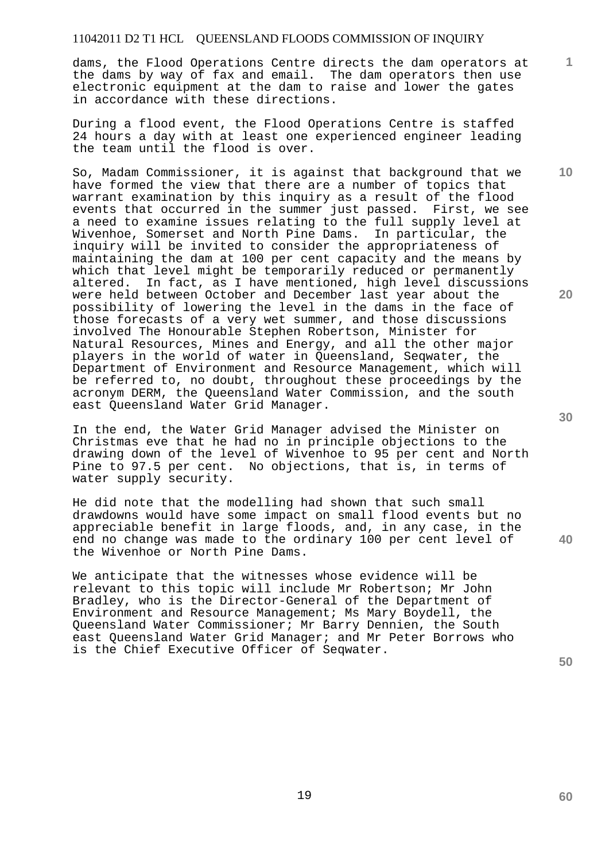dams, the Flood Operations Centre directs the dam operators at the dams by way of fax and email. The dam operators then use electronic equipment at the dam to raise and lower the gates in accordance with these directions.

During a flood event, the Flood Operations Centre is staffed 24 hours a day with at least one experienced engineer leading the team until the flood is over.

So, Madam Commissioner, it is against that background that we have formed the view that there are a number of topics that warrant examination by this inquiry as a result of the flood events that occurred in the summer just passed. First, we see a need to examine issues relating to the full supply level at Wivenhoe, Somerset and North Pine Dams. In particular, the inquiry will be invited to consider the appropriateness of maintaining the dam at 100 per cent capacity and the means by which that level might be temporarily reduced or permanently altered. In fact, as I have mentioned, high level discussions were held between October and December last year about the possibility of lowering the level in the dams in the face of those forecasts of a very wet summer, and those discussions involved The Honourable Stephen Robertson, Minister for Natural Resources, Mines and Energy, and all the other major players in the world of water in Queensland, Seqwater, the Department of Environment and Resource Management, which will be referred to, no doubt, throughout these proceedings by the acronym DERM, the Queensland Water Commission, and the south east Queensland Water Grid Manager.

In the end, the Water Grid Manager advised the Minister on Christmas eve that he had no in principle objections to the drawing down of the level of Wivenhoe to 95 per cent and North Pine to 97.5 per cent. No objections, that is, in terms of water supply security.

He did note that the modelling had shown that such small drawdowns would have some impact on small flood events but no appreciable benefit in large floods, and, in any case, in the end no change was made to the ordinary 100 per cent level of the Wivenhoe or North Pine Dams.

We anticipate that the witnesses whose evidence will be relevant to this topic will include Mr Robertson; Mr John Bradley, who is the Director-General of the Department of Environment and Resource Management; Ms Mary Boydell, the Queensland Water Commissioner; Mr Barry Dennien, the South east Queensland Water Grid Manager; and Mr Peter Borrows who is the Chief Executive Officer of Seqwater.

**20** 

**40** 

**50** 

**60** 

**10**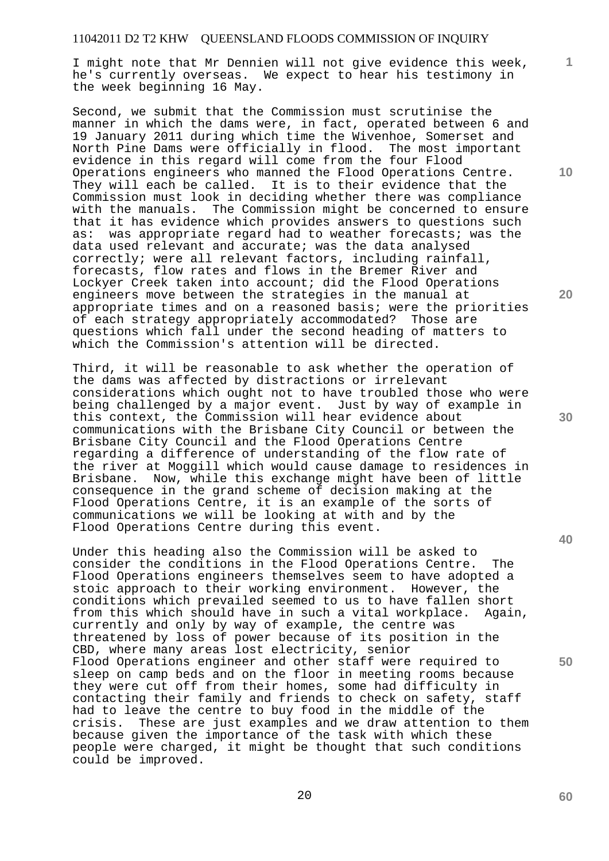I might note that Mr Dennien will not give evidence this week, he's currently overseas. We expect to hear his testimony in the week beginning 16 May.

Second, we submit that the Commission must scrutinise the manner in which the dams were, in fact, operated between 6 and 19 January 2011 during which time the Wivenhoe, Somerset and North Pine Dams were officially in flood. The most important evidence in this regard will come from the four Flood Operations engineers who manned the Flood Operations Centre. They will each be called. It is to their evidence that the Commission must look in deciding whether there was compliance<br>with the manuals. The Commission might be concerned to ensure The Commission might be concerned to ensure that it has evidence which provides answers to questions such as: was appropriate regard had to weather forecasts; was the data used relevant and accurate; was the data analysed correctly; were all relevant factors, including rainfall, forecasts, flow rates and flows in the Bremer River and Lockyer Creek taken into account; did the Flood Operations engineers move between the strategies in the manual at appropriate times and on a reasoned basis; were the priorities of each strategy appropriately accommodated? Those are questions which fall under the second heading of matters to which the Commission's attention will be directed.

Third, it will be reasonable to ask whether the operation of the dams was affected by distractions or irrelevant considerations which ought not to have troubled those who were being challenged by a major event. Just by way of example in this context, the Commission will hear evidence about communications with the Brisbane City Council or between the Brisbane City Council and the Flood Operations Centre regarding a difference of understanding of the flow rate of the river at Moggill which would cause damage to residences in Brisbane. Now, while this exchange might have been of little consequence in the grand scheme of decision making at the Flood Operations Centre, it is an example of the sorts of communications we will be looking at with and by the Flood Operations Centre during this event.

Under this heading also the Commission will be asked to consider the conditions in the Flood Operations Centre. The Flood Operations engineers themselves seem to have adopted a stoic approach to their working environment. However, the conditions which prevailed seemed to us to have fallen short from this which should have in such a vital workplace. Again, currently and only by way of example, the centre was threatened by loss of power because of its position in the CBD, where many areas lost electricity, senior Flood Operations engineer and other staff were required to sleep on camp beds and on the floor in meeting rooms because they were cut off from their homes, some had difficulty in contacting their family and friends to check on safety, staff had to leave the centre to buy food in the middle of the crisis. These are just examples and we draw attention to them because given the importance of the task with which these people were charged, it might be thought that such conditions could be improved.

**10** 

**1**

**20** 

**50**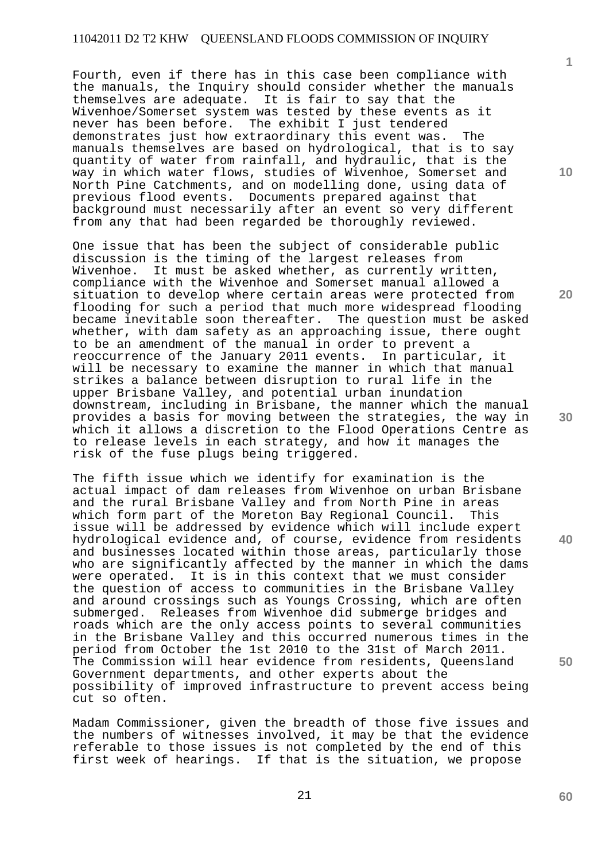Fourth, even if there has in this case been compliance with the manuals, the Inquiry should consider whether the manuals themselves are adequate. It is fair to say that the Wivenhoe/Somerset system was tested by these events as it never has been before. The exhibit I just tendered demonstrates just how extraordinary this event was. The manuals themselves are based on hydrological, that is to say quantity of water from rainfall, and hydraulic, that is the way in which water flows, studies of Wivenhoe, Somerset and North Pine Catchments, and on modelling done, using data of previous flood events. Documents prepared against that background must necessarily after an event so very different from any that had been regarded be thoroughly reviewed.

One issue that has been the subject of considerable public discussion is the timing of the largest releases from Wivenhoe. It must be asked whether, as currently written, compliance with the Wivenhoe and Somerset manual allowed a situation to develop where certain areas were protected from flooding for such a period that much more widespread flooding became inevitable soon thereafter. The question must be asked whether, with dam safety as an approaching issue, there ought to be an amendment of the manual in order to prevent a reoccurrence of the January 2011 events. In particular, it will be necessary to examine the manner in which that manual strikes a balance between disruption to rural life in the upper Brisbane Valley, and potential urban inundation downstream, including in Brisbane, the manner which the manual provides a basis for moving between the strategies, the way in which it allows a discretion to the Flood Operations Centre as to release levels in each strategy, and how it manages the risk of the fuse plugs being triggered.

The fifth issue which we identify for examination is the actual impact of dam releases from Wivenhoe on urban Brisbane and the rural Brisbane Valley and from North Pine in areas which form part of the Moreton Bay Regional Council. This issue will be addressed by evidence which will include expert hydrological evidence and, of course, evidence from residents and businesses located within those areas, particularly those who are significantly affected by the manner in which the dams were operated. It is in this context that we must consider the question of access to communities in the Brisbane Valley and around crossings such as Youngs Crossing, which are often submerged. Releases from Wivenhoe did submerge bridges and roads which are the only access points to several communities in the Brisbane Valley and this occurred numerous times in the period from October the 1st 2010 to the 31st of March 2011. The Commission will hear evidence from residents, Queensland Government departments, and other experts about the possibility of improved infrastructure to prevent access being cut so often.

Madam Commissioner, given the breadth of those five issues and the numbers of witnesses involved, it may be that the evidence referable to those issues is not completed by the end of this first week of hearings. If that is the situation, we propose

**10** 

**1**

**20** 

**30** 

**50**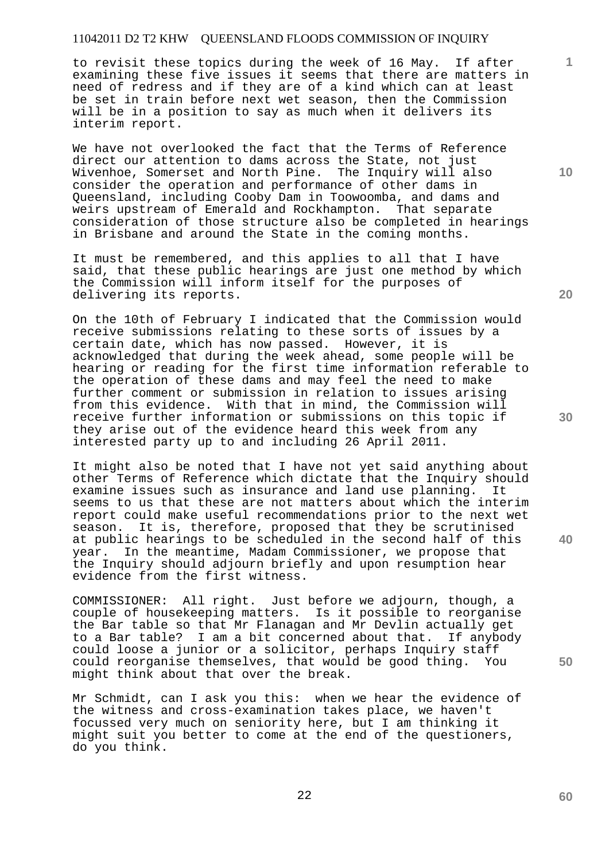to revisit these topics during the week of 16 May. If after examining these five issues it seems that there are matters in need of redress and if they are of a kind which can at least be set in train before next wet season, then the Commission will be in a position to say as much when it delivers its interim report.

We have not overlooked the fact that the Terms of Reference direct our attention to dams across the State, not just Wivenhoe, Somerset and North Pine. The Inquiry will also consider the operation and performance of other dams in Queensland, including Cooby Dam in Toowoomba, and dams and weirs upstream of Emerald and Rockhampton. That separate consideration of those structure also be completed in hearings in Brisbane and around the State in the coming months.

It must be remembered, and this applies to all that I have said, that these public hearings are just one method by which the Commission will inform itself for the purposes of delivering its reports.

On the 10th of February I indicated that the Commission would receive submissions relating to these sorts of issues by a certain date, which has now passed. However, it is acknowledged that during the week ahead, some people will be hearing or reading for the first time information referable to the operation of these dams and may feel the need to make further comment or submission in relation to issues arising from this evidence. With that in mind, the Commission will receive further information or submissions on this topic if they arise out of the evidence heard this week from any interested party up to and including 26 April 2011.

It might also be noted that I have not yet said anything about other Terms of Reference which dictate that the Inquiry should examine issues such as insurance and land use planning. It seems to us that these are not matters about which the interim report could make useful recommendations prior to the next wet season. It is, therefore, proposed that they be scrutinised at public hearings to be scheduled in the second half of this year. In the meantime, Madam Commissioner, we propose that the Inquiry should adjourn briefly and upon resumption hear evidence from the first witness.

COMMISSIONER: All right. Just before we adjourn, though, a couple of housekeeping matters. Is it possible to reorganise the Bar table so that Mr Flanagan and Mr Devlin actually get to a Bar table? I am a bit concerned about that. If anybody could loose a junior or a solicitor, perhaps Inquiry staff could reorganise themselves, that would be good thing. You might think about that over the break.

Mr Schmidt, can I ask you this: when we hear the evidence of the witness and cross-examination takes place, we haven't focussed very much on seniority here, but I am thinking it might suit you better to come at the end of the questioners, do you think.

**20** 

**30** 

**40** 

**50** 

**60** 

**1**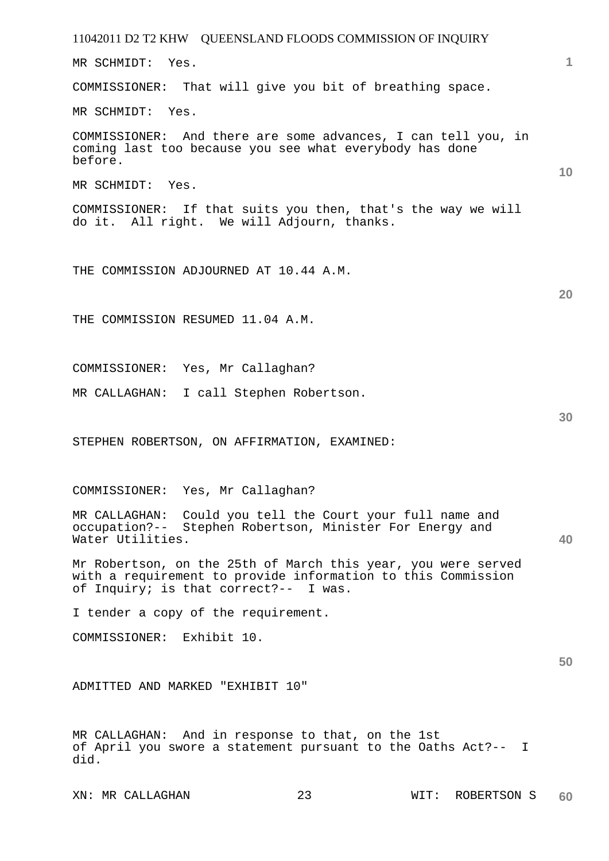11042011 D2 T2 KHW QUEENSLAND FLOODS COMMISSION OF INQUIRY XN: MR CALLAGHAN 23 WIT: ROBERTSON S **1 10 20 30 40 50 60**  MR SCHMIDT: Yes. COMMISSIONER: That will give you bit of breathing space. MR SCHMIDT: Yes. COMMISSIONER: And there are some advances, I can tell you, in coming last too because you see what everybody has done before. MR SCHMIDT: Yes. COMMISSIONER: If that suits you then, that's the way we will do it. All right. We will Adjourn, thanks. THE COMMISSION ADJOURNED AT 10.44 A.M. THE COMMISSION RESUMED 11.04 A.M. COMMISSIONER: Yes, Mr Callaghan? MR CALLAGHAN: I call Stephen Robertson. STEPHEN ROBERTSON, ON AFFIRMATION, EXAMINED: COMMISSIONER: Yes, Mr Callaghan? MR CALLAGHAN: Could you tell the Court your full name and occupation?-- Stephen Robertson, Minister For Energy and Water Utilities. Mr Robertson, on the 25th of March this year, you were served with a requirement to provide information to this Commission of Inquiry; is that correct?-- I was. I tender a copy of the requirement. COMMISSIONER: Exhibit 10. ADMITTED AND MARKED "EXHIBIT 10" MR CALLAGHAN: And in response to that, on the 1st of April you swore a statement pursuant to the Oaths Act?-- I did.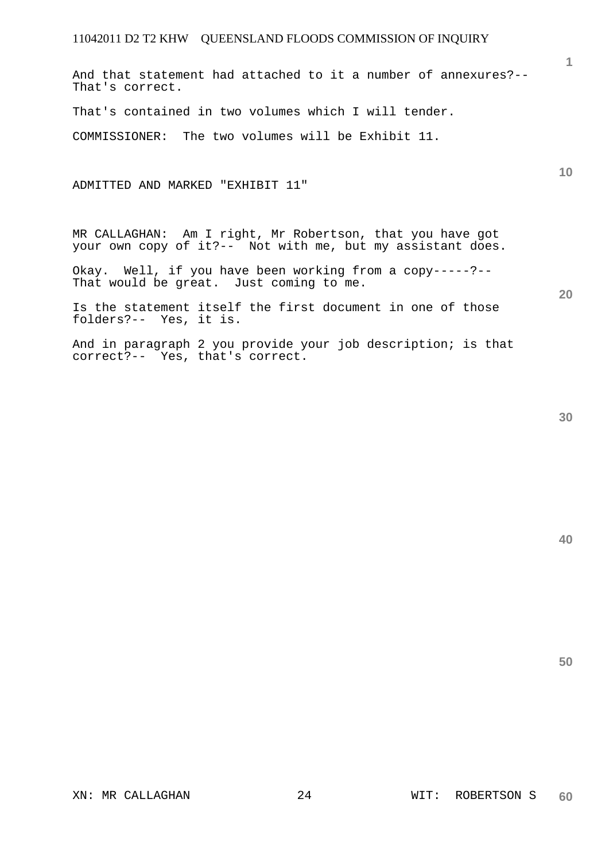And that statement had attached to it a number of annexures?-- That's correct.

That's contained in two volumes which I will tender.

COMMISSIONER: The two volumes will be Exhibit 11.

ADMITTED AND MARKED "EXHIBIT 11"

MR CALLAGHAN: Am I right, Mr Robertson, that you have got your own copy of it?-- Not with me, but my assistant does.

Okay. Well, if you have been working from a copy-----?-- That would be great. Just coming to me.

Is the statement itself the first document in one of those folders?-- Yes, it is.

And in paragraph 2 you provide your job description; is that correct?-- Yes, that's correct.

**20** 

**10** 

**1**

**40**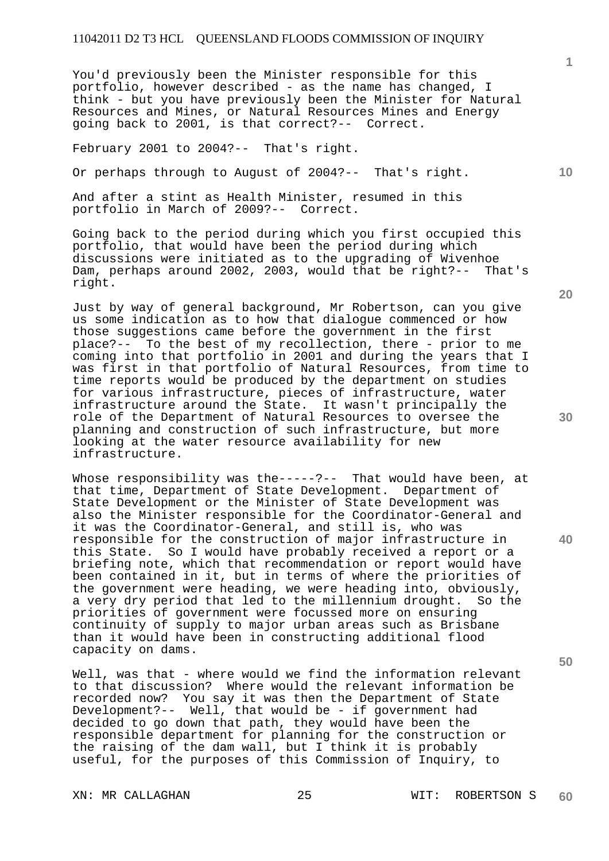You'd previously been the Minister responsible for this portfolio, however described - as the name has changed, I think - but you have previously been the Minister for Natural Resources and Mines, or Natural Resources Mines and Energy going back to 2001, is that correct?-- Correct.

February 2001 to 2004?-- That's right.

Or perhaps through to August of 2004?-- That's right.

And after a stint as Health Minister, resumed in this portfolio in March of 2009?-- Correct.

Going back to the period during which you first occupied this portfolio, that would have been the period during which discussions were initiated as to the upgrading of Wivenhoe Dam, perhaps around 2002, 2003, would that be right?-- That's right.

Just by way of general background, Mr Robertson, can you give us some indication as to how that dialogue commenced or how those suggestions came before the government in the first place?-- To the best of my recollection, there - prior to me coming into that portfolio in 2001 and during the years that I was first in that portfolio of Natural Resources, from time to time reports would be produced by the department on studies for various infrastructure, pieces of infrastructure, water infrastructure around the State. It wasn't principally the role of the Department of Natural Resources to oversee the planning and construction of such infrastructure, but more looking at the water resource availability for new infrastructure.

Whose responsibility was the-----?-- That would have been, at that time, Department of State Development. Department of State Development or the Minister of State Development was also the Minister responsible for the Coordinator-General and it was the Coordinator-General, and still is, who was responsible for the construction of major infrastructure in this State. So I would have probably received a report or a briefing note, which that recommendation or report would have been contained in it, but in terms of where the priorities of the government were heading, we were heading into, obviously, a very dry period that led to the millennium drought. So the priorities of government were focussed more on ensuring continuity of supply to major urban areas such as Brisbane than it would have been in constructing additional flood capacity on dams.

Well, was that - where would we find the information relevant to that discussion? Where would the relevant information be recorded now? You say it was then the Department of State Development?-- Well, that would be - if government had decided to go down that path, they would have been the responsible department for planning for the construction or the raising of the dam wall, but I think it is probably useful, for the purposes of this Commission of Inquiry, to

XN: MR CALLAGHAN 25 2000 WIT: ROBERTSON S **60** 

**20** 

**1**

**10** 

**30**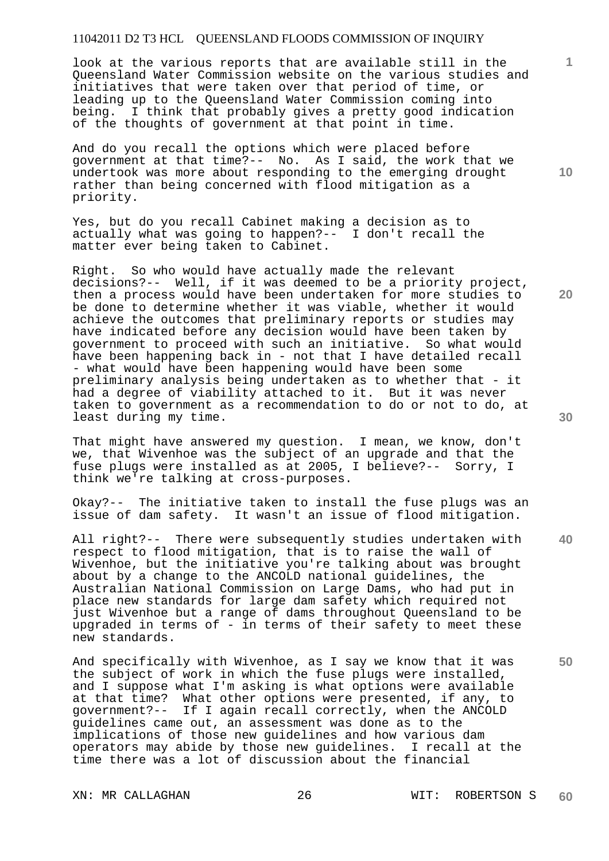look at the various reports that are available still in the Queensland Water Commission website on the various studies and initiatives that were taken over that period of time, or leading up to the Queensland Water Commission coming into being. I think that probably gives a pretty good indication of the thoughts of government at that point in time.

And do you recall the options which were placed before government at that time?-- No. As I said, the work that we undertook was more about responding to the emerging drought rather than being concerned with flood mitigation as a priority.

Yes, but do you recall Cabinet making a decision as to actually what was going to happen?-- I don't recall the matter ever being taken to Cabinet.

Right. So who would have actually made the relevant decisions?-- Well, if it was deemed to be a priority project, then a process would have been undertaken for more studies to be done to determine whether it was viable, whether it would achieve the outcomes that preliminary reports or studies may have indicated before any decision would have been taken by government to proceed with such an initiative. So what would have been happening back in - not that I have detailed recall - what would have been happening would have been some preliminary analysis being undertaken as to whether that - it had a degree of viability attached to it. But it was never taken to government as a recommendation to do or not to do, at least during my time.

That might have answered my question. I mean, we know, don't we, that Wivenhoe was the subject of an upgrade and that the fuse plugs were installed as at 2005, I believe?-- Sorry, I think we're talking at cross-purposes.

Okay?-- The initiative taken to install the fuse plugs was an issue of dam safety. It wasn't an issue of flood mitigation.

All right?-- There were subsequently studies undertaken with respect to flood mitigation, that is to raise the wall of Wivenhoe, but the initiative you're talking about was brought about by a change to the ANCOLD national guidelines, the Australian National Commission on Large Dams, who had put in place new standards for large dam safety which required not just Wivenhoe but a range of dams throughout Queensland to be upgraded in terms of - in terms of their safety to meet these new standards.

And specifically with Wivenhoe, as I say we know that it was the subject of work in which the fuse plugs were installed, and I suppose what I'm asking is what options were available at that time? What other options were presented, if any, to government?-- If I again recall correctly, when the ANCOLD guidelines came out, an assessment was done as to the implications of those new guidelines and how various dam operators may abide by those new guidelines. I recall at the time there was a lot of discussion about the financial

**20** 

**40** 

**50** 

**1**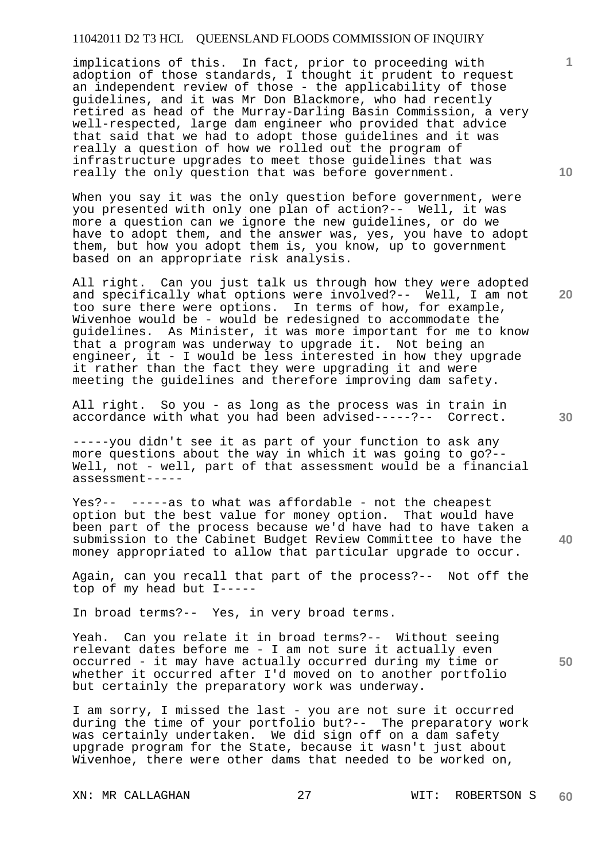implications of this. In fact, prior to proceeding with adoption of those standards, I thought it prudent to request an independent review of those - the applicability of those guidelines, and it was Mr Don Blackmore, who had recently retired as head of the Murray-Darling Basin Commission, a very well-respected, large dam engineer who provided that advice that said that we had to adopt those guidelines and it was really a question of how we rolled out the program of infrastructure upgrades to meet those guidelines that was really the only question that was before government.

When you say it was the only question before government, were you presented with only one plan of action?-- Well, it was more a question can we ignore the new guidelines, or do we have to adopt them, and the answer was, yes, you have to adopt them, but how you adopt them is, you know, up to government based on an appropriate risk analysis.

All right. Can you just talk us through how they were adopted and specifically what options were involved?-- Well, I am not too sure there were options. In terms of how, for example, Wivenhoe would be - would be redesigned to accommodate the guidelines. As Minister, it was more important for me to know that a program was underway to upgrade it. Not being an engineer, it - I would be less interested in how they upgrade it rather than the fact they were upgrading it and were meeting the guidelines and therefore improving dam safety.

All right. So you - as long as the process was in train in accordance with what you had been advised-----?-- Correct.

-----you didn't see it as part of your function to ask any more questions about the way in which it was going to go?-- Well, not - well, part of that assessment would be a financial assessment-----

Yes?-- -----as to what was affordable - not the cheapest option but the best value for money option. That would have been part of the process because we'd have had to have taken a submission to the Cabinet Budget Review Committee to have the money appropriated to allow that particular upgrade to occur.

Again, can you recall that part of the process?-- Not off the top of my head but I-----

In broad terms?-- Yes, in very broad terms.

Yeah. Can you relate it in broad terms?-- Without seeing relevant dates before me - I am not sure it actually even occurred - it may have actually occurred during my time or whether it occurred after I'd moved on to another portfolio but certainly the preparatory work was underway.

I am sorry, I missed the last - you are not sure it occurred during the time of your portfolio but?-- The preparatory work was certainly undertaken. We did sign off on a dam safety upgrade program for the State, because it wasn't just about Wivenhoe, there were other dams that needed to be worked on,

**10** 

**1**

**20** 

**40** 

**50**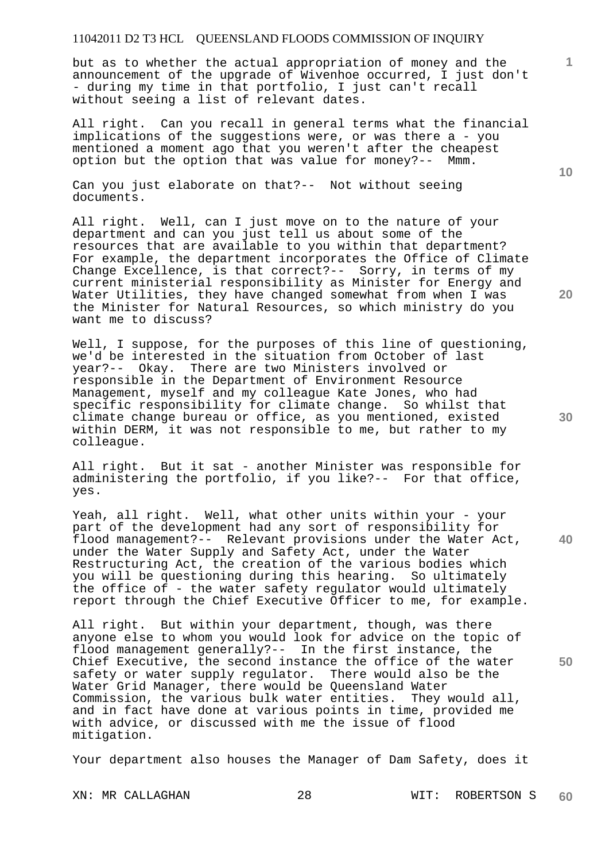but as to whether the actual appropriation of money and the announcement of the upgrade of Wivenhoe occurred, I just don't - during my time in that portfolio, I just can't recall without seeing a list of relevant dates.

All right. Can you recall in general terms what the financial implications of the suggestions were, or was there a - you mentioned a moment ago that you weren't after the cheapest option but the option that was value for money?-- Mmm.

Can you just elaborate on that?-- Not without seeing documents.

All right. Well, can I just move on to the nature of your department and can you just tell us about some of the resources that are available to you within that department? For example, the department incorporates the Office of Climate Change Excellence, is that correct?-- Sorry, in terms of my current ministerial responsibility as Minister for Energy and Water Utilities, they have changed somewhat from when I was the Minister for Natural Resources, so which ministry do you want me to discuss?

Well, I suppose, for the purposes of this line of questioning, we'd be interested in the situation from October of last year?-- Okay. There are two Ministers involved or responsible in the Department of Environment Resource Management, myself and my colleague Kate Jones, who had specific responsibility for climate change. So whilst that climate change bureau or office, as you mentioned, existed within DERM, it was not responsible to me, but rather to my colleague.

All right. But it sat - another Minister was responsible for administering the portfolio, if you like?-- For that office, yes.

**40**  Yeah, all right. Well, what other units within your - your part of the development had any sort of responsibility for flood management?-- Relevant provisions under the Water Act, under the Water Supply and Safety Act, under the Water Restructuring Act, the creation of the various bodies which you will be questioning during this hearing. So ultimately the office of - the water safety regulator would ultimately report through the Chief Executive Officer to me, for example.

All right. But within your department, though, was there anyone else to whom you would look for advice on the topic of flood management generally?-- In the first instance, the Chief Executive, the second instance the office of the water safety or water supply regulator. There would also be the Water Grid Manager, there would be Queensland Water Commission, the various bulk water entities. They would all, and in fact have done at various points in time, provided me with advice, or discussed with me the issue of flood mitigation.

Your department also houses the Manager of Dam Safety, does it

**10** 

**1**

**30** 

**50**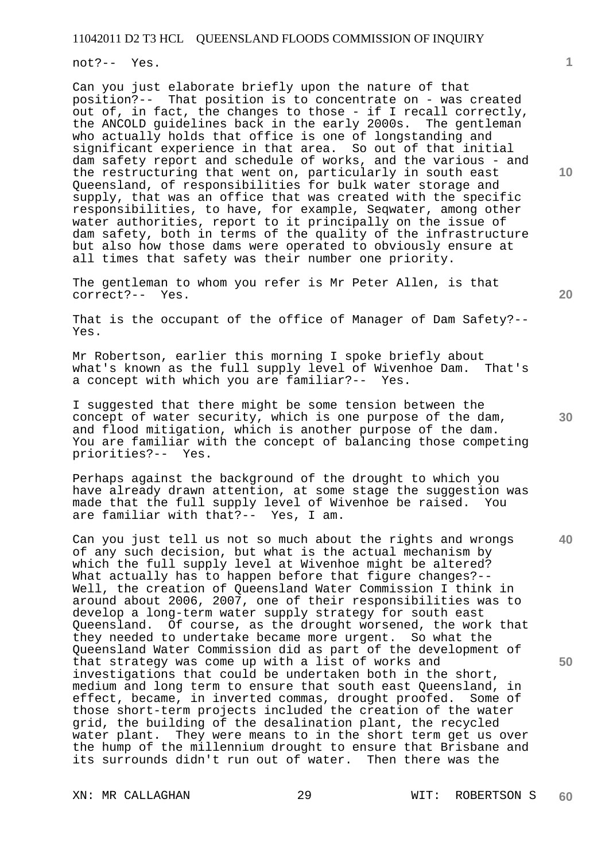not?-- Yes.

Can you just elaborate briefly upon the nature of that position?-- That position is to concentrate on - was created out of, in fact, the changes to those - if I recall correctly, the ANCOLD guidelines back in the early 2000s. The gentleman who actually holds that office is one of longstanding and significant experience in that area. So out of that initial dam safety report and schedule of works, and the various - and the restructuring that went on, particularly in south east Queensland, of responsibilities for bulk water storage and supply, that was an office that was created with the specific responsibilities, to have, for example, Seqwater, among other water authorities, report to it principally on the issue of dam safety, both in terms of the quality of the infrastructure but also how those dams were operated to obviously ensure at all times that safety was their number one priority.

The gentleman to whom you refer is Mr Peter Allen, is that correct?-- Yes.

That is the occupant of the office of Manager of Dam Safety?-- Yes.

Mr Robertson, earlier this morning I spoke briefly about what's known as the full supply level of Wivenhoe Dam. That's a concept with which you are familiar?-- Yes.

I suggested that there might be some tension between the concept of water security, which is one purpose of the dam, and flood mitigation, which is another purpose of the dam. You are familiar with the concept of balancing those competing priorities?-- Yes.

Perhaps against the background of the drought to which you have already drawn attention, at some stage the suggestion was made that the full supply level of Wivenhoe be raised. You are familiar with that?-- Yes, I am.

**40 50**  Can you just tell us not so much about the rights and wrongs of any such decision, but what is the actual mechanism by which the full supply level at Wivenhoe might be altered? What actually has to happen before that figure changes?-- Well, the creation of Queensland Water Commission I think in around about 2006, 2007, one of their responsibilities was to develop a long-term water supply strategy for south east Queensland. Of course, as the drought worsened, the work that they needed to undertake became more urgent. So what the Queensland Water Commission did as part of the development of that strategy was come up with a list of works and investigations that could be undertaken both in the short, medium and long term to ensure that south east Queensland, in effect, became, in inverted commas, drought proofed. Some of those short-term projects included the creation of the water grid, the building of the desalination plant, the recycled water plant. They were means to in the short term get us over the hump of the millennium drought to ensure that Brisbane and its surrounds didn't run out of water. Then there was the

**20** 

**10** 

**1**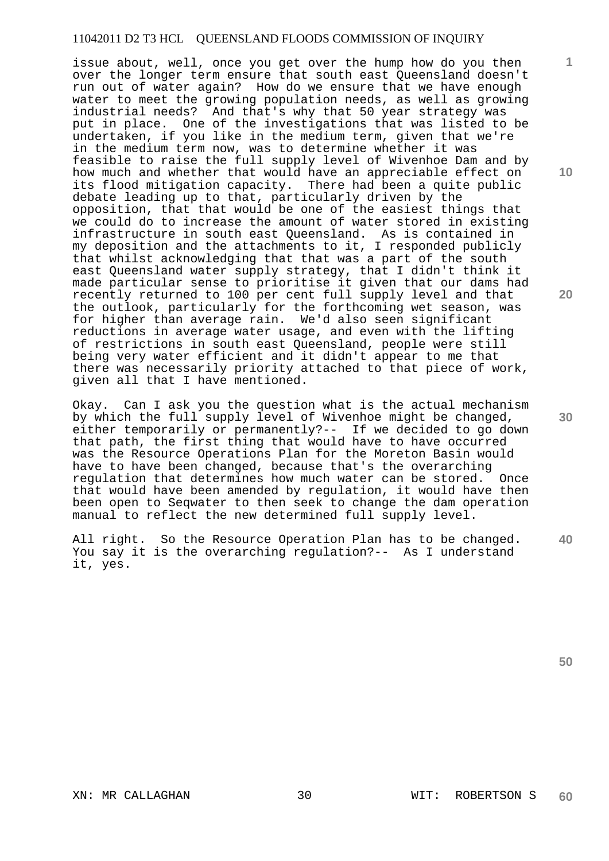issue about, well, once you get over the hump how do you then over the longer term ensure that south east Queensland doesn't run out of water again? How do we ensure that we have enough water to meet the growing population needs, as well as growing industrial needs? And that's why that 50 year strategy was put in place. One of the investigations that was listed to be undertaken, if you like in the medium term, given that we're in the medium term now, was to determine whether it was feasible to raise the full supply level of Wivenhoe Dam and by how much and whether that would have an appreciable effect on its flood mitigation capacity. There had been a quite public debate leading up to that, particularly driven by the opposition, that that would be one of the easiest things that we could do to increase the amount of water stored in existing infrastructure in south east Queensland. As is contained in my deposition and the attachments to it, I responded publicly that whilst acknowledging that that was a part of the south east Queensland water supply strategy, that I didn't think it made particular sense to prioritise it given that our dams had recently returned to 100 per cent full supply level and that the outlook, particularly for the forthcoming wet season, was for higher than average rain. We'd also seen significant reductions in average water usage, and even with the lifting of restrictions in south east Queensland, people were still being very water efficient and it didn't appear to me that there was necessarily priority attached to that piece of work, given all that I have mentioned.

Okay. Can I ask you the question what is the actual mechanism by which the full supply level of Wivenhoe might be changed, either temporarily or permanently?-- If we decided to go down that path, the first thing that would have to have occurred was the Resource Operations Plan for the Moreton Basin would have to have been changed, because that's the overarching regulation that determines how much water can be stored. Once that would have been amended by regulation, it would have then been open to Seqwater to then seek to change the dam operation manual to reflect the new determined full supply level.

**40**  All right. So the Resource Operation Plan has to be changed. You say it is the overarching regulation?-- As I understand it, yes.

**20** 

**10** 

**1**



**30**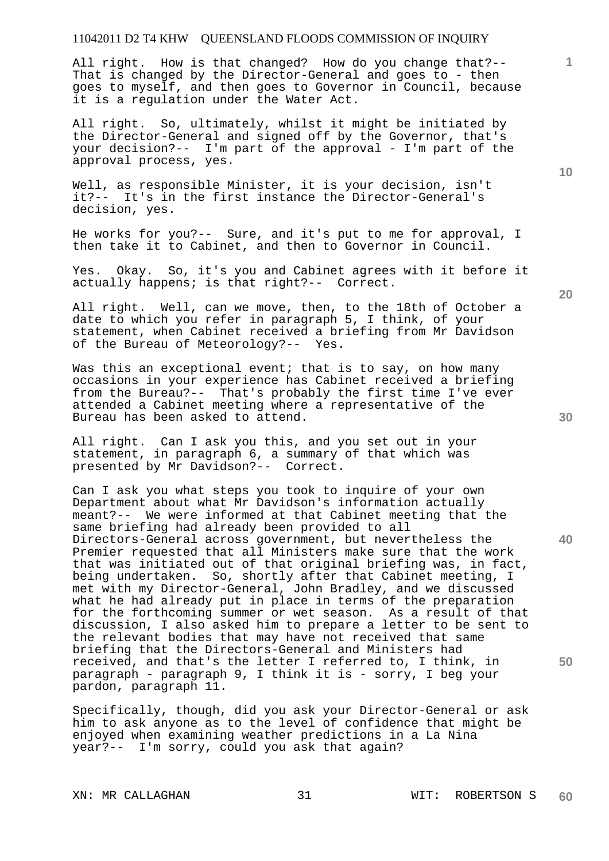All right. How is that changed? How do you change that?-- That is changed by the Director-General and goes to - then goes to myself, and then goes to Governor in Council, because it is a regulation under the Water Act.

All right. So, ultimately, whilst it might be initiated by the Director-General and signed off by the Governor, that's your decision?-- I'm part of the approval - I'm part of the approval process, yes.

Well, as responsible Minister, it is your decision, isn't it?-- It's in the first instance the Director-General's decision, yes.

He works for you?-- Sure, and it's put to me for approval, I then take it to Cabinet, and then to Governor in Council.

Yes. Okay. So, it's you and Cabinet agrees with it before it actually happens; is that right?-- Correct.

All right. Well, can we move, then, to the 18th of October a date to which you refer in paragraph 5, I think, of your statement, when Cabinet received a briefing from Mr Davidson of the Bureau of Meteorology?-- Yes.

Was this an exceptional event; that is to say, on how many occasions in your experience has Cabinet received a briefing from the Bureau?-- That's probably the first time I've ever attended a Cabinet meeting where a representative of the Bureau has been asked to attend.

All right. Can I ask you this, and you set out in your statement, in paragraph 6, a summary of that which was presented by Mr Davidson?-- Correct.

Can I ask you what steps you took to inquire of your own Department about what Mr Davidson's information actually meant?-- We were informed at that Cabinet meeting that the same briefing had already been provided to all Directors-General across government, but nevertheless the Premier requested that all Ministers make sure that the work that was initiated out of that original briefing was, in fact, being undertaken. So, shortly after that Cabinet meeting, I met with my Director-General, John Bradley, and we discussed what he had already put in place in terms of the preparation for the forthcoming summer or wet season. As a result of that discussion, I also asked him to prepare a letter to be sent to the relevant bodies that may have not received that same briefing that the Directors-General and Ministers had received, and that's the letter I referred to, I think, in paragraph - paragraph 9, I think it is - sorry, I beg your pardon, paragraph 11.

Specifically, though, did you ask your Director-General or ask him to ask anyone as to the level of confidence that might be enjoyed when examining weather predictions in a La Nina year?-- I'm sorry, could you ask that again?

**10** 

**1**

**20** 

**40**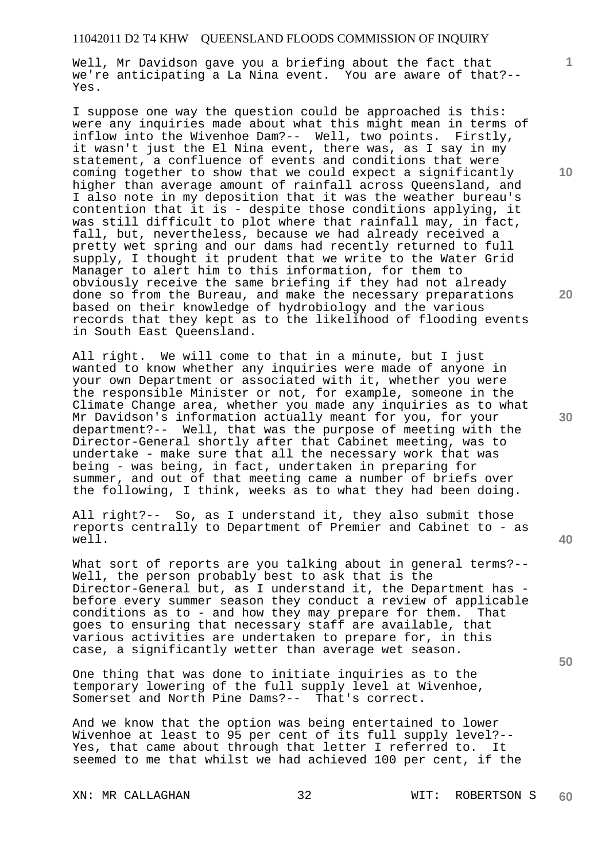Well, Mr Davidson gave you a briefing about the fact that we're anticipating a La Nina event. You are aware of that?-- Yes.

I suppose one way the question could be approached is this: were any inquiries made about what this might mean in terms of inflow into the Wivenhoe Dam?-- Well, two points. Firstly, it wasn't just the El Nina event, there was, as I say in my statement, a confluence of events and conditions that were coming together to show that we could expect a significantly higher than average amount of rainfall across Queensland, and I also note in my deposition that it was the weather bureau's contention that it is - despite those conditions applying, it was still difficult to plot where that rainfall may, in fact, fall, but, nevertheless, because we had already received a pretty wet spring and our dams had recently returned to full supply, I thought it prudent that we write to the Water Grid Manager to alert him to this information, for them to obviously receive the same briefing if they had not already done so from the Bureau, and make the necessary preparations based on their knowledge of hydrobiology and the various records that they kept as to the likelihood of flooding events in South East Queensland.

All right. We will come to that in a minute, but I just wanted to know whether any inquiries were made of anyone in your own Department or associated with it, whether you were the responsible Minister or not, for example, someone in the Climate Change area, whether you made any inquiries as to what Mr Davidson's information actually meant for you, for your department?-- Well, that was the purpose of meeting with the Director-General shortly after that Cabinet meeting, was to undertake - make sure that all the necessary work that was being - was being, in fact, undertaken in preparing for summer, and out of that meeting came a number of briefs over the following, I think, weeks as to what they had been doing.

All right?-- So, as I understand it, they also submit those reports centrally to Department of Premier and Cabinet to - as well.

What sort of reports are you talking about in general terms?--Well, the person probably best to ask that is the Director-General but, as I understand it, the Department has before every summer season they conduct a review of applicable conditions as to - and how they may prepare for them. That goes to ensuring that necessary staff are available, that various activities are undertaken to prepare for, in this case, a significantly wetter than average wet season.

One thing that was done to initiate inquiries as to the temporary lowering of the full supply level at Wivenhoe, Somerset and North Pine Dams?-- That's correct.

And we know that the option was being entertained to lower Wivenhoe at least to 95 per cent of its full supply level?-- Yes, that came about through that letter I referred to. It seemed to me that whilst we had achieved 100 per cent, if the

XN: MR CALLAGHAN 32 WIT: ROBERTSON S **60** 

**30** 

**20** 

**40** 

**50** 

**10**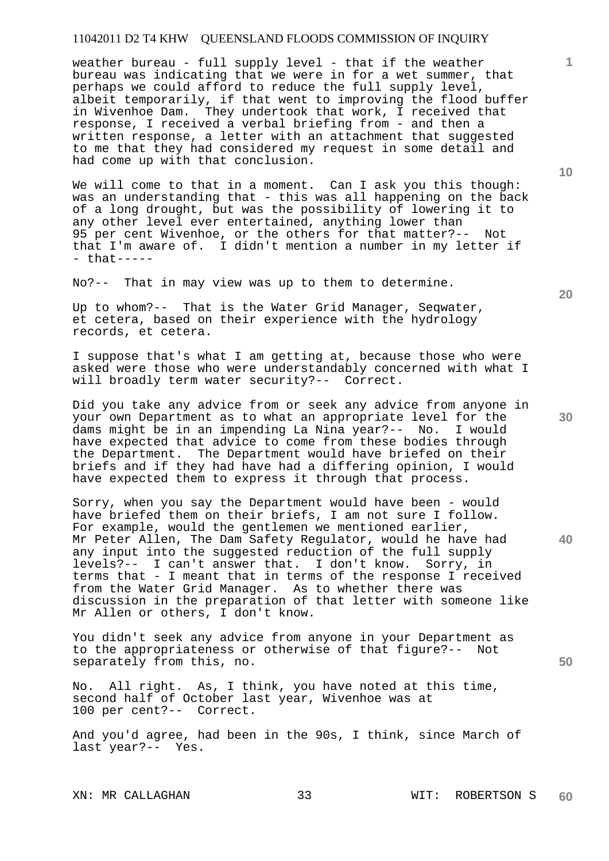weather bureau - full supply level - that if the weather bureau was indicating that we were in for a wet summer, that perhaps we could afford to reduce the full supply level, albeit temporarily, if that went to improving the flood buffer in Wivenhoe Dam. They undertook that work, I received that response, I received a verbal briefing from - and then a written response, a letter with an attachment that suggested to me that they had considered my request in some detail and had come up with that conclusion.

We will come to that in a moment. Can I ask you this though: was an understanding that - this was all happening on the back of a long drought, but was the possibility of lowering it to any other level ever entertained, anything lower than 95 per cent Wivenhoe, or the others for that matter?-- Not that I'm aware of. I didn't mention a number in my letter if - that-----

No?-- That in may view was up to them to determine.

Up to whom?-- That is the Water Grid Manager, Seqwater, et cetera, based on their experience with the hydrology records, et cetera.

I suppose that's what I am getting at, because those who were asked were those who were understandably concerned with what I will broadly term water security?-- Correct.

Did you take any advice from or seek any advice from anyone in your own Department as to what an appropriate level for the dams might be in an impending La Nina year?-- No. I would have expected that advice to come from these bodies through the Department. The Department would have briefed on their briefs and if they had have had a differing opinion, I would have expected them to express it through that process.

Sorry, when you say the Department would have been - would have briefed them on their briefs, I am not sure I follow. For example, would the gentlemen we mentioned earlier, Mr Peter Allen, The Dam Safety Regulator, would he have had any input into the suggested reduction of the full supply levels?-- I can't answer that. I don't know. Sorry, in terms that - I meant that in terms of the response I received from the Water Grid Manager. As to whether there was discussion in the preparation of that letter with someone like Mr Allen or others, I don't know.

You didn't seek any advice from anyone in your Department as to the appropriateness or otherwise of that figure?-- Not separately from this, no.

No. All right. As, I think, you have noted at this time, second half of October last year, Wivenhoe was at 100 per cent?-- Correct.

And you'd agree, had been in the 90s, I think, since March of last year?-- Yes.

**10** 

**1**

**30** 

**20** 

**40**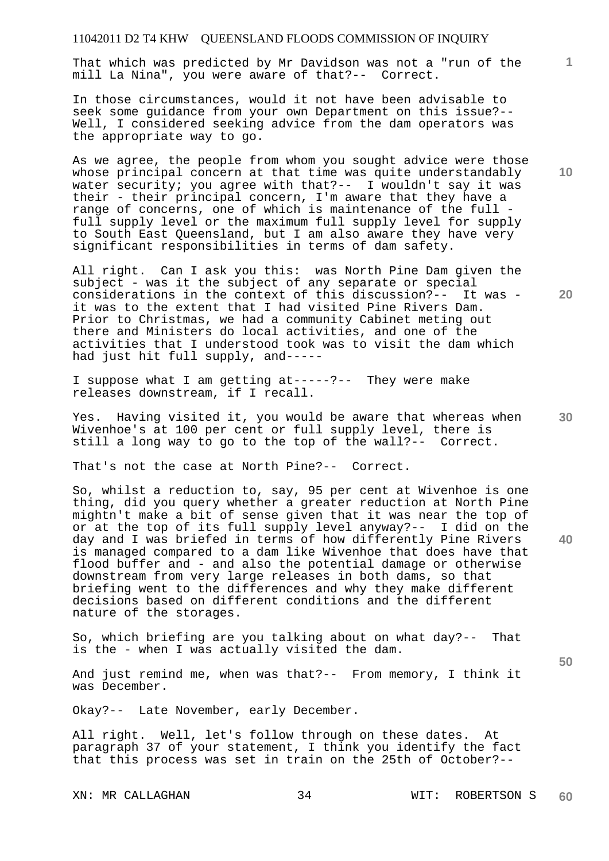That which was predicted by Mr Davidson was not a "run of the mill La Nina", you were aware of that?-- Correct.

In those circumstances, would it not have been advisable to seek some guidance from your own Department on this issue?-- Well, I considered seeking advice from the dam operators was the appropriate way to go.

As we agree, the people from whom you sought advice were those whose principal concern at that time was quite understandably water security; you agree with that?-- I wouldn't say it was their - their principal concern, I'm aware that they have a range of concerns, one of which is maintenance of the full full supply level or the maximum full supply level for supply to South East Queensland, but I am also aware they have very significant responsibilities in terms of dam safety.

All right. Can I ask you this: was North Pine Dam given the subject - was it the subject of any separate or special considerations in the context of this discussion?-- It was it was to the extent that I had visited Pine Rivers Dam. Prior to Christmas, we had a community Cabinet meting out there and Ministers do local activities, and one of the activities that I understood took was to visit the dam which had just hit full supply, and-----

I suppose what I am getting at-----?-- They were make releases downstream, if I recall.

**30**  Yes. Having visited it, you would be aware that whereas when Wivenhoe's at 100 per cent or full supply level, there is still a long way to go to the top of the wall?-- Correct.

That's not the case at North Pine?-- Correct.

So, whilst a reduction to, say, 95 per cent at Wivenhoe is one thing, did you query whether a greater reduction at North Pine mightn't make a bit of sense given that it was near the top of or at the top of its full supply level anyway?-- I did on the day and I was briefed in terms of how differently Pine Rivers is managed compared to a dam like Wivenhoe that does have that flood buffer and - and also the potential damage or otherwise downstream from very large releases in both dams, so that briefing went to the differences and why they make different decisions based on different conditions and the different nature of the storages.

So, which briefing are you talking about on what day?-- That is the - when I was actually visited the dam.

And just remind me, when was that?-- From memory, I think it was December.

Okay?-- Late November, early December.

All right. Well, let's follow through on these dates. At paragraph 37 of your statement, I think you identify the fact that this process was set in train on the 25th of October?--

**10** 

**1**

**20** 

**50**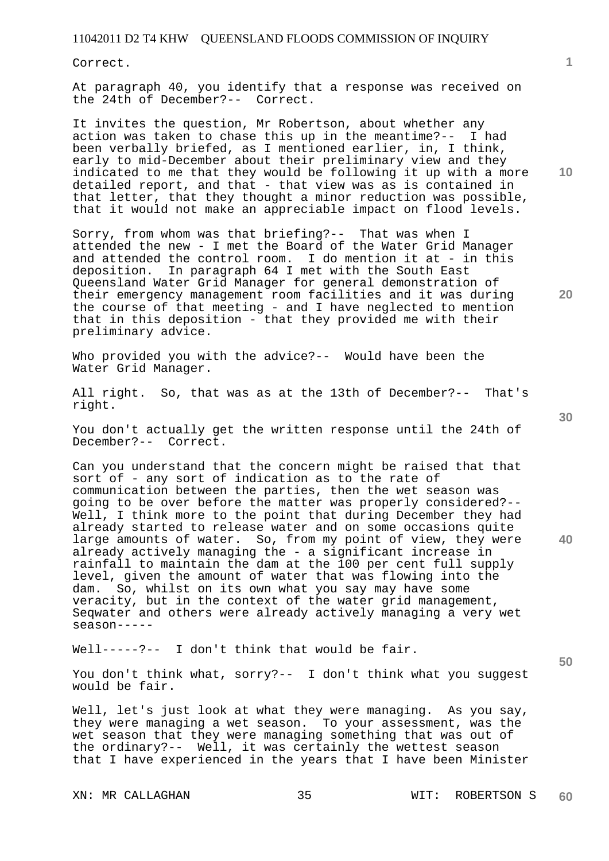Correct.

At paragraph 40, you identify that a response was received on the 24th of December?-- Correct.

It invites the question, Mr Robertson, about whether any action was taken to chase this up in the meantime?-- I had been verbally briefed, as I mentioned earlier, in, I think, early to mid-December about their preliminary view and they indicated to me that they would be following it up with a more detailed report, and that - that view was as is contained in that letter, that they thought a minor reduction was possible, that it would not make an appreciable impact on flood levels.

Sorry, from whom was that briefing?-- That was when I attended the new - I met the Board of the Water Grid Manager and attended the control room. I do mention it at - in this deposition. In paragraph 64 I met with the South East Queensland Water Grid Manager for general demonstration of their emergency management room facilities and it was during the course of that meeting - and I have neglected to mention that in this deposition - that they provided me with their preliminary advice.

Who provided you with the advice?-- Would have been the Water Grid Manager.

All right. So, that was as at the 13th of December?-- That's right.

You don't actually get the written response until the 24th of December?-- Correct.

Can you understand that the concern might be raised that that sort of - any sort of indication as to the rate of communication between the parties, then the wet season was going to be over before the matter was properly considered?-- Well, I think more to the point that during December they had already started to release water and on some occasions quite large amounts of water. So, from my point of view, they were already actively managing the - a significant increase in rainfall to maintain the dam at the 100 per cent full supply level, given the amount of water that was flowing into the dam. So, whilst on its own what you say may have some veracity, but in the context of the water grid management, Seqwater and others were already actively managing a very wet season-----

Well-----?-- I don't think that would be fair.

You don't think what, sorry?-- I don't think what you suggest would be fair.

Well, let's just look at what they were managing. As you say, they were managing a wet season. To your assessment, was the wet season that they were managing something that was out of the ordinary?-- Well, it was certainly the wettest season that I have experienced in the years that I have been Minister

**10** 

**1**

**20** 

**40**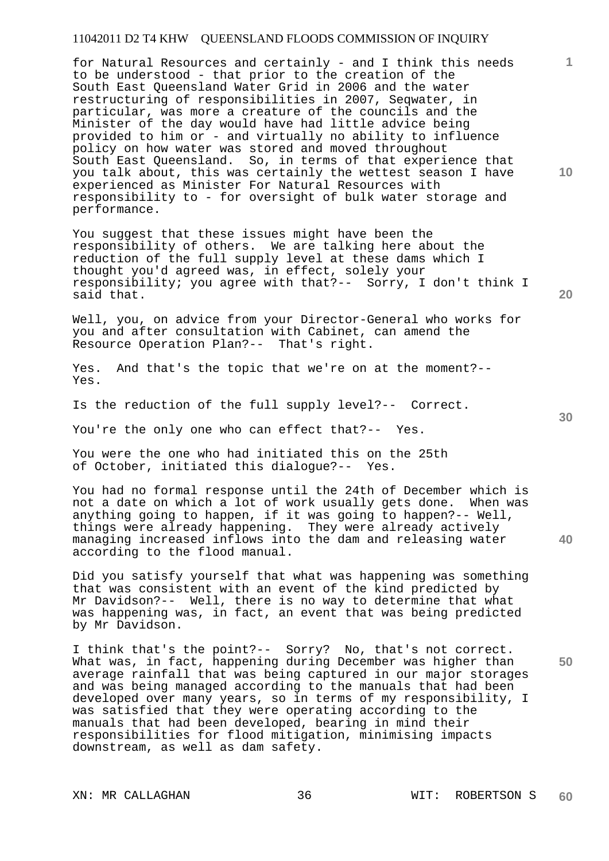for Natural Resources and certainly - and I think this needs to be understood - that prior to the creation of the South East Queensland Water Grid in 2006 and the water restructuring of responsibilities in 2007, Seqwater, in particular, was more a creature of the councils and the Minister of the day would have had little advice being provided to him or - and virtually no ability to influence policy on how water was stored and moved throughout South East Queensland. So, in terms of that experience that you talk about, this was certainly the wettest season I have experienced as Minister For Natural Resources with responsibility to - for oversight of bulk water storage and performance.

You suggest that these issues might have been the responsibility of others. We are talking here about the reduction of the full supply level at these dams which I thought you'd agreed was, in effect, solely your responsibility; you agree with that?-- Sorry, I don't think I said that.

Well, you, on advice from your Director-General who works for you and after consultation with Cabinet, can amend the Resource Operation Plan?-- That's right.

Yes. And that's the topic that we're on at the moment?-- Yes.

Is the reduction of the full supply level?-- Correct.

You're the only one who can effect that?-- Yes.

You were the one who had initiated this on the 25th of October, initiated this dialogue?-- Yes.

You had no formal response until the 24th of December which is not a date on which a lot of work usually gets done. When was anything going to happen, if it was going to happen?-- Well, things were already happening. They were already actively managing increased inflows into the dam and releasing water according to the flood manual.

Did you satisfy yourself that what was happening was something that was consistent with an event of the kind predicted by Mr Davidson?-- Well, there is no way to determine that what was happening was, in fact, an event that was being predicted by Mr Davidson.

I think that's the point?-- Sorry? No, that's not correct. What was, in fact, happening during December was higher than average rainfall that was being captured in our major storages and was being managed according to the manuals that had been developed over many years, so in terms of my responsibility, I was satisfied that they were operating according to the manuals that had been developed, bearing in mind their responsibilities for flood mitigation, minimising impacts downstream, as well as dam safety.

**10** 

**1**

**30** 

**20** 

**40**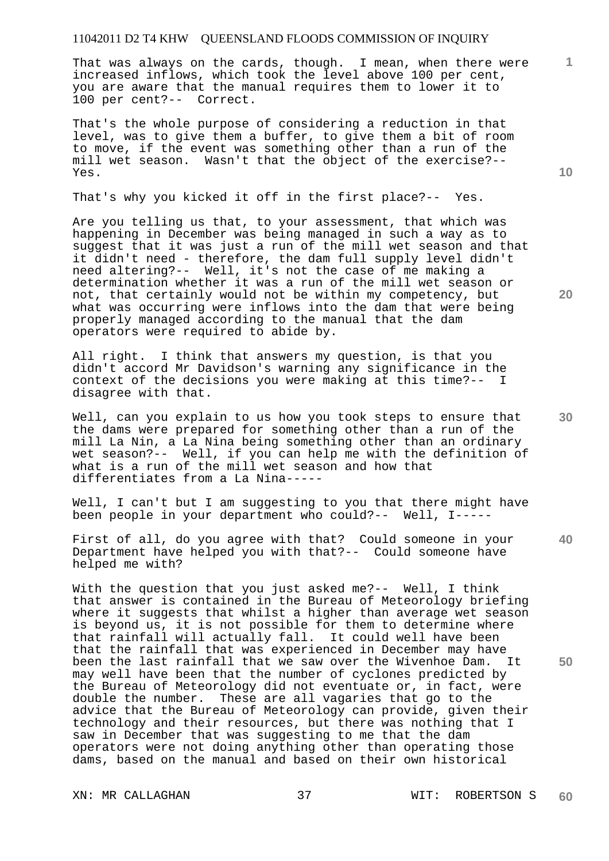That was always on the cards, though. I mean, when there were increased inflows, which took the level above 100 per cent, you are aware that the manual requires them to lower it to 100 per cent?-- Correct.

That's the whole purpose of considering a reduction in that level, was to give them a buffer, to give them a bit of room to move, if the event was something other than a run of the mill wet season. Wasn't that the object of the exercise?-- Yes.

That's why you kicked it off in the first place?-- Yes.

Are you telling us that, to your assessment, that which was happening in December was being managed in such a way as to suggest that it was just a run of the mill wet season and that it didn't need - therefore, the dam full supply level didn't need altering?-- Well, it's not the case of me making a determination whether it was a run of the mill wet season or not, that certainly would not be within my competency, but what was occurring were inflows into the dam that were being properly managed according to the manual that the dam operators were required to abide by.

All right. I think that answers my question, is that you didn't accord Mr Davidson's warning any significance in the context of the decisions you were making at this time?-- I disagree with that.

Well, can you explain to us how you took steps to ensure that the dams were prepared for something other than a run of the mill La Nin, a La Nina being something other than an ordinary wet season?-- Well, if you can help me with the definition of what is a run of the mill wet season and how that differentiates from a La Nina-----

Well, I can't but I am suggesting to you that there might have been people in your department who could?-- Well, I-----

First of all, do you agree with that? Could someone in your Department have helped you with that?-- Could someone have helped me with?

With the question that you just asked me?-- Well, I think that answer is contained in the Bureau of Meteorology briefing where it suggests that whilst a higher than average wet season is beyond us, it is not possible for them to determine where that rainfall will actually fall. It could well have been that the rainfall that was experienced in December may have been the last rainfall that we saw over the Wivenhoe Dam. It may well have been that the number of cyclones predicted by the Bureau of Meteorology did not eventuate or, in fact, were double the number. These are all vagaries that go to the advice that the Bureau of Meteorology can provide, given their technology and their resources, but there was nothing that I saw in December that was suggesting to me that the dam operators were not doing anything other than operating those dams, based on the manual and based on their own historical

XN: MR CALLAGHAN 37 WIT: ROBERTSON S **60** 

**30** 

**10** 

**20** 

**1**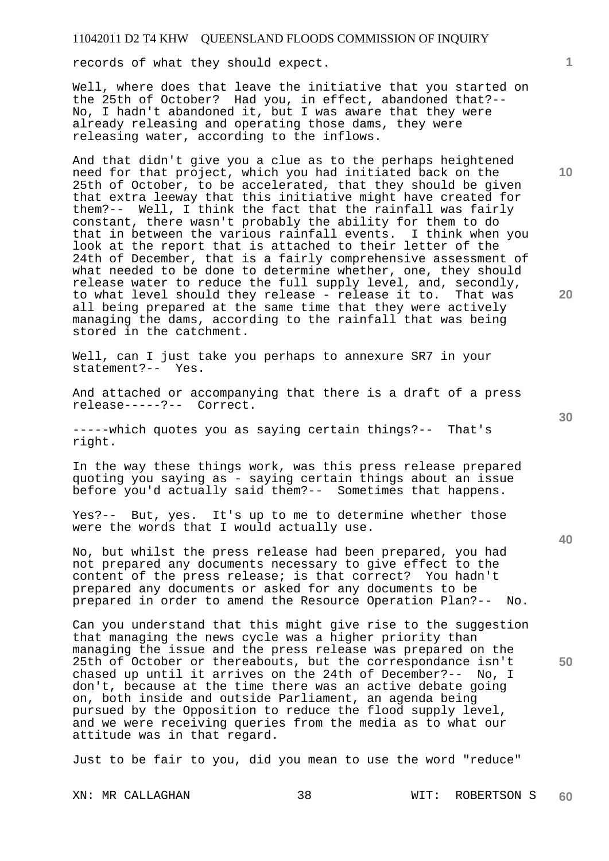records of what they should expect.

Well, where does that leave the initiative that you started on the 25th of October? Had you, in effect, abandoned that?-- No, I hadn't abandoned it, but I was aware that they were already releasing and operating those dams, they were releasing water, according to the inflows.

And that didn't give you a clue as to the perhaps heightened need for that project, which you had initiated back on the 25th of October, to be accelerated, that they should be given that extra leeway that this initiative might have created for them?-- Well, I think the fact that the rainfall was fairly constant, there wasn't probably the ability for them to do that in between the various rainfall events. I think when you look at the report that is attached to their letter of the 24th of December, that is a fairly comprehensive assessment of what needed to be done to determine whether, one, they should release water to reduce the full supply level, and, secondly, to what level should they release - release it to. That was all being prepared at the same time that they were actively managing the dams, according to the rainfall that was being stored in the catchment.

Well, can I just take you perhaps to annexure SR7 in your statement?-- Yes.

And attached or accompanying that there is a draft of a press release-----?-- Correct.

-----which quotes you as saying certain things?-- That's right.

In the way these things work, was this press release prepared quoting you saying as - saying certain things about an issue before you'd actually said them?-- Sometimes that happens.

Yes?-- But, yes. It's up to me to determine whether those were the words that I would actually use.

No, but whilst the press release had been prepared, you had not prepared any documents necessary to give effect to the content of the press release; is that correct? You hadn't prepared any documents or asked for any documents to be prepared in order to amend the Resource Operation Plan?-- No.

Can you understand that this might give rise to the suggestion that managing the news cycle was a higher priority than managing the issue and the press release was prepared on the 25th of October or thereabouts, but the correspondance isn't chased up until it arrives on the 24th of December?-- No, I don't, because at the time there was an active debate going on, both inside and outside Parliament, an agenda being pursued by the Opposition to reduce the flood supply level, and we were receiving queries from the media as to what our attitude was in that regard.

Just to be fair to you, did you mean to use the word "reduce"

**30** 

**20** 

**1**

**10**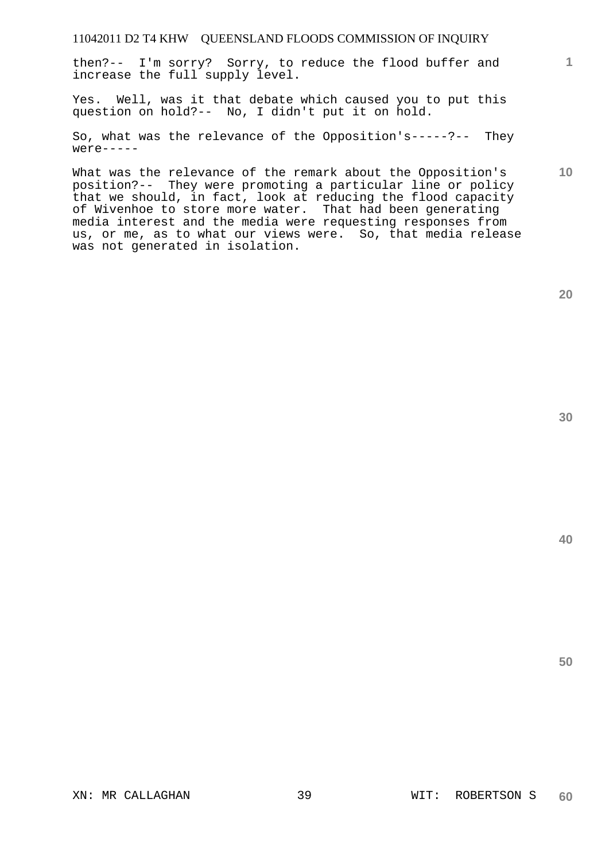then?-- I'm sorry? Sorry, to reduce the flood buffer and increase the full supply level.

Yes. Well, was it that debate which caused you to put this question on hold?-- No, I didn't put it on hold.

So, what was the relevance of the Opposition's-----?-- They  $were---$ 

What was the relevance of the remark about the Opposition's position?-- They were promoting a particular line or policy that we should, in fact, look at reducing the flood capacity of Wivenhoe to store more water. That had been generating media interest and the media were requesting responses from us, or me, as to what our views were. So, that media release was not generated in isolation.

**20** 

**40** 

**50** 

**10**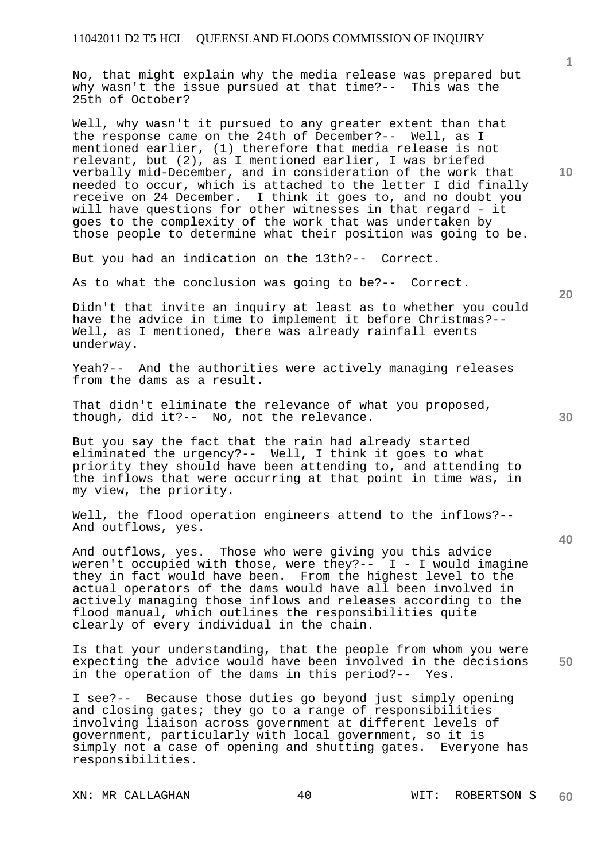No, that might explain why the media release was prepared but why wasn't the issue pursued at that time?-- This was the 25th of October?

Well, why wasn't it pursued to any greater extent than that the response came on the 24th of December?-- Well, as I mentioned earlier, (1) therefore that media release is not relevant, but (2), as I mentioned earlier, I was briefed verbally mid-December, and in consideration of the work that needed to occur, which is attached to the letter I did finally receive on 24 December. I think it goes to, and no doubt you will have questions for other witnesses in that regard - it goes to the complexity of the work that was undertaken by those people to determine what their position was going to be.

But you had an indication on the 13th?-- Correct.

As to what the conclusion was going to be?-- Correct.

Didn't that invite an inquiry at least as to whether you could have the advice in time to implement it before Christmas?-- Well, as I mentioned, there was already rainfall events underway.

Yeah?-- And the authorities were actively managing releases from the dams as a result.

That didn't eliminate the relevance of what you proposed, though, did it?-- No, not the relevance.

But you say the fact that the rain had already started eliminated the urgency?-- Well, I think it goes to what priority they should have been attending to, and attending to the inflows that were occurring at that point in time was, in my view, the priority.

Well, the flood operation engineers attend to the inflows?-- And outflows, yes.

And outflows, yes. Those who were giving you this advice weren't occupied with those, were they?--  $I - I$  would imagine they in fact would have been. From the highest level to the actual operators of the dams would have all been involved in actively managing those inflows and releases according to the flood manual, which outlines the responsibilities quite clearly of every individual in the chain.

**50**  Is that your understanding, that the people from whom you were expecting the advice would have been involved in the decisions in the operation of the dams in this period?-- Yes.

I see?-- Because those duties go beyond just simply opening and closing gates; they go to a range of responsibilities involving liaison across government at different levels of government, particularly with local government, so it is simply not a case of opening and shutting gates. Everyone has responsibilities.

**10** 

**1**

**30**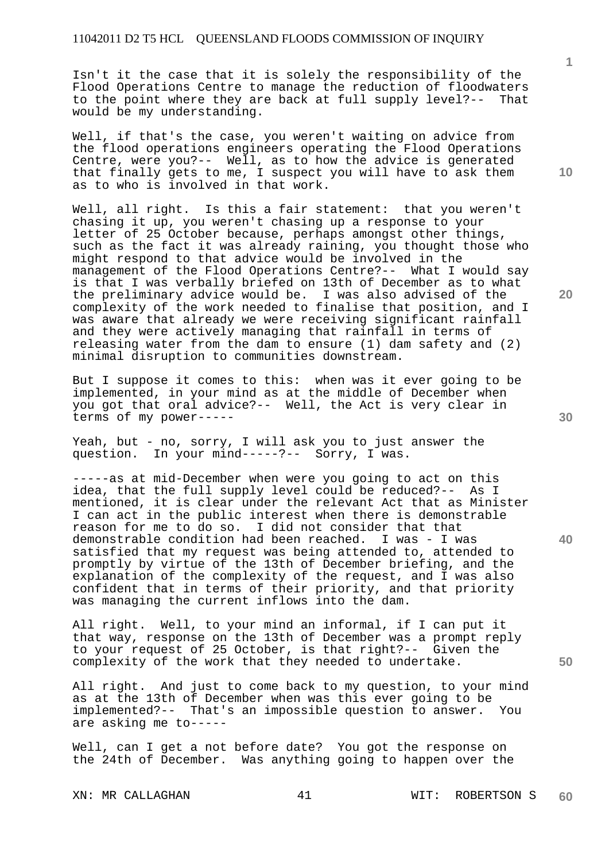Isn't it the case that it is solely the responsibility of the Flood Operations Centre to manage the reduction of floodwaters to the point where they are back at full supply level?-- That would be my understanding.

Well, if that's the case, you weren't waiting on advice from the flood operations engineers operating the Flood Operations Centre, were you?-- Well, as to how the advice is generated that finally gets to me, I suspect you will have to ask them as to who is involved in that work.

Well, all right. Is this a fair statement: that you weren't chasing it up, you weren't chasing up a response to your letter of 25 October because, perhaps amongst other things, such as the fact it was already raining, you thought those who might respond to that advice would be involved in the management of the Flood Operations Centre?-- What I would say is that I was verbally briefed on 13th of December as to what the preliminary advice would be. I was also advised of the complexity of the work needed to finalise that position, and I was aware that already we were receiving significant rainfall and they were actively managing that rainfall in terms of releasing water from the dam to ensure (1) dam safety and (2) minimal disruption to communities downstream.

But I suppose it comes to this: when was it ever going to be implemented, in your mind as at the middle of December when you got that oral advice?-- Well, the Act is very clear in terms of my power-----

Yeah, but - no, sorry, I will ask you to just answer the question. In your mind-----?-- Sorry, I was. In your mind-----?-- Sorry, I was.

-----as at mid-December when were you going to act on this idea, that the full supply level could be reduced?-- As I mentioned, it is clear under the relevant Act that as Minister I can act in the public interest when there is demonstrable reason for me to do so. I did not consider that that demonstrable condition had been reached. I was - I was satisfied that my request was being attended to, attended to promptly by virtue of the 13th of December briefing, and the explanation of the complexity of the request, and I was also confident that in terms of their priority, and that priority was managing the current inflows into the dam.

All right. Well, to your mind an informal, if I can put it that way, response on the 13th of December was a prompt reply to your request of 25 October, is that right?-- Given the complexity of the work that they needed to undertake.

All right. And just to come back to my question, to your mind as at the 13th of December when was this ever going to be implemented?-- That's an impossible question to answer. You are asking me to-----

Well, can I get a not before date? You got the response on the 24th of December. Was anything going to happen over the

XN: MR CALLAGHAN 41 WIT: ROBERTSON S

**60** 

**10** 

**1**

**20** 

**50**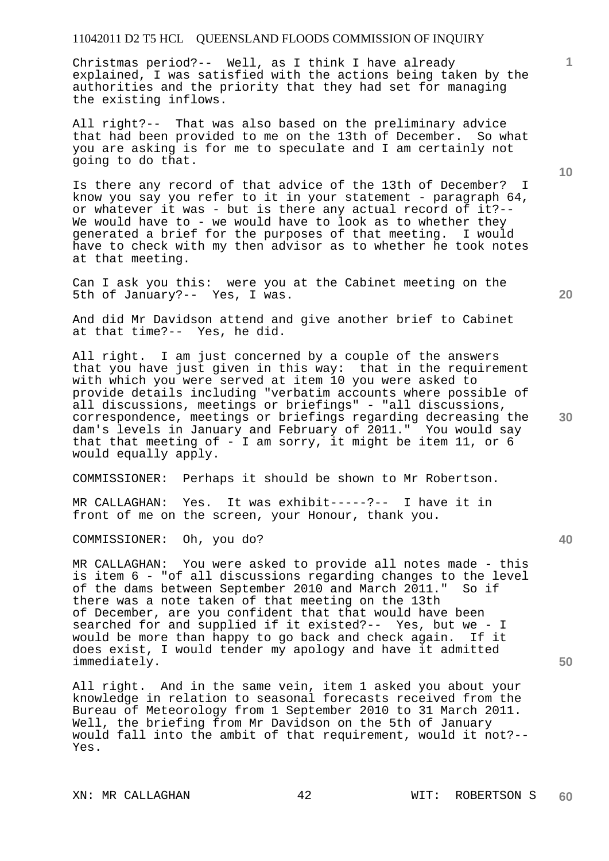Christmas period?-- Well, as I think I have already explained, I was satisfied with the actions being taken by the authorities and the priority that they had set for managing the existing inflows.

All right?-- That was also based on the preliminary advice that had been provided to me on the 13th of December. So what you are asking is for me to speculate and I am certainly not going to do that.

Is there any record of that advice of the 13th of December? I know you say you refer to it in your statement - paragraph  $64$ , or whatever it was - but is there any actual record of it?-- We would have to - we would have to look as to whether they generated a brief for the purposes of that meeting. I would have to check with my then advisor as to whether he took notes at that meeting.

Can I ask you this: were you at the Cabinet meeting on the 5th of January?-- Yes, I was.

And did Mr Davidson attend and give another brief to Cabinet at that time?-- Yes, he did.

All right. I am just concerned by a couple of the answers that you have just given in this way: that in the requirement with which you were served at item 10 you were asked to provide details including "verbatim accounts where possible of all discussions, meetings or briefings" - "all discussions, correspondence, meetings or briefings regarding decreasing the dam's levels in January and February of 2011." You would say that that meeting of - I am sorry, it might be item 11, or 6 would equally apply.

COMMISSIONER: Perhaps it should be shown to Mr Robertson.

MR CALLAGHAN: Yes. It was exhibit-----?-- I have it in front of me on the screen, your Honour, thank you.

COMMISSIONER: Oh, you do?

MR CALLAGHAN: You were asked to provide all notes made - this is item 6 - "of all discussions regarding changes to the level of the dams between September 2010 and March 2011." So if there was a note taken of that meeting on the 13th of December, are you confident that that would have been searched for and supplied if it existed?-- Yes, but we - I would be more than happy to go back and check again. If it does exist, I would tender my apology and have it admitted immediately.

All right. And in the same vein, item 1 asked you about your knowledge in relation to seasonal forecasts received from the Bureau of Meteorology from 1 September 2010 to 31 March 2011. Well, the briefing from Mr Davidson on the 5th of January would fall into the ambit of that requirement, would it not?-- Yes.

**50** 

**10** 

**20** 

**30**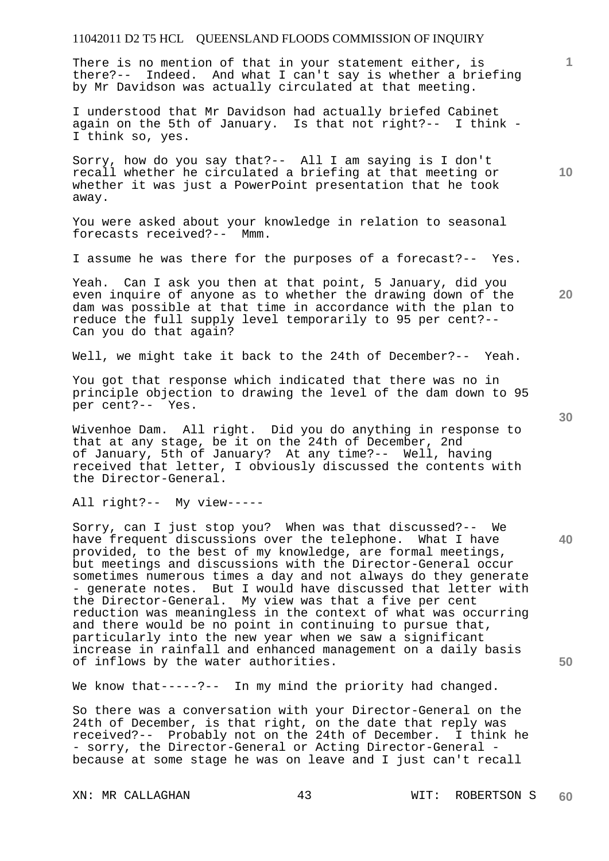There is no mention of that in your statement either, is there?-- Indeed. And what I can't say is whether a briefing by Mr Davidson was actually circulated at that meeting.

I understood that Mr Davidson had actually briefed Cabinet again on the 5th of January. Is that not right?-- I think - I think so, yes.

Sorry, how do you say that?-- All I am saying is I don't recall whether he circulated a briefing at that meeting or whether it was just a PowerPoint presentation that he took away.

You were asked about your knowledge in relation to seasonal forecasts received?-- Mmm.

I assume he was there for the purposes of a forecast?-- Yes.

Yeah. Can I ask you then at that point, 5 January, did you even inquire of anyone as to whether the drawing down of the dam was possible at that time in accordance with the plan to reduce the full supply level temporarily to 95 per cent?-- Can you do that again?

Well, we might take it back to the 24th of December?-- Yeah.

You got that response which indicated that there was no in principle objection to drawing the level of the dam down to 95 per cent?-- Yes.

Wivenhoe Dam. All right. Did you do anything in response to that at any stage, be it on the 24th of December, 2nd of January, 5th of January? At any time?-- Well, having received that letter, I obviously discussed the contents with the Director-General.

All right?-- My view-----

Sorry, can I just stop you? When was that discussed?-- We have frequent discussions over the telephone. What I have provided, to the best of my knowledge, are formal meetings, but meetings and discussions with the Director-General occur sometimes numerous times a day and not always do they generate - generate notes. But I would have discussed that letter with the Director-General. My view was that a five per cent reduction was meaningless in the context of what was occurring and there would be no point in continuing to pursue that, particularly into the new year when we saw a significant increase in rainfall and enhanced management on a daily basis of inflows by the water authorities.

We know that-----?-- In my mind the priority had changed.

So there was a conversation with your Director-General on the 24th of December, is that right, on the date that reply was received?-- Probably not on the 24th of December. I think he - sorry, the Director-General or Acting Director-General because at some stage he was on leave and I just can't recall

**40** 

**50** 

**20** 

**10**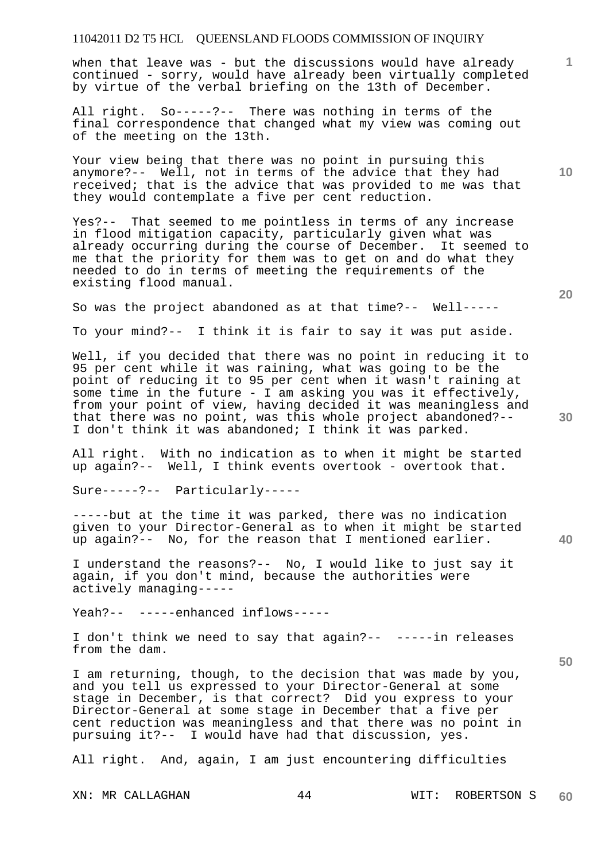when that leave was - but the discussions would have already continued - sorry, would have already been virtually completed by virtue of the verbal briefing on the 13th of December.

All right. So-----?-- There was nothing in terms of the final correspondence that changed what my view was coming out of the meeting on the 13th.

Your view being that there was no point in pursuing this anymore?-- Well, not in terms of the advice that they had received; that is the advice that was provided to me was that they would contemplate a five per cent reduction.

Yes?-- That seemed to me pointless in terms of any increase in flood mitigation capacity, particularly given what was already occurring during the course of December. It seemed to me that the priority for them was to get on and do what they needed to do in terms of meeting the requirements of the existing flood manual.

So was the project abandoned as at that time?-- Well-----

To your mind?-- I think it is fair to say it was put aside.

Well, if you decided that there was no point in reducing it to 95 per cent while it was raining, what was going to be the point of reducing it to 95 per cent when it wasn't raining at some time in the future - I am asking you was it effectively, from your point of view, having decided it was meaningless and that there was no point, was this whole project abandoned?-- I don't think it was abandoned; I think it was parked.

All right. With no indication as to when it might be started up again?-- Well, I think events overtook - overtook that.

Sure-----?-- Particularly-----

-----but at the time it was parked, there was no indication given to your Director-General as to when it might be started up again?-- No, for the reason that I mentioned earlier.

I understand the reasons?-- No, I would like to just say it again, if you don't mind, because the authorities were actively managing-----

Yeah?-- -----enhanced inflows-----

I don't think we need to say that again?-- -----in releases from the dam.

I am returning, though, to the decision that was made by you, and you tell us expressed to your Director-General at some stage in December, is that correct? Did you express to your Director-General at some stage in December that a five per cent reduction was meaningless and that there was no point in pursuing it?-- I would have had that discussion, yes.

All right. And, again, I am just encountering difficulties

XN: MR CALLAGHAN 44 WIT: ROBERTSON S **60** 

**20** 

**30** 

**50** 

**10**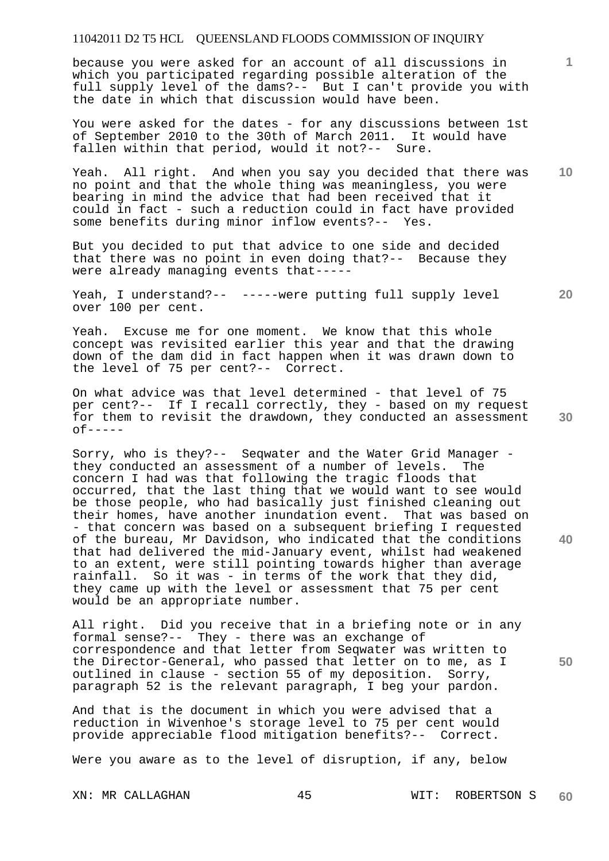because you were asked for an account of all discussions in which you participated regarding possible alteration of the full supply level of the dams?-- But I can't provide you with the date in which that discussion would have been.

You were asked for the dates - for any discussions between 1st of September 2010 to the 30th of March 2011. It would have fallen within that period, would it not?-- Sure.

Yeah. All right. And when you say you decided that there was no point and that the whole thing was meaningless, you were bearing in mind the advice that had been received that it could in fact - such a reduction could in fact have provided some benefits during minor inflow events?-- Yes.

But you decided to put that advice to one side and decided that there was no point in even doing that?-- Because they were already managing events that-----

Yeah, I understand?-- -----were putting full supply level over 100 per cent.

Yeah. Excuse me for one moment. We know that this whole concept was revisited earlier this year and that the drawing down of the dam did in fact happen when it was drawn down to the level of 75 per cent?-- Correct.

On what advice was that level determined - that level of 75 per cent?-- If I recall correctly, they - based on my request for them to revisit the drawdown, they conducted an assessment  $0f---$ 

Sorry, who is they?-- Seqwater and the Water Grid Manager they conducted an assessment of a number of levels. The concern I had was that following the tragic floods that occurred, that the last thing that we would want to see would be those people, who had basically just finished cleaning out their homes, have another inundation event. That was based on - that concern was based on a subsequent briefing I requested of the bureau, Mr Davidson, who indicated that the conditions that had delivered the mid-January event, whilst had weakened to an extent, were still pointing towards higher than average rainfall. So it was - in terms of the work that they did, they came up with the level or assessment that 75 per cent would be an appropriate number.

All right. Did you receive that in a briefing note or in any formal sense?-- They - there was an exchange of correspondence and that letter from Seqwater was written to the Director-General, who passed that letter on to me, as I outlined in clause - section 55 of my deposition. Sorry, paragraph 52 is the relevant paragraph, I beg your pardon.

And that is the document in which you were advised that a reduction in Wivenhoe's storage level to 75 per cent would provide appreciable flood mitigation benefits?-- Correct.

Were you aware as to the level of disruption, if any, below

XN: MR CALLAGHAN 45 WIT: ROBERTSON S **60** 

**30** 

**40** 

**50** 

**20** 

**10**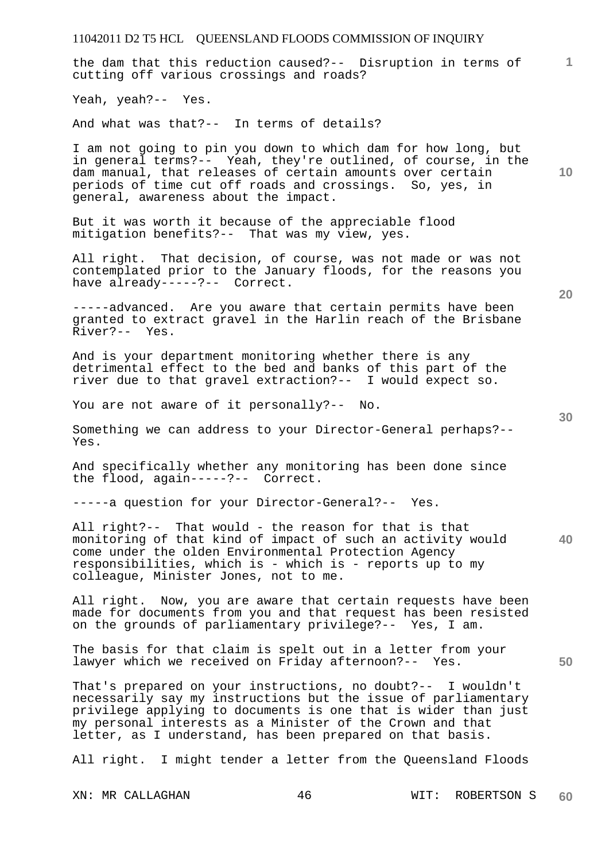| 11042011 D2 T5 HCL QUEENSLAND FLOODS COMMISSION OF INQUIRY                                                                                                                                                                                                                                                                 |    |
|----------------------------------------------------------------------------------------------------------------------------------------------------------------------------------------------------------------------------------------------------------------------------------------------------------------------------|----|
| the dam that this reduction caused?-- Disruption in terms of<br>cutting off various crossings and roads?                                                                                                                                                                                                                   | 1. |
| Yeah, yeah?-- Yes.                                                                                                                                                                                                                                                                                                         |    |
| And what was that?-- In terms of details?                                                                                                                                                                                                                                                                                  |    |
| I am not going to pin you down to which dam for how long, but<br>in general terms?-- Yeah, they're outlined, of course, in the<br>dam manual, that releases of certain amounts over certain<br>periods of time cut off roads and crossings. So, yes, in<br>general, awareness about the impact.                            | 10 |
| But it was worth it because of the appreciable flood<br>mitigation benefits?-- That was my view, yes.                                                                                                                                                                                                                      |    |
| All right. That decision, of course, was not made or was not<br>contemplated prior to the January floods, for the reasons you<br>have already-----?-- Correct.                                                                                                                                                             | 20 |
| -----advanced. Are you aware that certain permits have been<br>granted to extract gravel in the Harlin reach of the Brisbane<br>River?-- Yes.                                                                                                                                                                              |    |
| And is your department monitoring whether there is any<br>detrimental effect to the bed and banks of this part of the<br>river due to that gravel extraction?-- I would expect so.                                                                                                                                         |    |
| You are not aware of it personally?-- No.                                                                                                                                                                                                                                                                                  | 30 |
| Something we can address to your Director-General perhaps?--<br>Yes.                                                                                                                                                                                                                                                       |    |
| And specifically whether any monitoring has been done since<br>the flood, again-----?-- Correct.                                                                                                                                                                                                                           |    |
| -----a question for your Director-General?-- Yes.                                                                                                                                                                                                                                                                          |    |
| All right?-- That would - the reason for that is that<br>monitoring of that kind of impact of such an activity would<br>come under the olden Environmental Protection Agency<br>responsibilities, which is - which is - reports up to my<br>colleague, Minister Jones, not to me.                                          | 40 |
| All right. Now, you are aware that certain requests have been<br>made for documents from you and that request has been resisted<br>on the grounds of parliamentary privilege?-- Yes, I am.                                                                                                                                 |    |
| The basis for that claim is spelt out in a letter from your<br>lawyer which we received on Friday afternoon?-- Yes.                                                                                                                                                                                                        | 50 |
| That's prepared on your instructions, no doubt?-- I wouldn't<br>necessarily say my instructions but the issue of parliamentary<br>privilege applying to documents is one that is wider than just<br>my personal interests as a Minister of the Crown and that<br>letter, as I understand, has been prepared on that basis. |    |
| All right. I might tender a letter from the Queensland Floods                                                                                                                                                                                                                                                              |    |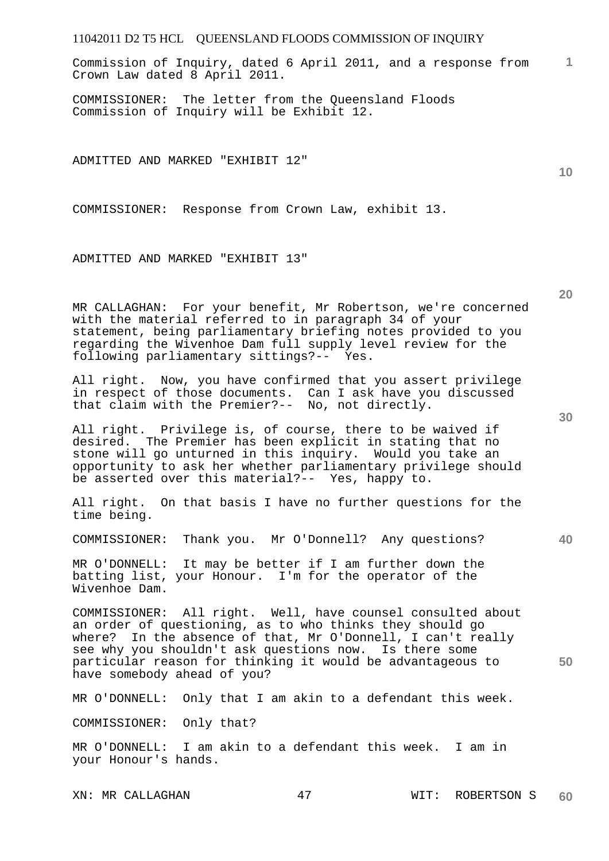**1** Commission of Inquiry, dated 6 April 2011, and a response from Crown Law dated 8 April 2011.

COMMISSIONER: The letter from the Queensland Floods Commission of Inquiry will be Exhibit 12.

ADMITTED AND MARKED "EXHIBIT 12"

COMMISSIONER: Response from Crown Law, exhibit 13.

ADMITTED AND MARKED "EXHIBIT 13"

MR CALLAGHAN: For your benefit, Mr Robertson, we're concerned with the material referred to in paragraph 34 of your statement, being parliamentary briefing notes provided to you regarding the Wivenhoe Dam full supply level review for the following parliamentary sittings?-- Yes.

All right. Now, you have confirmed that you assert privilege in respect of those documents. Can I ask have you discussed that claim with the Premier?-- No, not directly.

All right. Privilege is, of course, there to be waived if desired. The Premier has been explicit in stating that no stone will go unturned in this inquiry. Would you take an opportunity to ask her whether parliamentary privilege should be asserted over this material?-- Yes, happy to.

All right. On that basis I have no further questions for the time being.

COMMISSIONER: Thank you. Mr O'Donnell? Any questions?

MR O'DONNELL: It may be better if I am further down the batting list, your Honour. I'm for the operator of the Wivenhoe Dam.

COMMISSIONER: All right. Well, have counsel consulted about an order of questioning, as to who thinks they should go where? In the absence of that, Mr O'Donnell, I can't really see why you shouldn't ask questions now. Is there some particular reason for thinking it would be advantageous to have somebody ahead of you?

MR O'DONNELL: Only that I am akin to a defendant this week.

COMMISSIONER: Only that?

MR O'DONNELL: I am akin to a defendant this week. I am in your Honour's hands.

**30** 

**40** 

**50** 

**20**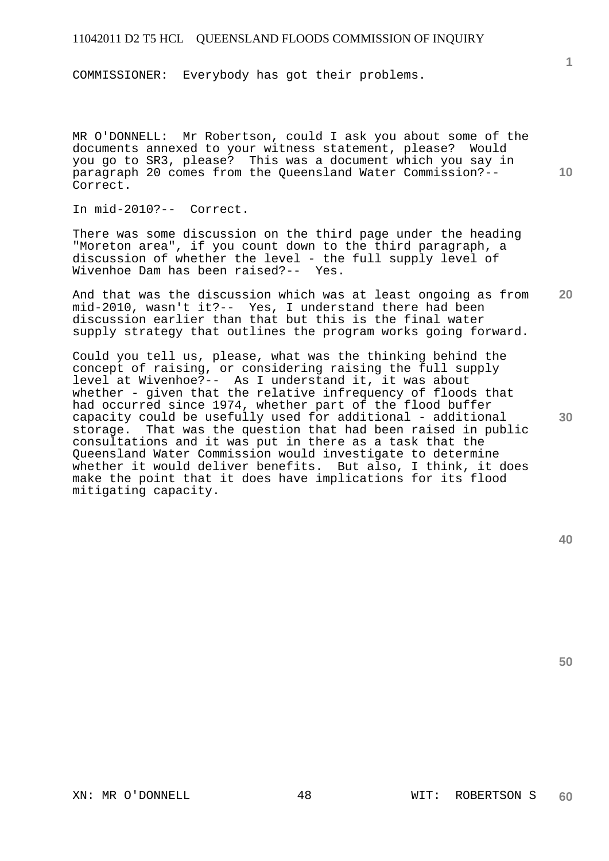COMMISSIONER: Everybody has got their problems.

MR O'DONNELL: Mr Robertson, could I ask you about some of the documents annexed to your witness statement, please? Would you go to SR3, please? This was a document which you say in paragraph 20 comes from the Queensland Water Commission?-- Correct.

In mid-2010?-- Correct.

There was some discussion on the third page under the heading "Moreton area", if you count down to the third paragraph, a discussion of whether the level - the full supply level of Wivenhoe Dam has been raised?-- Yes.

**20**  And that was the discussion which was at least ongoing as from mid-2010, wasn't it?-- Yes, I understand there had been discussion earlier than that but this is the final water supply strategy that outlines the program works going forward.

Could you tell us, please, what was the thinking behind the concept of raising, or considering raising the full supply level at Wivenhoe?-- As I understand it, it was about whether - given that the relative infrequency of floods that had occurred since 1974, whether part of the flood buffer capacity could be usefully used for additional - additional storage. That was the question that had been raised in public consultations and it was put in there as a task that the Queensland Water Commission would investigate to determine whether it would deliver benefits. But also, I think, it does make the point that it does have implications for its flood mitigating capacity.

**30** 

**10** 

**1**

**40**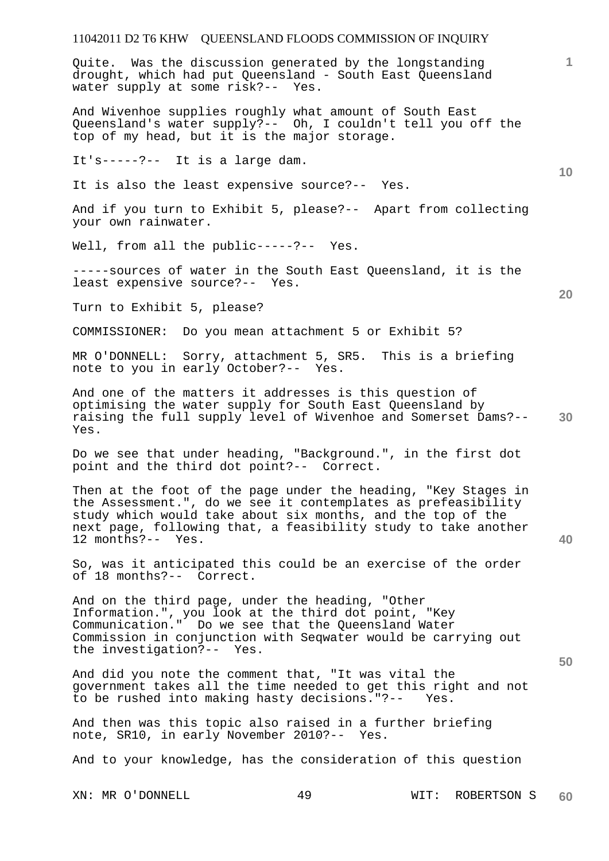Quite. Was the discussion generated by the longstanding drought, which had put Queensland - South East Queensland water supply at some risk?-- Yes.

And Wivenhoe supplies roughly what amount of South East Queensland's water supply?-- Oh, I couldn't tell you off the top of my head, but it is the major storage.

It's-----?-- It is a large dam.

It is also the least expensive source?-- Yes.

And if you turn to Exhibit 5, please?-- Apart from collecting your own rainwater.

Well, from all the public-----?-- Yes.

-----sources of water in the South East Queensland, it is the least expensive source?-- Yes.

Turn to Exhibit 5, please?

COMMISSIONER: Do you mean attachment 5 or Exhibit 5?

MR O'DONNELL: Sorry, attachment 5, SR5. This is a briefing note to you in early October?-- Yes.

**30**  And one of the matters it addresses is this question of optimising the water supply for South East Queensland by raising the full supply level of Wivenhoe and Somerset Dams?-- Yes.

Do we see that under heading, "Background.", in the first dot point and the third dot point?-- Correct.

Then at the foot of the page under the heading, "Key Stages in the Assessment.", do we see it contemplates as prefeasibility study which would take about six months, and the top of the next page, following that, a feasibility study to take another 12 months?-- Yes.

So, was it anticipated this could be an exercise of the order of 18 months?-- Correct.

And on the third page, under the heading, "Other Information.", you look at the third dot point, "Key Communication." Do we see that the Queensland Water Commission in conjunction with Seqwater would be carrying out the investigation?-- Yes.

And did you note the comment that, "It was vital the government takes all the time needed to get this right and not to be rushed into making hasty decisions."?-- Yes.

And then was this topic also raised in a further briefing note, SR10, in early November 2010?-- Yes.

And to your knowledge, has the consideration of this question

XN: MR O'DONNELL 49 WIT: ROBERTSON S **60** 

**20** 

**10** 

**50** 

**40**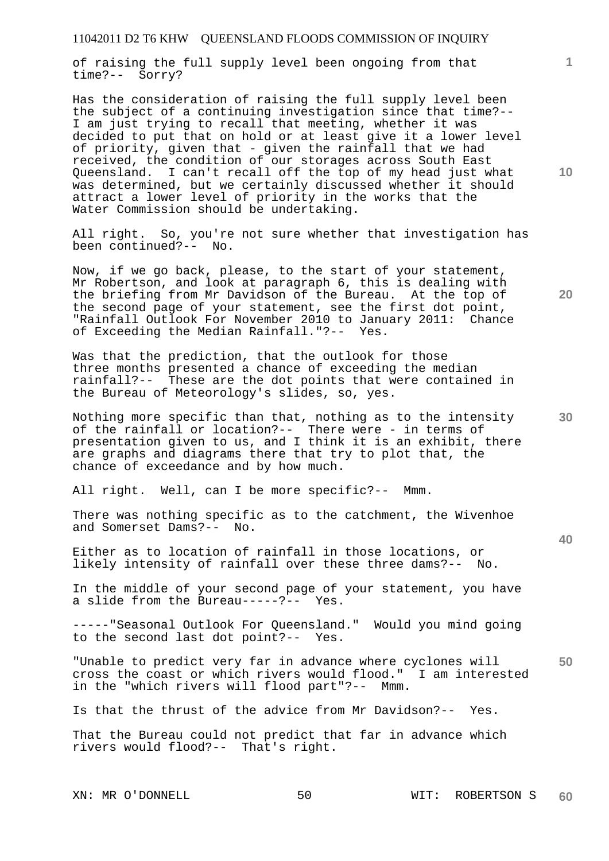of raising the full supply level been ongoing from that time?-- Sorry?

Has the consideration of raising the full supply level been the subject of a continuing investigation since that time?-- I am just trying to recall that meeting, whether it was decided to put that on hold or at least give it a lower level of priority, given that - given the rainfall that we had received, the condition of our storages across South East<br>Queensland. I can't recall off the top of my head just w I can't recall off the top of my head just what was determined, but we certainly discussed whether it should attract a lower level of priority in the works that the Water Commission should be undertaking.

All right. So, you're not sure whether that investigation has been continued?-- No.

Now, if we go back, please, to the start of your statement, Mr Robertson, and look at paragraph 6, this is dealing with the briefing from Mr Davidson of the Bureau. At the top of the second page of your statement, see the first dot point, "Rainfall Outlook For November 2010 to January 2011: Chance of Exceeding the Median Rainfall."?-- Yes.

Was that the prediction, that the outlook for those three months presented a chance of exceeding the median rainfall?-- These are the dot points that were contained in the Bureau of Meteorology's slides, so, yes.

Nothing more specific than that, nothing as to the intensity of the rainfall or location?-- There were - in terms of presentation given to us, and I think it is an exhibit, there are graphs and diagrams there that try to plot that, the chance of exceedance and by how much.

All right. Well, can I be more specific?-- Mmm.

There was nothing specific as to the catchment, the Wivenhoe and Somerset Dams?-- No.

Either as to location of rainfall in those locations, or likely intensity of rainfall over these three dams?-- No.

In the middle of your second page of your statement, you have a slide from the Bureau-----?-- Yes.

-----"Seasonal Outlook For Queensland." Would you mind going to the second last dot point?-- Yes.

**50**  "Unable to predict very far in advance where cyclones will cross the coast or which rivers would flood." I am interested<br>in the "which rivers will flood part"?-- Mmm. in the "which rivers will flood part"?--

Is that the thrust of the advice from Mr Davidson?-- Yes.

That the Bureau could not predict that far in advance which rivers would flood?-- That's right.

**10** 

**1**

**30** 

**20**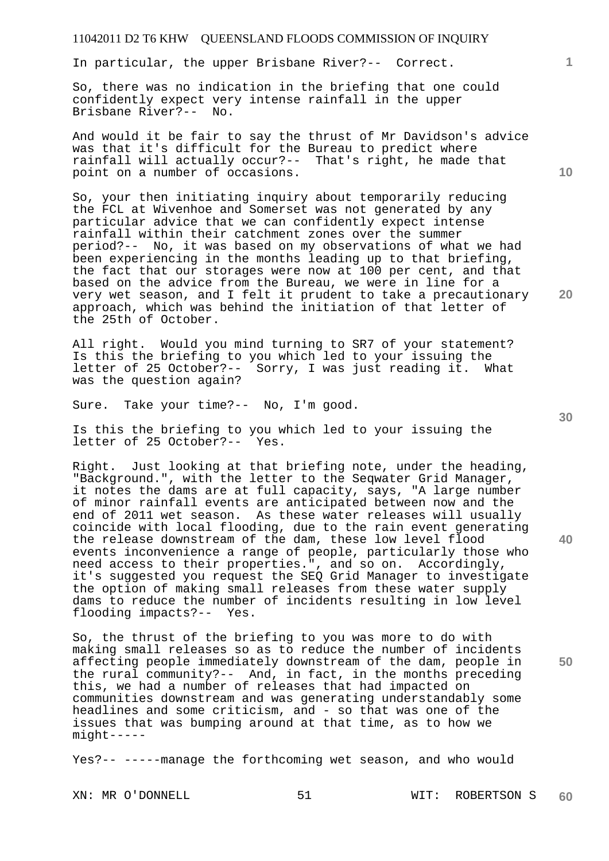In particular, the upper Brisbane River?-- Correct.

So, there was no indication in the briefing that one could confidently expect very intense rainfall in the upper Brisbane River?-- No.

And would it be fair to say the thrust of Mr Davidson's advice was that it's difficult for the Bureau to predict where rainfall will actually occur?-- That's right, he made that point on a number of occasions.

So, your then initiating inquiry about temporarily reducing the FCL at Wivenhoe and Somerset was not generated by any particular advice that we can confidently expect intense rainfall within their catchment zones over the summer period?-- No, it was based on my observations of what we had been experiencing in the months leading up to that briefing, the fact that our storages were now at 100 per cent, and that based on the advice from the Bureau, we were in line for a very wet season, and I felt it prudent to take a precautionary approach, which was behind the initiation of that letter of the 25th of October.

All right. Would you mind turning to SR7 of your statement? Is this the briefing to you which led to your issuing the letter of 25 October?-- Sorry, I was just reading it. What was the question again?

Sure. Take your time?-- No, I'm good.

Is this the briefing to you which led to your issuing the letter of 25 October?-- Yes.

Right. Just looking at that briefing note, under the heading, "Background.", with the letter to the Seqwater Grid Manager, it notes the dams are at full capacity, says, "A large number of minor rainfall events are anticipated between now and the end of 2011 wet season. As these water releases will usually coincide with local flooding, due to the rain event generating the release downstream of the dam, these low level flood events inconvenience a range of people, particularly those who need access to their properties.", and so on. Accordingly, it's suggested you request the SEQ Grid Manager to investigate the option of making small releases from these water supply dams to reduce the number of incidents resulting in low level flooding impacts?-- Yes.

So, the thrust of the briefing to you was more to do with making small releases so as to reduce the number of incidents affecting people immediately downstream of the dam, people in the rural community?-- And, in fact, in the months preceding this, we had a number of releases that had impacted on communities downstream and was generating understandably some headlines and some criticism, and - so that was one of the issues that was bumping around at that time, as to how we might-----

Yes?-- -----manage the forthcoming wet season, and who would

**10** 

**1**

**30** 

**20**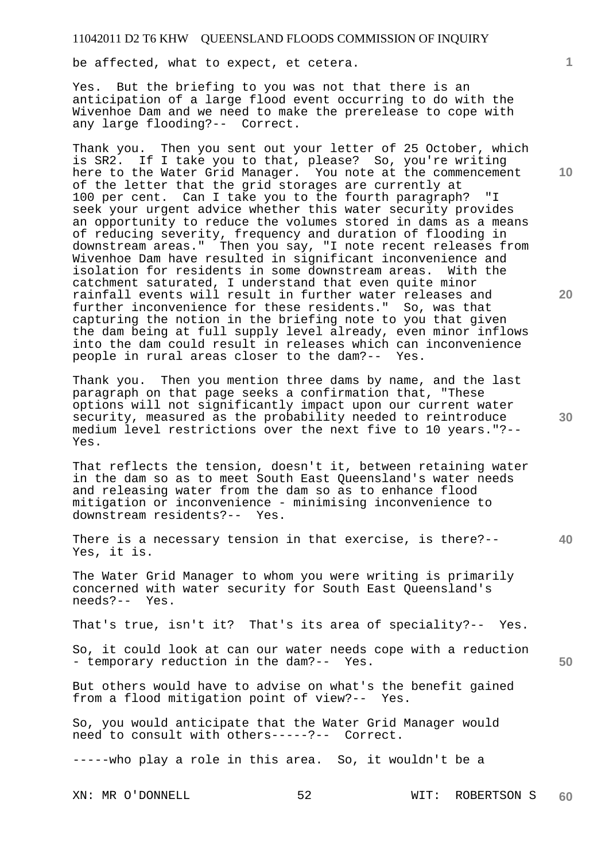be affected, what to expect, et cetera.

Yes. But the briefing to you was not that there is an anticipation of a large flood event occurring to do with the Wivenhoe Dam and we need to make the prerelease to cope with any large flooding?-- Correct.

Thank you. Then you sent out your letter of 25 October, which is SR2. If I take you to that, please? So, you're writing here to the Water Grid Manager. You note at the commencement of the letter that the grid storages are currently at 100 per cent. Can I take you to the fourth paragraph? "I seek your urgent advice whether this water security provides an opportunity to reduce the volumes stored in dams as a means of reducing severity, frequency and duration of flooding in downstream areas." Then you say, "I note recent releases from Wivenhoe Dam have resulted in significant inconvenience and isolation for residents in some downstream areas. With the catchment saturated, I understand that even quite minor rainfall events will result in further water releases and further inconvenience for these residents." So, was that capturing the notion in the briefing note to you that given the dam being at full supply level already, even minor inflows into the dam could result in releases which can inconvenience people in rural areas closer to the dam?-- Yes.

Thank you. Then you mention three dams by name, and the last paragraph on that page seeks a confirmation that, "These options will not significantly impact upon our current water security, measured as the probability needed to reintroduce medium level restrictions over the next five to 10 years."?-- Yes.

That reflects the tension, doesn't it, between retaining water in the dam so as to meet South East Queensland's water needs and releasing water from the dam so as to enhance flood mitigation or inconvenience - minimising inconvenience to downstream residents?-- Yes.

There is a necessary tension in that exercise, is there?-- Yes, it is.

The Water Grid Manager to whom you were writing is primarily concerned with water security for South East Queensland's needs?-- Yes.

That's true, isn't it? That's its area of speciality?-- Yes.

So, it could look at can our water needs cope with a reduction - temporary reduction in the dam?-- Yes.

But others would have to advise on what's the benefit gained from a flood mitigation point of view?-- Yes.

So, you would anticipate that the Water Grid Manager would need to consult with others-----?-- Correct.

-----who play a role in this area. So, it wouldn't be a

**20** 

**40** 

**50** 

**10**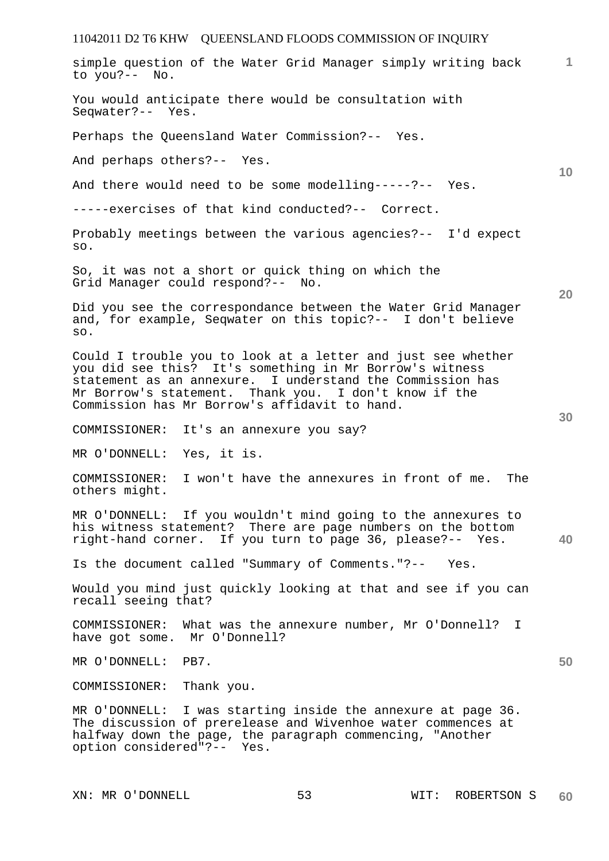| simple question of the Water Grid Manager simply writing back<br>to you?-- No.                                                                                                                                                                                                                 | $\mathbf{1}$ |
|------------------------------------------------------------------------------------------------------------------------------------------------------------------------------------------------------------------------------------------------------------------------------------------------|--------------|
| You would anticipate there would be consultation with<br>Seqwater?-- Yes.                                                                                                                                                                                                                      |              |
| Perhaps the Queensland Water Commission?-- Yes.                                                                                                                                                                                                                                                |              |
| And perhaps others?-- Yes.                                                                                                                                                                                                                                                                     |              |
| And there would need to be some modelling-----?-- Yes.                                                                                                                                                                                                                                         | 10           |
| -----exercises of that kind conducted?-- Correct.                                                                                                                                                                                                                                              |              |
| Probably meetings between the various agencies?-- I'd expect<br>SO.                                                                                                                                                                                                                            |              |
| So, it was not a short or quick thing on which the<br>Grid Manager could respond?-- No.                                                                                                                                                                                                        | 20           |
| Did you see the correspondance between the Water Grid Manager<br>and, for example, Seqwater on this topic?-- I don't believe<br>SO.                                                                                                                                                            |              |
| Could I trouble you to look at a letter and just see whether<br>you did see this? It's something in Mr Borrow's witness<br>statement as an annexure. I understand the Commission has<br>Mr Borrow's statement. Thank you. I don't know if the<br>Commission has Mr Borrow's affidavit to hand. | 30           |
| COMMISSIONER:<br>It's an annexure you say?                                                                                                                                                                                                                                                     |              |
| MR O'DONNELL: Yes, it is.                                                                                                                                                                                                                                                                      |              |
| COMMISSIONER:<br>I won't have the annexures in front of me. The<br>others might.                                                                                                                                                                                                               |              |
| MR O'DONNELL: If you wouldn't mind going to the annexures to<br>his witness statement? There are page numbers on the bottom<br>right-hand corner. If you turn to page 36, please?-- Yes.                                                                                                       | 40           |
| Is the document called "Summary of Comments."?--<br>Yes.                                                                                                                                                                                                                                       |              |
| Would you mind just quickly looking at that and see if you can<br>recall seeing that?                                                                                                                                                                                                          |              |
| COMMISSIONER: What was the annexure number, Mr O'Donnell?<br>I<br>have got some. Mr O'Donnell?                                                                                                                                                                                                 |              |
| MR O'DONNELL:<br>PB7.                                                                                                                                                                                                                                                                          | 50           |
| COMMISSIONER:<br>Thank you.                                                                                                                                                                                                                                                                    |              |
| MR O'DONNELL: I was starting inside the annexure at page 36.<br>The discussion of prerelease and Wivenhoe water commences at<br>halfway down the page, the paragraph commencing, "Another<br>option considered"?-- Yes.                                                                        |              |
|                                                                                                                                                                                                                                                                                                |              |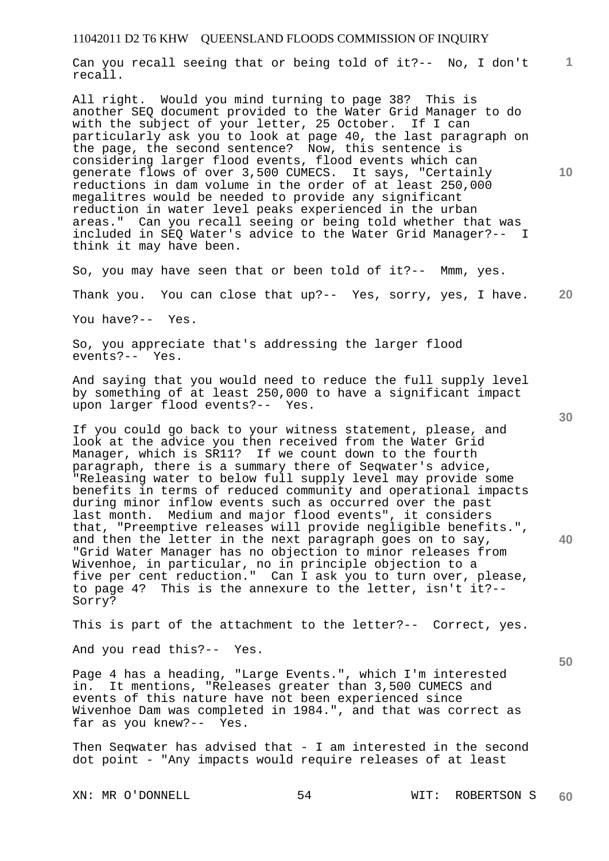**1** Can you recall seeing that or being told of it?-- No, I don't recall.

All right. Would you mind turning to page 38? This is another SEQ document provided to the Water Grid Manager to do with the subject of your letter, 25 October. If I can particularly ask you to look at page 40, the last paragraph on the page, the second sentence? Now, this sentence is considering larger flood events, flood events which can generate flows of over 3,500 CUMECS. It says, "Certainly reductions in dam volume in the order of at least 250,000 megalitres would be needed to provide any significant reduction in water level peaks experienced in the urban areas." Can you recall seeing or being told whether that was included in SEQ Water's advice to the Water Grid Manager?-- I think it may have been.

So, you may have seen that or been told of it?-- Mmm, yes.

**20**  Thank you. You can close that up?-- Yes, sorry, yes, I have.

You have?-- Yes.

So, you appreciate that's addressing the larger flood events?--

And saying that you would need to reduce the full supply level by something of at least 250,000 to have a significant impact upon larger flood events?-- Yes.

If you could go back to your witness statement, please, and look at the advice you then received from the Water Grid Manager, which is SR11? If we count down to the fourth paragraph, there is a summary there of Seqwater's advice, "Releasing water to below full supply level may provide some benefits in terms of reduced community and operational impacts during minor inflow events such as occurred over the past last month. Medium and major flood events", it considers that, "Preemptive releases will provide negligible benefits.", and then the letter in the next paragraph goes on to say, "Grid Water Manager has no objection to minor releases from Wivenhoe, in particular, no in principle objection to a five per cent reduction." Can I ask you to turn over, please, to page 4? This is the annexure to the letter, isn't it?-- Sorry?

This is part of the attachment to the letter?-- Correct, yes.

And you read this?-- Yes.

Page 4 has a heading, "Large Events.", which I'm interested in. It mentions, "Releases greater than 3,500 CUMECS and events of this nature have not been experienced since Wivenhoe Dam was completed in 1984.", and that was correct as far as you knew?-- Yes.

Then Seqwater has advised that - I am interested in the second dot point - "Any impacts would require releases of at least

**30** 

**10** 

**50**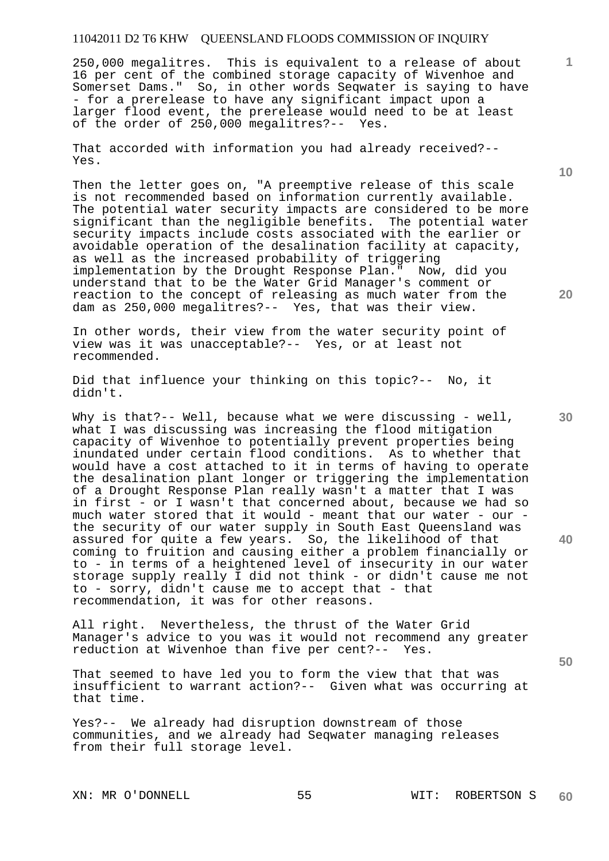250,000 megalitres. This is equivalent to a release of about 16 per cent of the combined storage capacity of Wivenhoe and Somerset Dams." So, in other words Seqwater is saying to have - for a prerelease to have any significant impact upon a larger flood event, the prerelease would need to be at least of the order of 250,000 megalitres?-- Yes.

That accorded with information you had already received?-- Yes.

Then the letter goes on, "A preemptive release of this scale is not recommended based on information currently available. The potential water security impacts are considered to be more significant than the negligible benefits. The potential water significant than the negligible benefits. security impacts include costs associated with the earlier or avoidable operation of the desalination facility at capacity, as well as the increased probability of triggering implementation by the Drought Response Plan." Now, did you understand that to be the Water Grid Manager's comment or reaction to the concept of releasing as much water from the dam as 250,000 megalitres?-- Yes, that was their view.

In other words, their view from the water security point of view was it was unacceptable?-- Yes, or at least not recommended.

Did that influence your thinking on this topic?-- No, it didn't.

Why is that?-- Well, because what we were discussing - well, what I was discussing was increasing the flood mitigation capacity of Wivenhoe to potentially prevent properties being inundated under certain flood conditions. As to whether that would have a cost attached to it in terms of having to operate the desalination plant longer or triggering the implementation of a Drought Response Plan really wasn't a matter that I was in first - or I wasn't that concerned about, because we had so much water stored that it would - meant that our water - our the security of our water supply in South East Queensland was assured for quite a few years. So, the likelihood of that coming to fruition and causing either a problem financially or to - in terms of a heightened level of insecurity in our water storage supply really I did not think - or didn't cause me not to - sorry, didn't cause me to accept that - that recommendation, it was for other reasons.

All right. Nevertheless, the thrust of the Water Grid Manager's advice to you was it would not recommend any greater reduction at Wivenhoe than five per cent?-- Yes.

That seemed to have led you to form the view that that was insufficient to warrant action?-- Given what was occurring at that time.

Yes?-- We already had disruption downstream of those communities, and we already had Seqwater managing releases from their full storage level.

**10** 

**1**

**30** 

**20** 

**40**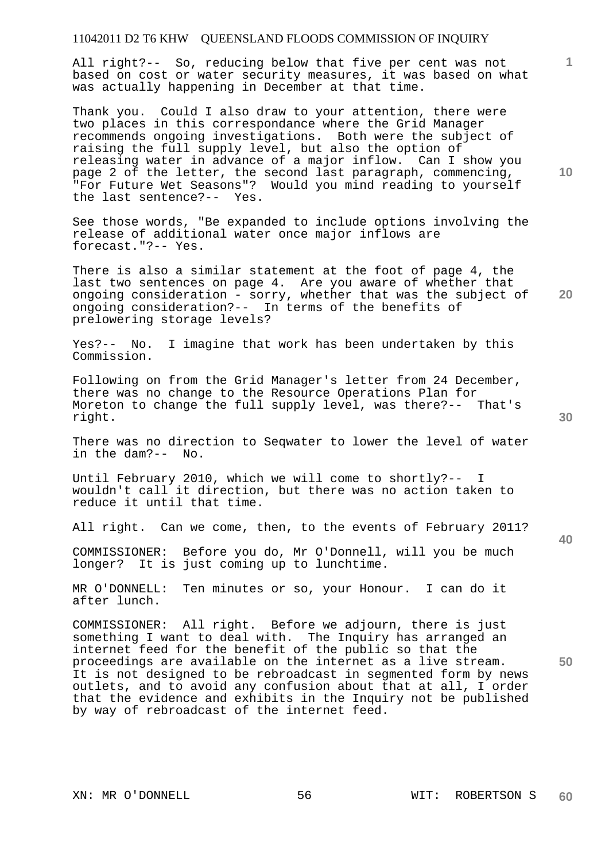All right?-- So, reducing below that five per cent was not based on cost or water security measures, it was based on what was actually happening in December at that time.

Thank you. Could I also draw to your attention, there were two places in this correspondance where the Grid Manager recommends ongoing investigations. Both were the subject of raising the full supply level, but also the option of releasing water in advance of a major inflow. Can I show you page 2 of the letter, the second last paragraph, commencing, "For Future Wet Seasons"? Would you mind reading to yourself the last sentence?-- Yes.

See those words, "Be expanded to include options involving the release of additional water once major inflows are forecast."?-- Yes.

There is also a similar statement at the foot of page 4, the last two sentences on page 4. Are you aware of whether that ongoing consideration - sorry, whether that was the subject of ongoing consideration?-- In terms of the benefits of prelowering storage levels?

Yes?-- No. I imagine that work has been undertaken by this Commission.

Following on from the Grid Manager's letter from 24 December, there was no change to the Resource Operations Plan for Moreton to change the full supply level, was there?-- That's right.

There was no direction to Seqwater to lower the level of water in the dam?-- No.

Until February 2010, which we will come to shortly?-wouldn't call it direction, but there was no action taken to reduce it until that time.

All right. Can we come, then, to the events of February 2011?

COMMISSIONER: Before you do, Mr O'Donnell, will you be much longer? It is just coming up to lunchtime.

MR O'DONNELL: Ten minutes or so, your Honour. I can do it after lunch.

COMMISSIONER: All right. Before we adjourn, there is just something I want to deal with. The Inquiry has arranged an internet feed for the benefit of the public so that the proceedings are available on the internet as a live stream. It is not designed to be rebroadcast in segmented form by news outlets, and to avoid any confusion about that at all, I order that the evidence and exhibits in the Inquiry not be published by way of rebroadcast of the internet feed.

**10** 

**1**

**40** 

**50**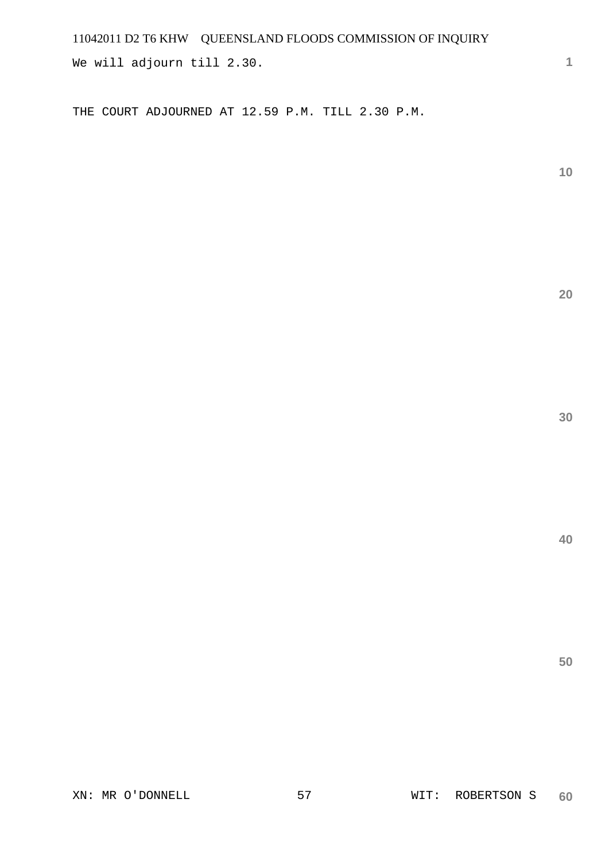We will adjourn till 2.30.

THE COURT ADJOURNED AT 12.59 P.M. TILL 2.30 P.M.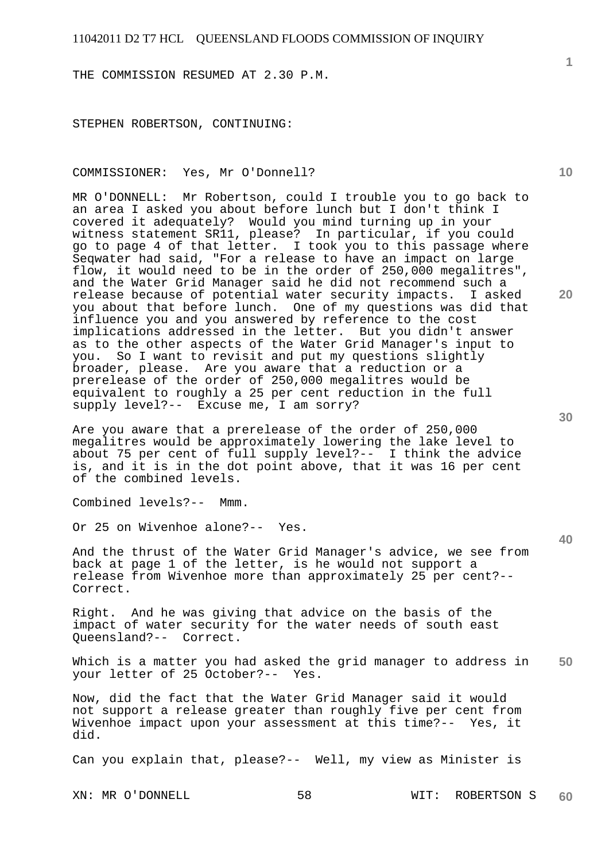THE COMMISSION RESUMED AT 2.30 P.M.

STEPHEN ROBERTSON, CONTINUING:

#### COMMISSIONER: Yes, Mr O'Donnell?

MR O'DONNELL: Mr Robertson, could I trouble you to go back to an area I asked you about before lunch but I don't think I covered it adequately? Would you mind turning up in your witness statement SR11, please? In particular, if you could with so statement bill, presser. In Fernanding that is passage where Seqwater had said, "For a release to have an impact on large flow, it would need to be in the order of 250,000 megalitres", and the Water Grid Manager said he did not recommend such a release because of potential water security impacts. I asked you about that before lunch. One of my questions was did that influence you and you answered by reference to the cost implications addressed in the letter. But you didn't answer as to the other aspects of the Water Grid Manager's input to you. So I want to revisit and put my questions slightly broader, please. Are you aware that a reduction or a prerelease of the order of 250,000 megalitres would be equivalent to roughly a 25 per cent reduction in the full supply level?-- Excuse me, I am sorry?

Are you aware that a prerelease of the order of 250,000 megalitres would be approximately lowering the lake level to about 75 per cent of full supply level?-- I think the advice is, and it is in the dot point above, that it was 16 per cent of the combined levels.

Combined levels?-- Mmm.

Or 25 on Wivenhoe alone?-- Yes.

And the thrust of the Water Grid Manager's advice, we see from back at page 1 of the letter, is he would not support a release from Wivenhoe more than approximately 25 per cent?-- Correct.

Right. And he was giving that advice on the basis of the impact of water security for the water needs of south east Queensland?-- Correct.

**50**  Which is a matter you had asked the grid manager to address in your letter of 25 October?-- Yes.

Now, did the fact that the Water Grid Manager said it would not support a release greater than roughly five per cent from Wivenhoe impact upon your assessment at this time?-- Yes, it did.

Can you explain that, please?-- Well, my view as Minister is

XN: MR O'DONNELL 58 WIT: ROBERTSON S **60** 

**40** 

**20** 

**10**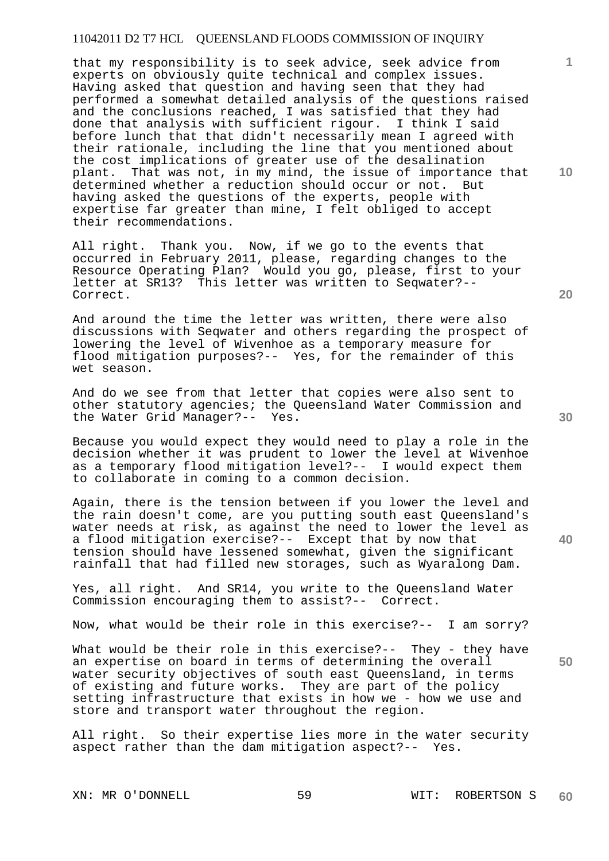that my responsibility is to seek advice, seek advice from experts on obviously quite technical and complex issues. Having asked that question and having seen that they had performed a somewhat detailed analysis of the questions raised and the conclusions reached, I was satisfied that they had done that analysis with sufficient rigour. I think I said before lunch that that didn't necessarily mean I agreed with their rationale, including the line that you mentioned about the cost implications of greater use of the desalination plant. That was not, in my mind, the issue of importance that determined whether a reduction should occur or not. But having asked the questions of the experts, people with expertise far greater than mine, I felt obliged to accept their recommendations.

All right. Thank you. Now, if we go to the events that occurred in February 2011, please, regarding changes to the Resource Operating Plan? Would you go, please, first to your letter at SR13? This letter was written to Seqwater?-- Correct.

And around the time the letter was written, there were also discussions with Seqwater and others regarding the prospect of lowering the level of Wivenhoe as a temporary measure for flood mitigation purposes?-- Yes, for the remainder of this wet season.

And do we see from that letter that copies were also sent to other statutory agencies; the Queensland Water Commission and the Water Grid Manager?-- Yes.

Because you would expect they would need to play a role in the decision whether it was prudent to lower the level at Wivenhoe as a temporary flood mitigation level?-- I would expect them to collaborate in coming to a common decision.

Again, there is the tension between if you lower the level and the rain doesn't come, are you putting south east Queensland's water needs at risk, as against the need to lower the level as a flood mitigation exercise?-- Except that by now that tension should have lessened somewhat, given the significant rainfall that had filled new storages, such as Wyaralong Dam.

Yes, all right. And SR14, you write to the Queensland Water Commission encouraging them to assist?-- Correct.

Now, what would be their role in this exercise?-- I am sorry?

What would be their role in this exercise?-- They - they have an expertise on board in terms of determining the overall water security objectives of south east Queensland, in terms of existing and future works. They are part of the policy setting infrastructure that exists in how we - how we use and store and transport water throughout the region.

All right. So their expertise lies more in the water security aspect rather than the dam mitigation aspect?-- Yes.

**10** 

**1**

**20** 

**50**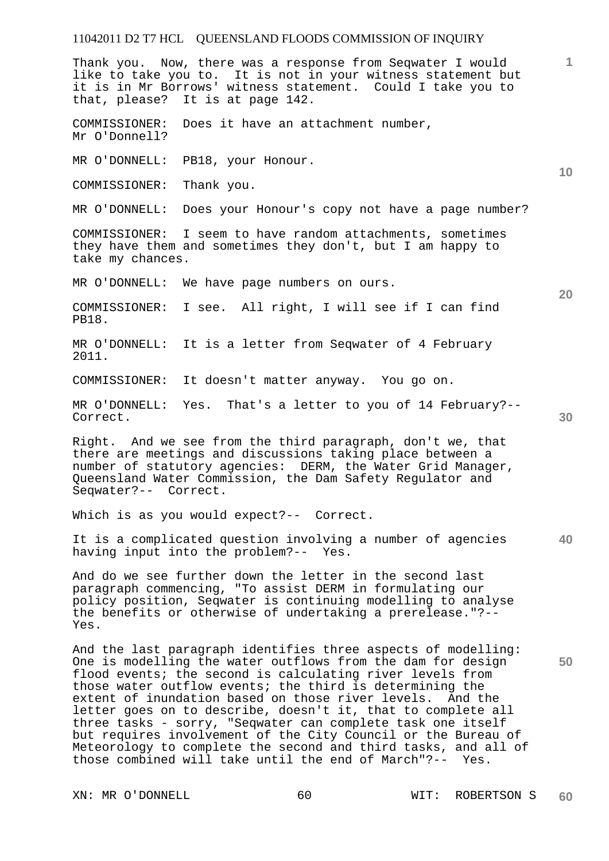Thank you. Now, there was a response from Seqwater I would like to take you to. It is not in your witness statement but it is in Mr Borrows' witness statement. Could I take you to that, please? It is at page 142.

COMMISSIONER: Does it have an attachment number, Mr O'Donnell?

MR O'DONNELL: PB18, your Honour.

COMMISSIONER: Thank you.

MR O'DONNELL: Does your Honour's copy not have a page number?

COMMISSIONER: I seem to have random attachments, sometimes they have them and sometimes they don't, but I am happy to take my chances.

MR O'DONNELL: We have page numbers on ours.

COMMISSIONER: I see. All right, I will see if I can find PB18.

MR O'DONNELL: It is a letter from Seqwater of 4 February 2011.

COMMISSIONER: It doesn't matter anyway. You go on.

MR O'DONNELL: Yes. That's a letter to you of 14 February?-- Correct.

Right. And we see from the third paragraph, don't we, that there are meetings and discussions taking place between a number of statutory agencies: DERM, the Water Grid Manager, Queensland Water Commission, the Dam Safety Regulator and Seqwater?-- Correct.

Which is as you would expect?-- Correct.

**40**  It is a complicated question involving a number of agencies having input into the problem?-- Yes.

And do we see further down the letter in the second last paragraph commencing, "To assist DERM in formulating our policy position, Seqwater is continuing modelling to analyse the benefits or otherwise of undertaking a prerelease."?-- Yes.

And the last paragraph identifies three aspects of modelling: One is modelling the water outflows from the dam for design flood events; the second is calculating river levels from those water outflow events; the third is determining the extent of inundation based on those river levels. And the letter goes on to describe, doesn't it, that to complete all three tasks - sorry, "Seqwater can complete task one itself but requires involvement of the City Council or the Bureau of Meteorology to complete the second and third tasks, and all of those combined will take until the end of March"?-- Yes.

**30** 

**50** 

**1**

**10**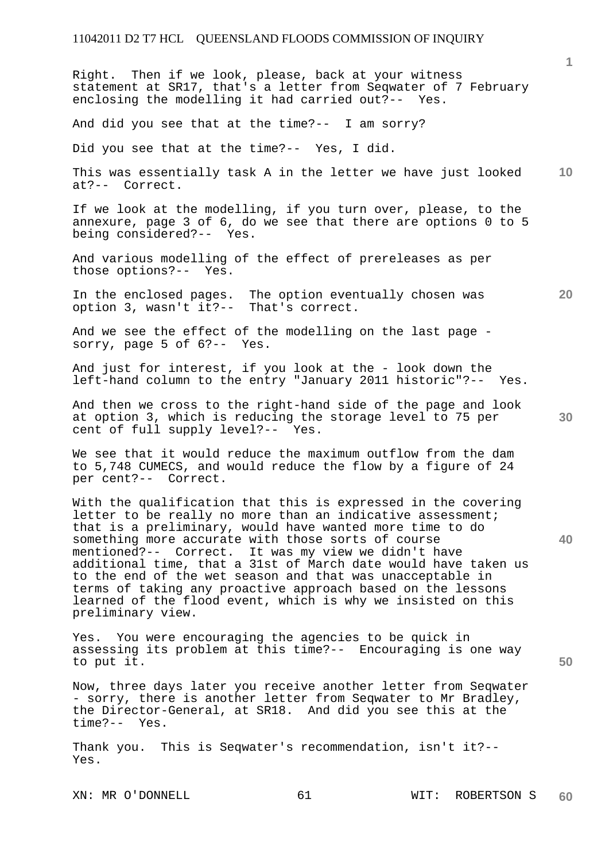Right. Then if we look, please, back at your witness statement at SR17, that's a letter from Seqwater of 7 February enclosing the modelling it had carried out?-- Yes.

And did you see that at the time?-- I am sorry?

Did you see that at the time?-- Yes, I did.

**10**  This was essentially task A in the letter we have just looked at?-- Correct.

If we look at the modelling, if you turn over, please, to the annexure, page 3 of 6, do we see that there are options 0 to 5 being considered?-- Yes.

And various modelling of the effect of prereleases as per those options?-- Yes.

In the enclosed pages. The option eventually chosen was option 3, wasn't it?-- That's correct.

And we see the effect of the modelling on the last page -<br>sorry, page 5 of  $6$ ?-- Yes. sorry, page  $5$  of  $6?--$ 

And just for interest, if you look at the - look down the left-hand column to the entry "January 2011 historic"?-- Yes.

And then we cross to the right-hand side of the page and look at option 3, which is reducing the storage level to 75 per cent of full supply level?-- Yes.

We see that it would reduce the maximum outflow from the dam to 5,748 CUMECS, and would reduce the flow by a figure of 24 per cent?-- Correct.

With the qualification that this is expressed in the covering letter to be really no more than an indicative assessment; that is a preliminary, would have wanted more time to do something more accurate with those sorts of course mentioned?-- Correct. It was my view we didn't have additional time, that a 31st of March date would have taken us to the end of the wet season and that was unacceptable in terms of taking any proactive approach based on the lessons learned of the flood event, which is why we insisted on this preliminary view.

Yes. You were encouraging the agencies to be quick in assessing its problem at this time?-- Encouraging is one way to put it.

Now, three days later you receive another letter from Seqwater - sorry, there is another letter from Seqwater to Mr Bradley, the Director-General, at SR18. And did you see this at the time?-- Yes.

Thank you. This is Seqwater's recommendation, isn't it?-- Yes.

**30** 

**40** 

**20** 

**50**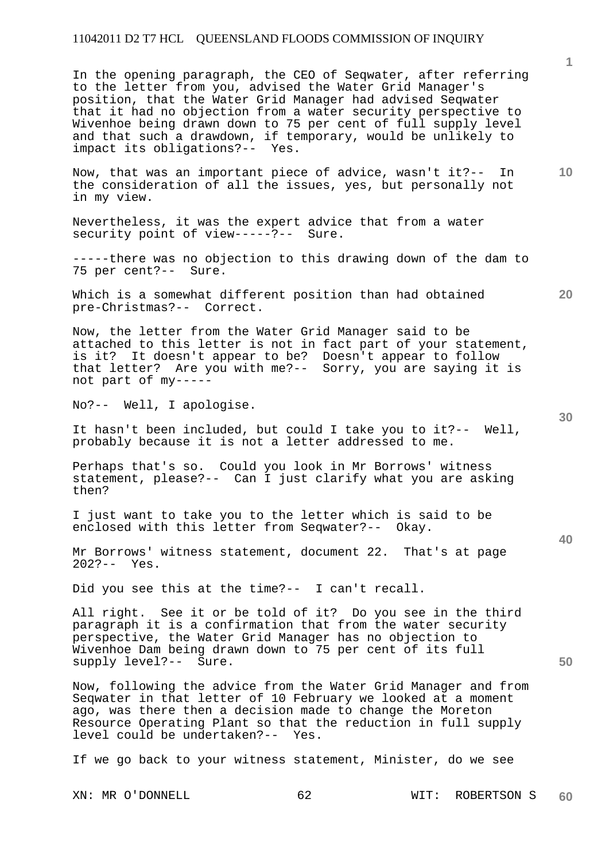In the opening paragraph, the CEO of Seqwater, after referring to the letter from you, advised the Water Grid Manager's position, that the Water Grid Manager had advised Seqwater that it had no objection from a water security perspective to Wivenhoe being drawn down to 75 per cent of full supply level and that such a drawdown, if temporary, would be unlikely to impact its obligations?-- Yes.

Now, that was an important piece of advice, wasn't it?-- In the consideration of all the issues, yes, but personally not in my view.

Nevertheless, it was the expert advice that from a water security point of view-----?-- Sure.

-----there was no objection to this drawing down of the dam to 75 per cent?-- Sure.

Which is a somewhat different position than had obtained pre-Christmas?-- Correct.

Now, the letter from the Water Grid Manager said to be attached to this letter is not in fact part of your statement, is it? It doesn't appear to be? Doesn't appear to follow that letter? Are you with me?-- Sorry, you are saying it is not part of my-----

No?-- Well, I apologise.

It hasn't been included, but could I take you to it?-- Well, probably because it is not a letter addressed to me.

Perhaps that's so. Could you look in Mr Borrows' witness statement, please?-- Can I just clarify what you are asking then?

I just want to take you to the letter which is said to be enclosed with this letter from Seqwater?-- Okay.

Mr Borrows' witness statement, document 22. That's at page 202?-- Yes.

Did you see this at the time?-- I can't recall.

All right. See it or be told of it? Do you see in the third paragraph it is a confirmation that from the water security perspective, the Water Grid Manager has no objection to Wivenhoe Dam being drawn down to 75 per cent of its full supply level?-- Sure.

Now, following the advice from the Water Grid Manager and from Seqwater in that letter of 10 February we looked at a moment ago, was there then a decision made to change the Moreton Resource Operating Plant so that the reduction in full supply level could be undertaken?-- Yes.

If we go back to your witness statement, Minister, do we see

**30** 

**40** 

**50** 

**10** 

**20**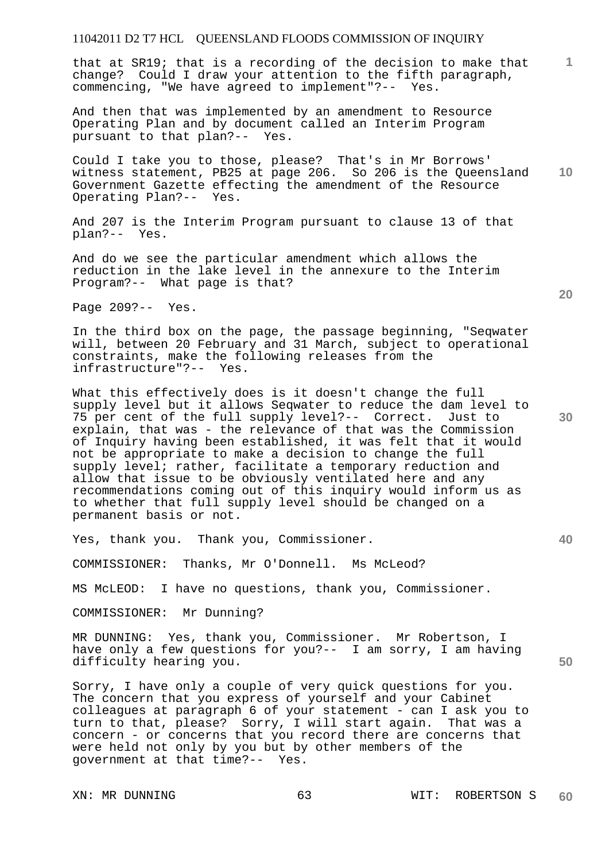**1** that at SR19; that is a recording of the decision to make that change? Could I draw your attention to the fifth paragraph, commencing, "We have agreed to implement"?-- Yes.

And then that was implemented by an amendment to Resource Operating Plan and by document called an Interim Program pursuant to that plan?-- Yes.

**10**  Could I take you to those, please? That's in Mr Borrows' witness statement, PB25 at page 206. So 206 is the Queensland Government Gazette effecting the amendment of the Resource Operating Plan?-- Yes.

And 207 is the Interim Program pursuant to clause 13 of that plan?-- Yes.

And do we see the particular amendment which allows the reduction in the lake level in the annexure to the Interim Program?-- What page is that?

Page 209?-- Yes.

In the third box on the page, the passage beginning, "Seqwater will, between 20 February and 31 March, subject to operational constraints, make the following releases from the infrastructure"?-- Yes.

What this effectively does is it doesn't change the full supply level but it allows Seqwater to reduce the dam level to 75 per cent of the full supply level?-- Correct. Just to explain, that was - the relevance of that was the Commission of Inquiry having been established, it was felt that it would not be appropriate to make a decision to change the full supply level; rather, facilitate a temporary reduction and allow that issue to be obviously ventilated here and any recommendations coming out of this inquiry would inform us as to whether that full supply level should be changed on a permanent basis or not.

Yes, thank you. Thank you, Commissioner.

COMMISSIONER: Thanks, Mr O'Donnell. Ms McLeod?

MS McLEOD: I have no questions, thank you, Commissioner.

COMMISSIONER: Mr Dunning?

MR DUNNING: Yes, thank you, Commissioner. Mr Robertson, I have only a few questions for you?-- I am sorry, I am having difficulty hearing you.

Sorry, I have only a couple of very quick questions for you. The concern that you express of yourself and your Cabinet colleagues at paragraph 6 of your statement - can I ask you to turn to that, please? Sorry, I will start again. That was a concern - or concerns that you record there are concerns that were held not only by you but by other members of the government at that time?-- Yes.

**20** 

**50**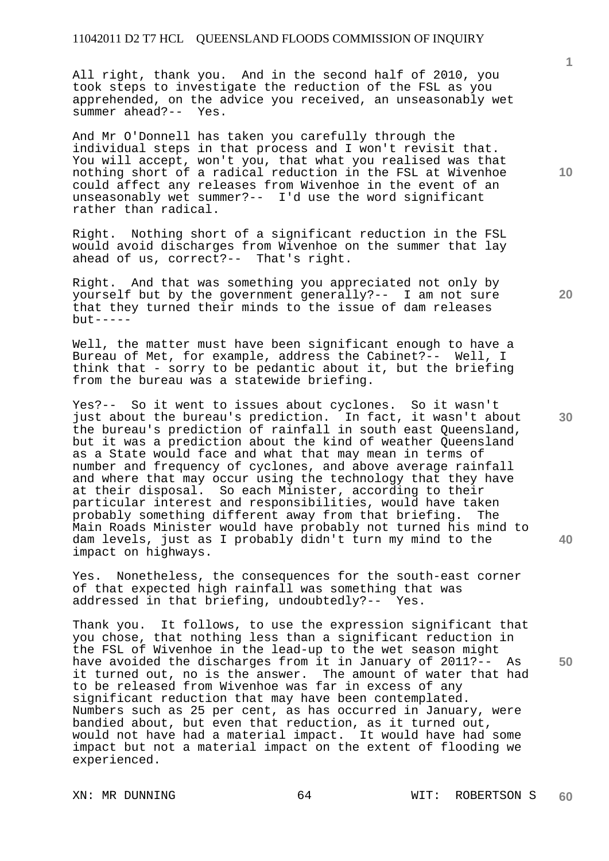All right, thank you. And in the second half of 2010, you took steps to investigate the reduction of the FSL as you apprehended, on the advice you received, an unseasonably wet summer ahead?-- Yes.

And Mr O'Donnell has taken you carefully through the individual steps in that process and I won't revisit that. You will accept, won't you, that what you realised was that nothing short of a radical reduction in the FSL at Wivenhoe could affect any releases from Wivenhoe in the event of an unseasonably wet summer?-- I'd use the word significant rather than radical.

Right. Nothing short of a significant reduction in the FSL would avoid discharges from Wivenhoe on the summer that lay ahead of us, correct?-- That's right.

Right. And that was something you appreciated not only by yourself but by the government generally?-- I am not sure that they turned their minds to the issue of dam releases  $but -- --$ 

Well, the matter must have been significant enough to have a Bureau of Met, for example, address the Cabinet?-- Well, I think that - sorry to be pedantic about it, but the briefing from the bureau was a statewide briefing.

Yes?-- So it went to issues about cyclones. So it wasn't just about the bureau's prediction. In fact, it wasn't about the bureau's prediction of rainfall in south east Queensland, but it was a prediction about the kind of weather Queensland as a State would face and what that may mean in terms of number and frequency of cyclones, and above average rainfall and where that may occur using the technology that they have at their disposal. So each Minister, according to their particular interest and responsibilities, would have taken probably something different away from that briefing. The Main Roads Minister would have probably not turned his mind to dam levels, just as I probably didn't turn my mind to the impact on highways.

Yes. Nonetheless, the consequences for the south-east corner of that expected high rainfall was something that was addressed in that briefing, undoubtedly?-- Yes.

Thank you. It follows, to use the expression significant that you chose, that nothing less than a significant reduction in the FSL of Wivenhoe in the lead-up to the wet season might have avoided the discharges from it in January of 2011?-- As it turned out, no is the answer. The amount of water that had to be released from Wivenhoe was far in excess of any significant reduction that may have been contemplated. Numbers such as 25 per cent, as has occurred in January, were bandied about, but even that reduction, as it turned out, would not have had a material impact. It would have had some impact but not a material impact on the extent of flooding we experienced.

**20** 

**10** 

**40**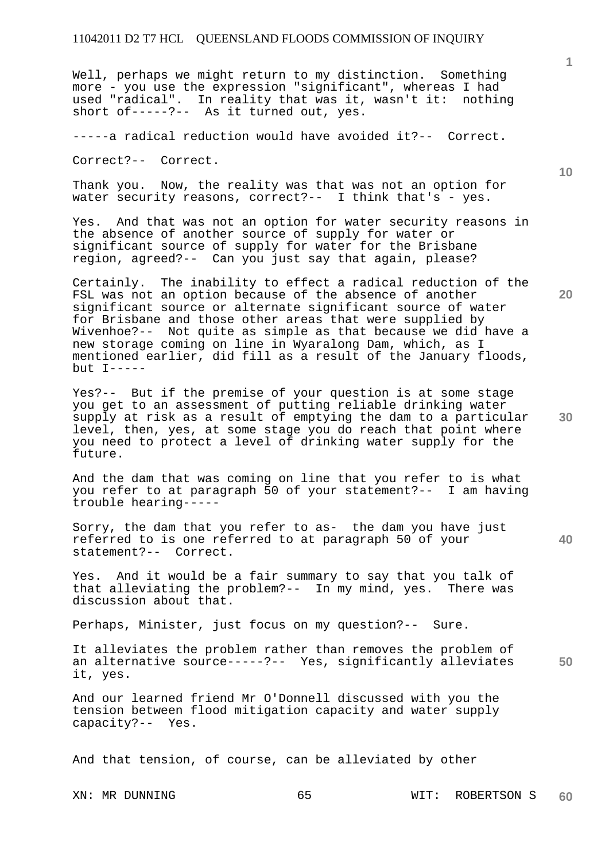Well, perhaps we might return to my distinction. Something more - you use the expression "significant", whereas I had used "radical". In reality that was it, wasn't it: nothing short of-----?-- As it turned out, yes.

-----a radical reduction would have avoided it?-- Correct.

Correct?-- Correct.

Thank you. Now, the reality was that was not an option for water security reasons, correct?-- I think that's - yes.

Yes. And that was not an option for water security reasons in the absence of another source of supply for water or significant source of supply for water for the Brisbane region, agreed?-- Can you just say that again, please?

Certainly. The inability to effect a radical reduction of the FSL was not an option because of the absence of another significant source or alternate significant source of water for Brisbane and those other areas that were supplied by Wivenhoe?-- Not quite as simple as that because we did have a new storage coming on line in Wyaralong Dam, which, as I mentioned earlier, did fill as a result of the January floods, but I-----

Yes?-- But if the premise of your question is at some stage you get to an assessment of putting reliable drinking water supply at risk as a result of emptying the dam to a particular level, then, yes, at some stage you do reach that point where you need to protect a level of drinking water supply for the future.

And the dam that was coming on line that you refer to is what you refer to at paragraph 50 of your statement?-- I am having trouble hearing-----

Sorry, the dam that you refer to as- the dam you have just referred to is one referred to at paragraph 50 of your statement?-- Correct.

Yes. And it would be a fair summary to say that you talk of that alleviating the problem?-- In my mind, yes. There was discussion about that.

Perhaps, Minister, just focus on my question?-- Sure.

It alleviates the problem rather than removes the problem of an alternative source-----?-- Yes, significantly alleviates it, yes.

And our learned friend Mr O'Donnell discussed with you the tension between flood mitigation capacity and water supply capacity?-- Yes.

And that tension, of course, can be alleviated by other

XN: MR DUNNING 65 65 WIT: ROBERTSON S **60** 

**30** 

**40** 

**50** 

**20** 

**10**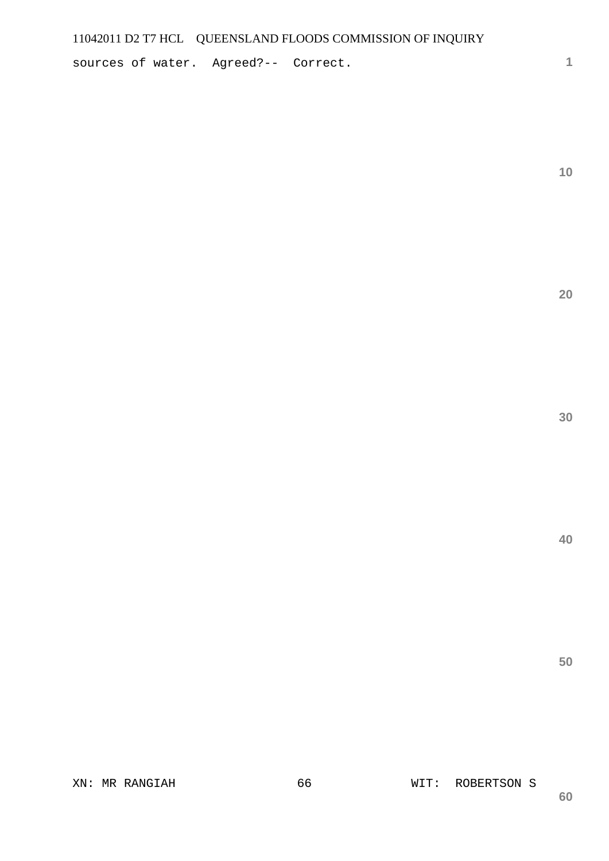sources of water. Agreed?-- Correct.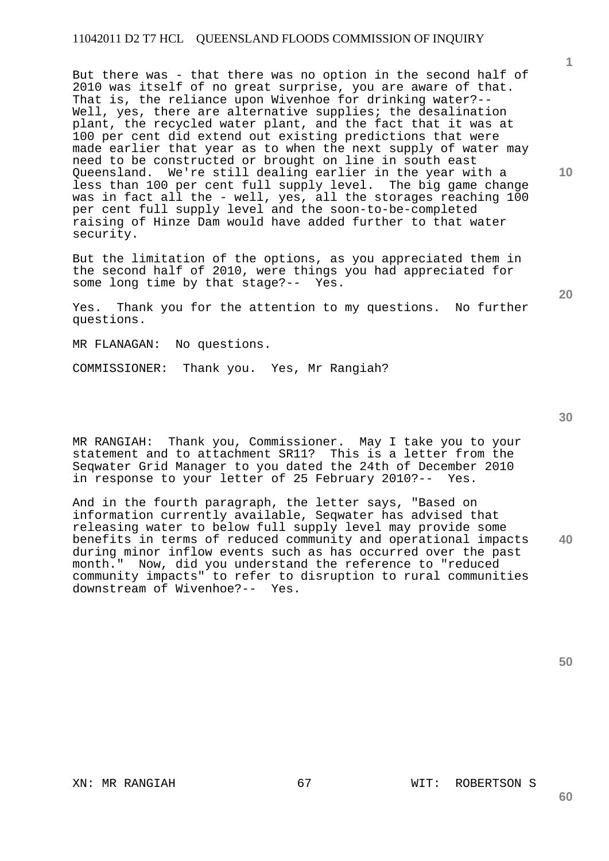But there was - that there was no option in the second half of 2010 was itself of no great surprise, you are aware of that. That is, the reliance upon Wivenhoe for drinking water?-- Well, yes, there are alternative supplies; the desalination plant, the recycled water plant, and the fact that it was at 100 per cent did extend out existing predictions that were made earlier that year as to when the next supply of water may need to be constructed or brought on line in south east Queensland. We're still dealing earlier in the year with a less than 100 per cent full supply level. The big game change was in fact all the - well, yes, all the storages reaching 100 per cent full supply level and the soon-to-be-completed raising of Hinze Dam would have added further to that water security.

But the limitation of the options, as you appreciated them in the second half of 2010, were things you had appreciated for some long time by that stage?-- Yes.

Yes. Thank you for the attention to my questions. No further questions.

MR FLANAGAN: No questions.

COMMISSIONER: Thank you. Yes, Mr Rangiah?

MR RANGIAH: Thank you, Commissioner. May I take you to your statement and to attachment SR11? This is a letter from the Seqwater Grid Manager to you dated the 24th of December 2010 in response to your letter of 25 February 2010?-- Yes.

**40**  And in the fourth paragraph, the letter says, "Based on information currently available, Seqwater has advised that releasing water to below full supply level may provide some benefits in terms of reduced community and operational impacts during minor inflow events such as has occurred over the past month." Now, did you understand the reference to "reduced community impacts" to refer to disruption to rural communities downstream of Wivenhoe?-- Yes.

**50** 

**60** 

**1**

**10** 

**30**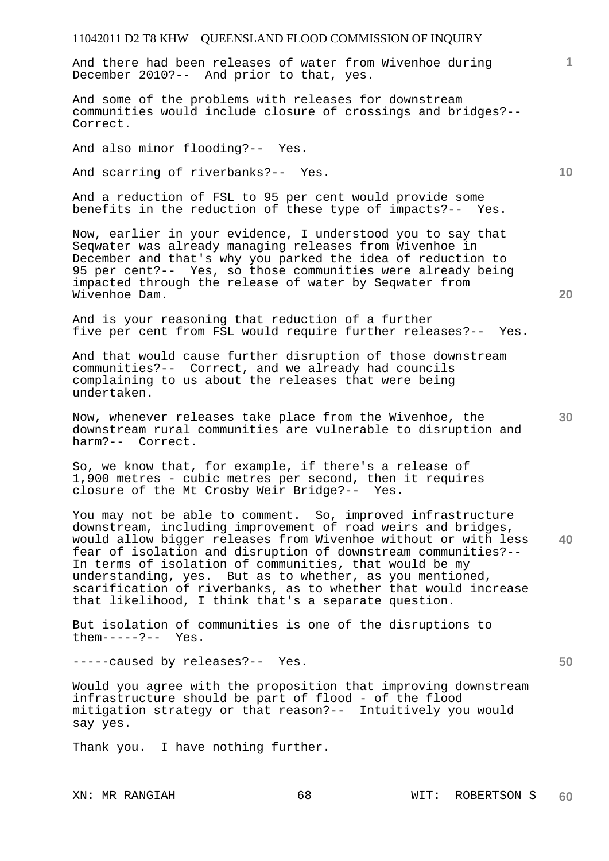And there had been releases of water from Wivenhoe during December 2010?-- And prior to that, yes.

And some of the problems with releases for downstream communities would include closure of crossings and bridges?-- Correct.

And also minor flooding?-- Yes.

And scarring of riverbanks?-- Yes.

And a reduction of FSL to 95 per cent would provide some benefits in the reduction of these type of impacts?-- Yes.

Now, earlier in your evidence, I understood you to say that Seqwater was already managing releases from Wivenhoe in December and that's why you parked the idea of reduction to 95 per cent?-- Yes, so those communities were already being impacted through the release of water by Seqwater from Wivenhoe Dam.

And is your reasoning that reduction of a further five per cent from FSL would require further releases?-- Yes.

And that would cause further disruption of those downstream communities?-- Correct, and we already had councils complaining to us about the releases that were being undertaken.

Now, whenever releases take place from the Wivenhoe, the downstream rural communities are vulnerable to disruption and harm?-- Correct.

So, we know that, for example, if there's a release of 1,900 metres - cubic metres per second, then it requires closure of the Mt Crosby Weir Bridge?-- Yes.

**40**  You may not be able to comment. So, improved infrastructure downstream, including improvement of road weirs and bridges, would allow bigger releases from Wivenhoe without or with less fear of isolation and disruption of downstream communities?-- In terms of isolation of communities, that would be my understanding, yes. But as to whether, as you mentioned, scarification of riverbanks, as to whether that would increase that likelihood, I think that's a separate question.

But isolation of communities is one of the disruptions to them-----?-- Yes.

-----caused by releases?-- Yes.

Would you agree with the proposition that improving downstream infrastructure should be part of flood - of the flood mitigation strategy or that reason?-- Intuitively you would say yes.

Thank you. I have nothing further.

**20** 

**10** 

**1**

**30**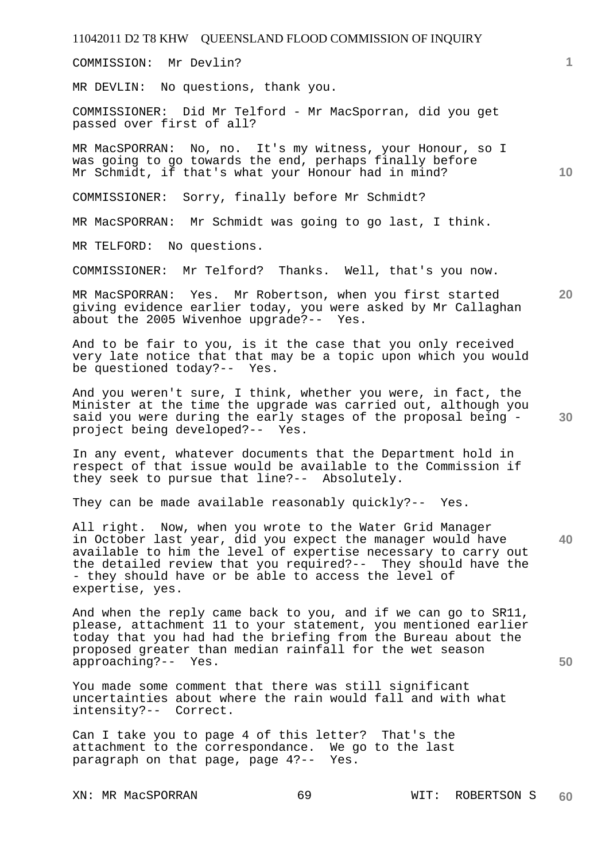COMMISSION: Mr Devlin?

MR DEVLIN: No questions, thank you.

COMMISSIONER: Did Mr Telford - Mr MacSporran, did you get passed over first of all?

MR MacSPORRAN: No, no. It's my witness, your Honour, so I was going to go towards the end, perhaps finally before Mr Schmidt, if that's what your Honour had in mind?

COMMISSIONER: Sorry, finally before Mr Schmidt?

MR MacSPORRAN: Mr Schmidt was going to go last, I think.

MR TELFORD: No questions.

COMMISSIONER: Mr Telford? Thanks. Well, that's you now.

MR MacSPORRAN: Yes. Mr Robertson, when you first started giving evidence earlier today, you were asked by Mr Callaghan about the 2005 Wivenhoe upgrade?-- Yes.

And to be fair to you, is it the case that you only received very late notice that that may be a topic upon which you would be questioned today?-- Yes.

And you weren't sure, I think, whether you were, in fact, the Minister at the time the upgrade was carried out, although you said you were during the early stages of the proposal being project being developed?-- Yes.

In any event, whatever documents that the Department hold in respect of that issue would be available to the Commission if they seek to pursue that line?-- Absolutely.

They can be made available reasonably quickly?-- Yes.

**40**  All right. Now, when you wrote to the Water Grid Manager in October last year, did you expect the manager would have available to him the level of expertise necessary to carry out the detailed review that you required?-- They should have the - they should have or be able to access the level of expertise, yes.

And when the reply came back to you, and if we can go to SR11, please, attachment 11 to your statement, you mentioned earlier today that you had had the briefing from the Bureau about the proposed greater than median rainfall for the wet season approaching?-- Yes.

You made some comment that there was still significant uncertainties about where the rain would fall and with what intensity?-- Correct.

Can I take you to page 4 of this letter? That's the attachment to the correspondance. We go to the last paragraph on that page, page 4?-- Yes.

**30** 

**50** 

**20** 

**10**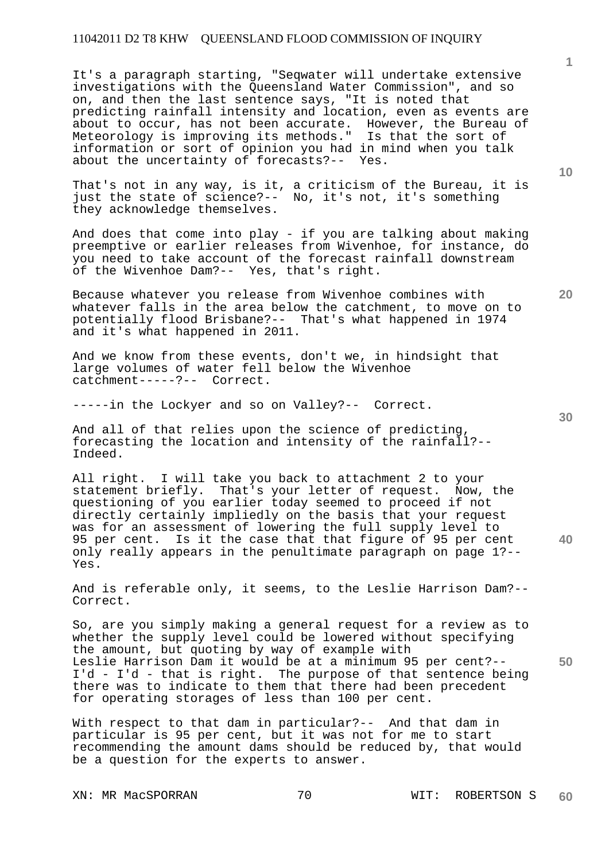It's a paragraph starting, "Seqwater will undertake extensive investigations with the Queensland Water Commission", and so on, and then the last sentence says, "It is noted that predicting rainfall intensity and location, even as events are about to occur, has not been accurate. However, the Bureau of Meteorology is improving its methods." Is that the sort of information or sort of opinion you had in mind when you talk about the uncertainty of forecasts?-- Yes.

That's not in any way, is it, a criticism of the Bureau, it is just the state of science?-- No, it's not, it's something they acknowledge themselves.

And does that come into play - if you are talking about making preemptive or earlier releases from Wivenhoe, for instance, do you need to take account of the forecast rainfall downstream of the Wivenhoe Dam?-- Yes, that's right.

Because whatever you release from Wivenhoe combines with whatever falls in the area below the catchment, to move on to potentially flood Brisbane?-- That's what happened in 1974 and it's what happened in 2011.

And we know from these events, don't we, in hindsight that large volumes of water fell below the Wivenhoe catchment-----?-- Correct.

-----in the Lockyer and so on Valley?-- Correct.

And all of that relies upon the science of predicting, forecasting the location and intensity of the rainfall?-- Indeed.

All right. I will take you back to attachment 2 to your statement briefly. That's your letter of request. Now, the questioning of you earlier today seemed to proceed if not directly certainly impliedly on the basis that your request was for an assessment of lowering the full supply level to 95 per cent. Is it the case that that figure of 95 per cent only really appears in the penultimate paragraph on page 1?-- Yes.

And is referable only, it seems, to the Leslie Harrison Dam?-- Correct.

**50**  So, are you simply making a general request for a review as to whether the supply level could be lowered without specifying the amount, but quoting by way of example with Leslie Harrison Dam it would be at a minimum 95 per cent?-- I'd - I'd - that is right. The purpose of that sentence being there was to indicate to them that there had been precedent for operating storages of less than 100 per cent.

With respect to that dam in particular?-- And that dam in particular is 95 per cent, but it was not for me to start recommending the amount dams should be reduced by, that would be a question for the experts to answer.

XN: MR MacSPORRAN 70 70 WIT: ROBERTSON S **60** 

**10** 

**20** 

**1**

**30**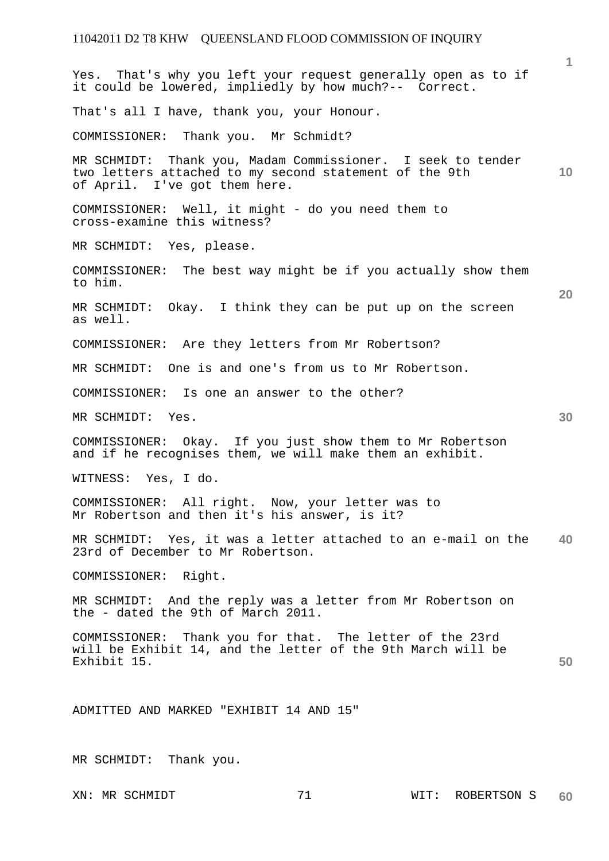**1 10 20 30 40 50**  Yes. That's why you left your request generally open as to if it could be lowered, impliedly by how much?-- Correct. That's all I have, thank you, your Honour. COMMISSIONER: Thank you. Mr Schmidt? MR SCHMIDT: Thank you, Madam Commissioner. I seek to tender two letters attached to my second statement of the 9th of April. I've got them here. COMMISSIONER: Well, it might - do you need them to cross-examine this witness? MR SCHMIDT: Yes, please. COMMISSIONER: The best way might be if you actually show them to him. MR SCHMIDT: Okay. I think they can be put up on the screen as well. COMMISSIONER: Are they letters from Mr Robertson? MR SCHMIDT: One is and one's from us to Mr Robertson. COMMISSIONER: Is one an answer to the other? MR SCHMIDT: Yes. COMMISSIONER: Okay. If you just show them to Mr Robertson and if he recognises them, we will make them an exhibit. WITNESS: Yes, I do. COMMISSIONER: All right. Now, your letter was to Mr Robertson and then it's his answer, is it? MR SCHMIDT: Yes, it was a letter attached to an e-mail on the 23rd of December to Mr Robertson. COMMISSIONER: Right. MR SCHMIDT: And the reply was a letter from Mr Robertson on the - dated the 9th of March 2011. COMMISSIONER: Thank you for that. The letter of the 23rd will be Exhibit 14, and the letter of the 9th March will be Exhibit 15. ADMITTED AND MARKED "EXHIBIT 14 AND 15" MR SCHMIDT: Thank you.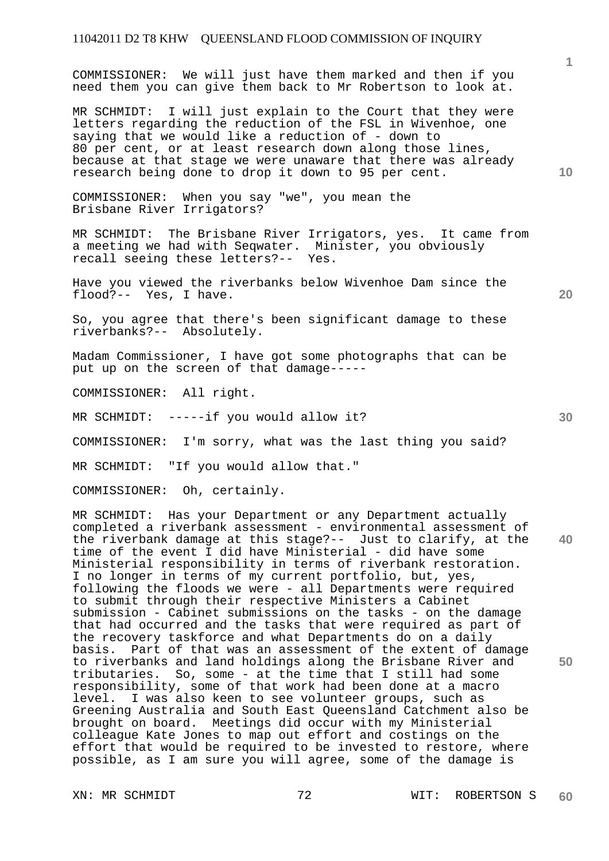COMMISSIONER: We will just have them marked and then if you need them you can give them back to Mr Robertson to look at.

MR SCHMIDT: I will just explain to the Court that they were letters regarding the reduction of the FSL in Wivenhoe, one saying that we would like a reduction of - down to 80 per cent, or at least research down along those lines, because at that stage we were unaware that there was already research being done to drop it down to 95 per cent.

COMMISSIONER: When you say "we", you mean the Brisbane River Irrigators?

MR SCHMIDT: The Brisbane River Irrigators, yes. It came from a meeting we had with Seqwater. Minister, you obviously recall seeing these letters?-- Yes.

Have you viewed the riverbanks below Wivenhoe Dam since the flood?-- Yes, I have.

So, you agree that there's been significant damage to these riverbanks?-- Absolutely.

Madam Commissioner, I have got some photographs that can be put up on the screen of that damage-----

COMMISSIONER: All right.

MR SCHMIDT: -----if you would allow it?

COMMISSIONER: I'm sorry, what was the last thing you said?

MR SCHMIDT: "If you would allow that."

COMMISSIONER: Oh, certainly.

**40 50**  MR SCHMIDT: Has your Department or any Department actually completed a riverbank assessment - environmental assessment of the riverbank damage at this stage?-- Just to clarify, at the time of the event I did have Ministerial - did have some Ministerial responsibility in terms of riverbank restoration. I no longer in terms of my current portfolio, but, yes, following the floods we were - all Departments were required to submit through their respective Ministers a Cabinet submission - Cabinet submissions on the tasks - on the damage that had occurred and the tasks that were required as part of the recovery taskforce and what Departments do on a daily basis. Part of that was an assessment of the extent of damage to riverbanks and land holdings along the Brisbane River and tributaries. So, some - at the time that I still had some responsibility, some of that work had been done at a macro level. I was also keen to see volunteer groups, such as Greening Australia and South East Queensland Catchment also be brought on board. Meetings did occur with my Ministerial colleague Kate Jones to map out effort and costings on the effort that would be required to be invested to restore, where possible, as I am sure you will agree, some of the damage is

**10** 

**1**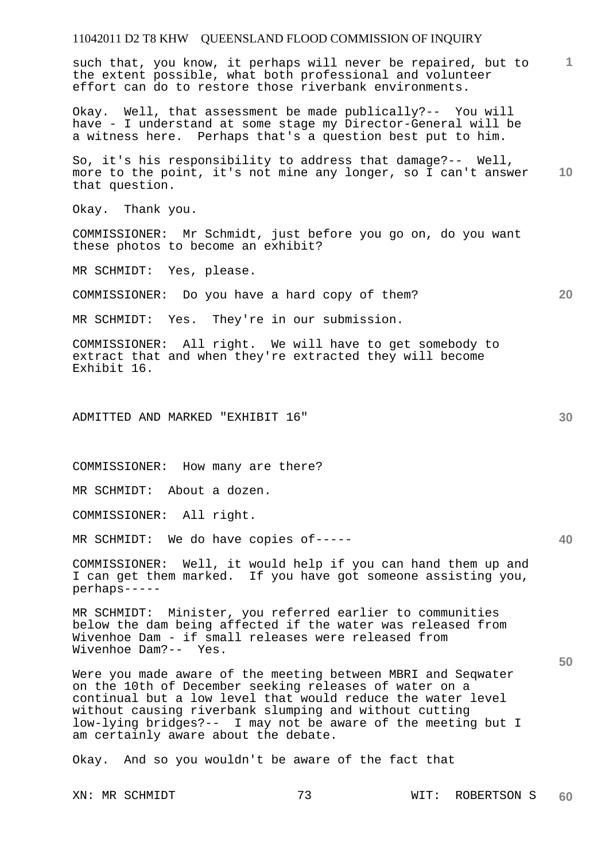**1** such that, you know, it perhaps will never be repaired, but to the extent possible, what both professional and volunteer effort can do to restore those riverbank environments.

Okay. Well, that assessment be made publically?-- You will have - I understand at some stage my Director-General will be a witness here. Perhaps that's a question best put to him.

**10**  So, it's his responsibility to address that damage?-- Well, more to the point, it's not mine any longer, so I can't answer that question.

Okay. Thank you.

COMMISSIONER: Mr Schmidt, just before you go on, do you want these photos to become an exhibit?

MR SCHMIDT: Yes, please.

COMMISSIONER: Do you have a hard copy of them?

MR SCHMIDT: Yes. They're in our submission.

COMMISSIONER: All right. We will have to get somebody to extract that and when they're extracted they will become Exhibit 16.

ADMITTED AND MARKED "EXHIBIT 16"

COMMISSIONER: How many are there?

MR SCHMIDT: About a dozen.

COMMISSIONER: All right.

MR SCHMIDT: We do have copies of-----

COMMISSIONER: Well, it would help if you can hand them up and I can get them marked. If you have got someone assisting you, perhaps-----

MR SCHMIDT: Minister, you referred earlier to communities below the dam being affected if the water was released from Wivenhoe Dam - if small releases were released from Wivenhoe Dam?-- Yes.

Were you made aware of the meeting between MBRI and Seqwater on the 10th of December seeking releases of water on a continual but a low level that would reduce the water level without causing riverbank slumping and without cutting low-lying bridges?-- I may not be aware of the meeting but I am certainly aware about the debate.

Okay. And so you wouldn't be aware of the fact that

**30** 

**20** 

**40**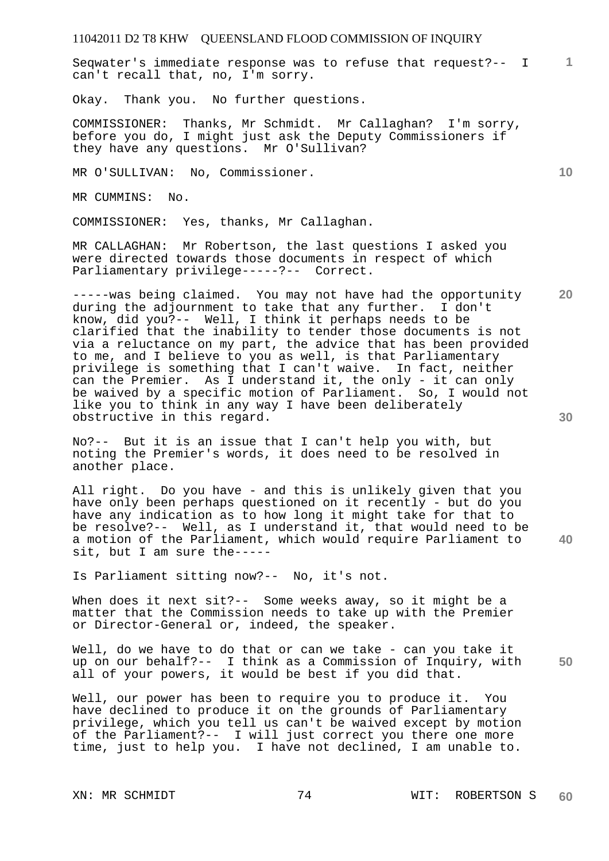**1** Seqwater's immediate response was to refuse that request?-- I can't recall that, no, I'm sorry.

Okay. Thank you. No further questions.

COMMISSIONER: Thanks, Mr Schmidt. Mr Callaghan? I'm sorry, before you do, I might just ask the Deputy Commissioners if they have any questions. Mr O'Sullivan?

MR O'SULLIVAN: No, Commissioner.

MR CUMMINS: No.

COMMISSIONER: Yes, thanks, Mr Callaghan.

MR CALLAGHAN: Mr Robertson, the last questions I asked you were directed towards those documents in respect of which Parliamentary privilege-----?-- Correct.

-----was being claimed. You may not have had the opportunity during the adjournment to take that any further. I don't know, did you?-- Well, I think it perhaps needs to be clarified that the inability to tender those documents is not via a reluctance on my part, the advice that has been provided to me, and I believe to you as well, is that Parliamentary privilege is something that I can't waive. In fact, neither can the Premier. As I understand it, the only - it can only be waived by a specific motion of Parliament. So, I would not like you to think in any way I have been deliberately obstructive in this regard.

No?-- But it is an issue that I can't help you with, but noting the Premier's words, it does need to be resolved in another place.

All right. Do you have - and this is unlikely given that you have only been perhaps questioned on it recently - but do you have any indication as to how long it might take for that to be resolve?-- Well, as I understand it, that would need to be a motion of the Parliament, which would require Parliament to sit, but I am sure the-----

Is Parliament sitting now?-- No, it's not.

When does it next sit?-- Some weeks away, so it might be a matter that the Commission needs to take up with the Premier or Director-General or, indeed, the speaker.

**50**  Well, do we have to do that or can we take - can you take it up on our behalf?-- I think as a Commission of Inquiry, with all of your powers, it would be best if you did that.

Well, our power has been to require you to produce it. You have declined to produce it on the grounds of Parliamentary privilege, which you tell us can't be waived except by motion of the Parliament?-- I will just correct you there one more time, just to help you. I have not declined, I am unable to.

**10** 

**20**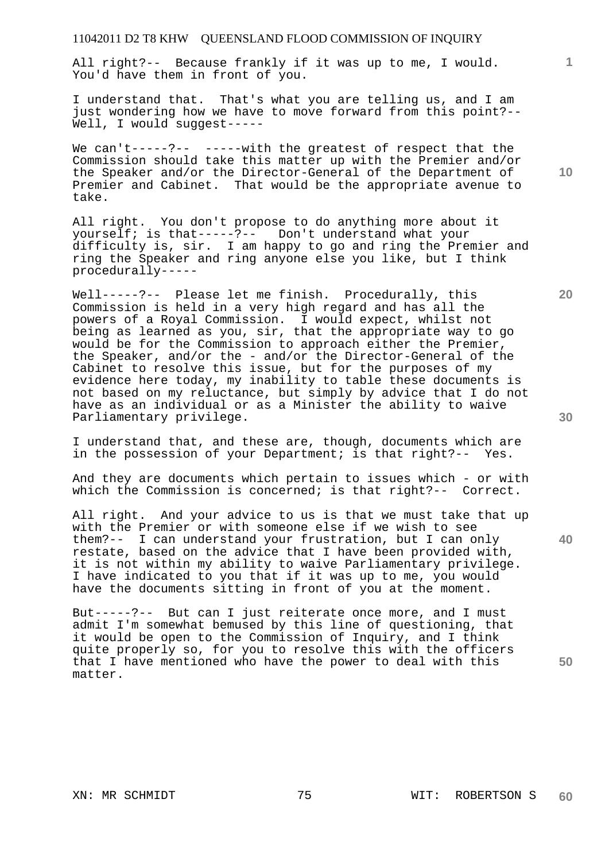All right?-- Because frankly if it was up to me, I would. You'd have them in front of you.

I understand that. That's what you are telling us, and I am just wondering how we have to move forward from this point?-- Well, I would suggest-----

We can't-----?-- -----with the greatest of respect that the Commission should take this matter up with the Premier and/or the Speaker and/or the Director-General of the Department of Premier and Cabinet. That would be the appropriate avenue to take.

All right. You don't propose to do anything more about it yourself; is that-----?-- Don't understand what your difficulty is, sir. I am happy to go and ring the Premier and ring the Speaker and ring anyone else you like, but I think procedurally-----

Well-----?-- Please let me finish. Procedurally, this Commission is held in a very high regard and has all the powers of a Royal Commission. I would expect, whilst not being as learned as you, sir, that the appropriate way to go would be for the Commission to approach either the Premier, the Speaker, and/or the - and/or the Director-General of the Cabinet to resolve this issue, but for the purposes of my evidence here today, my inability to table these documents is not based on my reluctance, but simply by advice that I do not have as an individual or as a Minister the ability to waive Parliamentary privilege.

I understand that, and these are, though, documents which are in the possession of your Department; is that right?-- Yes.

And they are documents which pertain to issues which - or with which the Commission is concerned; is that right?-- Correct.

All right. And your advice to us is that we must take that up with the Premier or with someone else if we wish to see them?-- I can understand your frustration, but I can only restate, based on the advice that I have been provided with, it is not within my ability to waive Parliamentary privilege. I have indicated to you that if it was up to me, you would have the documents sitting in front of you at the moment.

But-----?-- But can I just reiterate once more, and I must admit I'm somewhat bemused by this line of questioning, that it would be open to the Commission of Inquiry, and I think quite properly so, for you to resolve this with the officers that I have mentioned who have the power to deal with this matter.

**10** 

**1**

**30** 

**20** 

**40**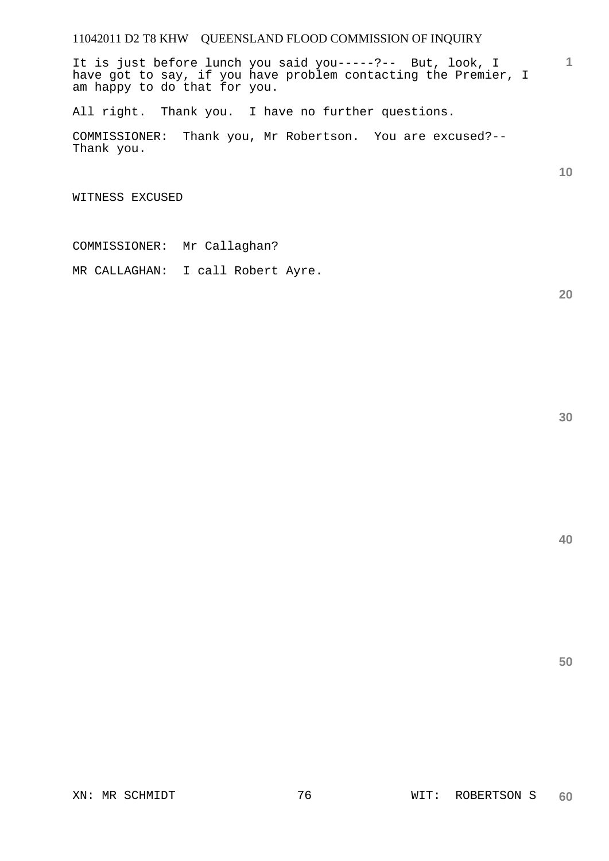It is just before lunch you said you-----?-- But, look, I have got to say, if you have problem contacting the Premier, I am happy to do that for you.

All right. Thank you. I have no further questions.

COMMISSIONER: Thank you, Mr Robertson. You are excused?-- Thank you.

WITNESS EXCUSED

COMMISSIONER: Mr Callaghan?

MR CALLAGHAN: I call Robert Ayre.

**20** 

**1**

**10**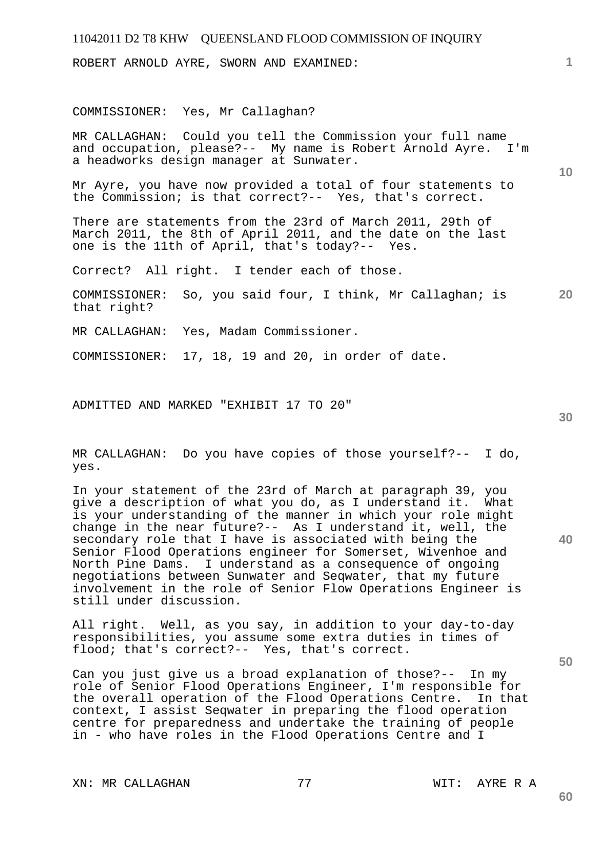ROBERT ARNOLD AYRE, SWORN AND EXAMINED:

#### COMMISSIONER: Yes, Mr Callaghan?

MR CALLAGHAN: Could you tell the Commission your full name and occupation, please?-- My name is Robert Arnold Ayre. I'm a headworks design manager at Sunwater.

Mr Ayre, you have now provided a total of four statements to the Commission; is that correct?-- Yes, that's correct.

There are statements from the 23rd of March 2011, 29th of March 2011, the 8th of April 2011, and the date on the last one is the 11th of April, that's today?-- Yes.

Correct? All right. I tender each of those.

**20**  COMMISSIONER: So, you said four, I think, Mr Callaghan; is that right?

MR CALLAGHAN: Yes, Madam Commissioner.

COMMISSIONER: 17, 18, 19 and 20, in order of date.

ADMITTED AND MARKED "EXHIBIT 17 TO 20"

MR CALLAGHAN: Do you have copies of those yourself?-- I do, yes.

In your statement of the 23rd of March at paragraph 39, you give a description of what you do, as I understand it. What is your understanding of the manner in which your role might change in the near future?-- As I understand it, well, the secondary role that I have is associated with being the Senior Flood Operations engineer for Somerset, Wivenhoe and North Pine Dams. I understand as a consequence of ongoing negotiations between Sunwater and Seqwater, that my future involvement in the role of Senior Flow Operations Engineer is still under discussion.

All right. Well, as you say, in addition to your day-to-day responsibilities, you assume some extra duties in times of flood; that's correct?-- Yes, that's correct.

Can you just give us a broad explanation of those?-- In my role of Senior Flood Operations Engineer, I'm responsible for the overall operation of the Flood Operations Centre. In that context, I assist Seqwater in preparing the flood operation centre for preparedness and undertake the training of people in - who have roles in the Flood Operations Centre and I

XN: MR CALLAGHAN 77 7 WIT: AYRE R A

**40** 

**50** 

**60** 

**30** 

**1**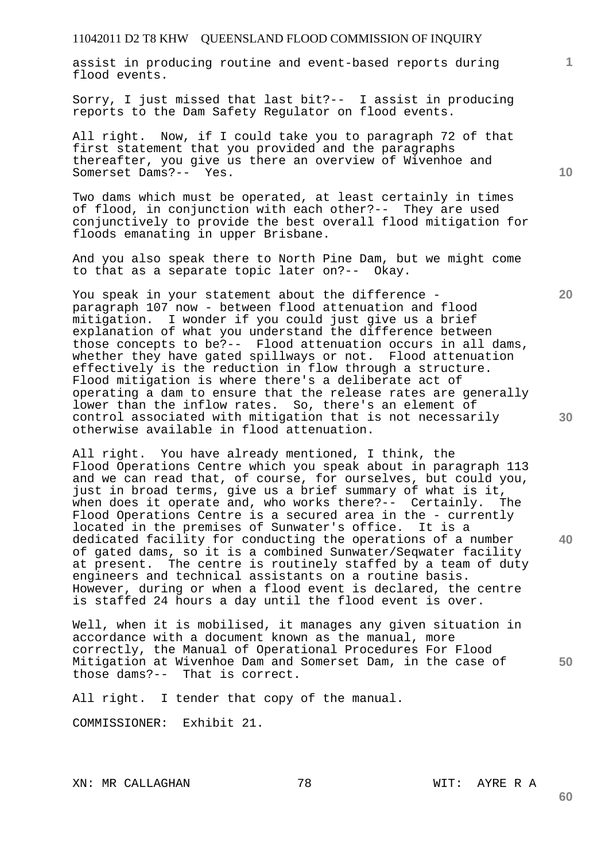assist in producing routine and event-based reports during flood events.

Sorry, I just missed that last bit?-- I assist in producing reports to the Dam Safety Regulator on flood events.

All right. Now, if I could take you to paragraph 72 of that first statement that you provided and the paragraphs thereafter, you give us there an overview of Wivenhoe and Somerset Dams?-- Yes.

Two dams which must be operated, at least certainly in times of flood, in conjunction with each other?-- They are used conjunctively to provide the best overall flood mitigation for floods emanating in upper Brisbane.

And you also speak there to North Pine Dam, but we might come to that as a separate topic later on?-- Okay.

You speak in your statement about the difference paragraph 107 now - between flood attenuation and flood mitigation. I wonder if you could just give us a brief explanation of what you understand the difference between those concepts to be?-- Flood attenuation occurs in all dams, whether they have gated spillways or not. Flood attenuation effectively is the reduction in flow through a structure. Flood mitigation is where there's a deliberate act of operating a dam to ensure that the release rates are generally lower than the inflow rates. So, there's an element of control associated with mitigation that is not necessarily otherwise available in flood attenuation.

All right. You have already mentioned, I think, the Flood Operations Centre which you speak about in paragraph 113 and we can read that, of course, for ourselves, but could you, just in broad terms, give us a brief summary of what is it, when does it operate and, who works there?-- Certainly. The Flood Operations Centre is a secured area in the - currently located in the premises of Sunwater's office. It is a dedicated facility for conducting the operations of a number of gated dams, so it is a combined Sunwater/Seqwater facility at present. The centre is routinely staffed by a team of duty engineers and technical assistants on a routine basis. However, during or when a flood event is declared, the centre is staffed 24 hours a day until the flood event is over.

Well, when it is mobilised, it manages any given situation in accordance with a document known as the manual, more correctly, the Manual of Operational Procedures For Flood Mitigation at Wivenhoe Dam and Somerset Dam, in the case of those dams?-- That is correct.

All right. I tender that copy of the manual.

COMMISSIONER: Exhibit 21.

XN: MR CALLAGHAN 78 78 WIT: AYRE R A

**30** 

**20** 

**40** 

**50** 

**1**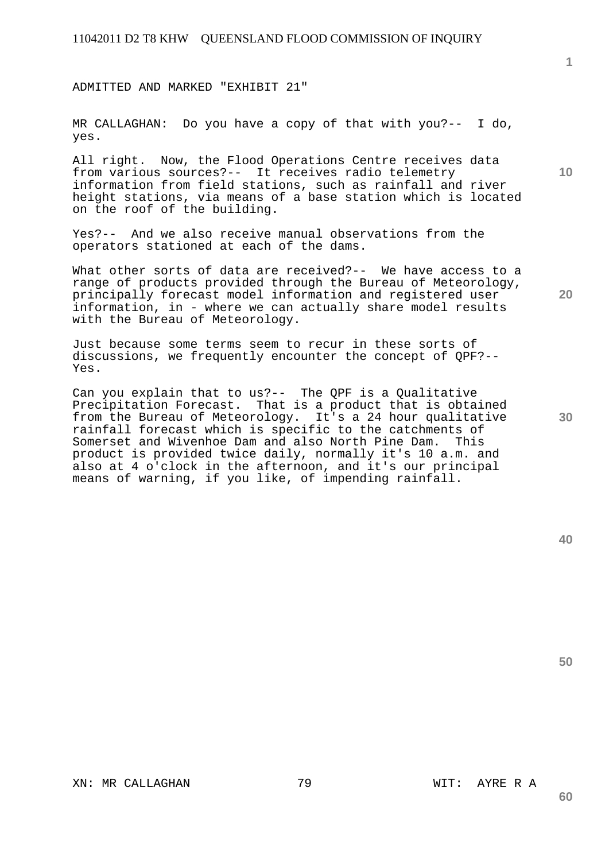ADMITTED AND MARKED "EXHIBIT 21"

MR CALLAGHAN: Do you have a copy of that with you?-- I do, yes.

All right. Now, the Flood Operations Centre receives data from various sources?-- It receives radio telemetry information from field stations, such as rainfall and river height stations, via means of a base station which is located on the roof of the building.

Yes?-- And we also receive manual observations from the operators stationed at each of the dams.

What other sorts of data are received?-- We have access to a range of products provided through the Bureau of Meteorology, principally forecast model information and registered user information, in - where we can actually share model results with the Bureau of Meteorology.

Just because some terms seem to recur in these sorts of discussions, we frequently encounter the concept of QPF?-- Yes.

Can you explain that to us?-- The QPF is a Qualitative Precipitation Forecast. That is a product that is obtained from the Bureau of Meteorology. It's a 24 hour qualitative rainfall forecast which is specific to the catchments of Somerset and Wivenhoe Dam and also North Pine Dam. This product is provided twice daily, normally it's 10 a.m. and also at 4 o'clock in the afternoon, and it's our principal means of warning, if you like, of impending rainfall.

**50** 

**30** 

XN: MR CALLAGHAN 79 79 WIT: AYRE R A

**20** 

**1**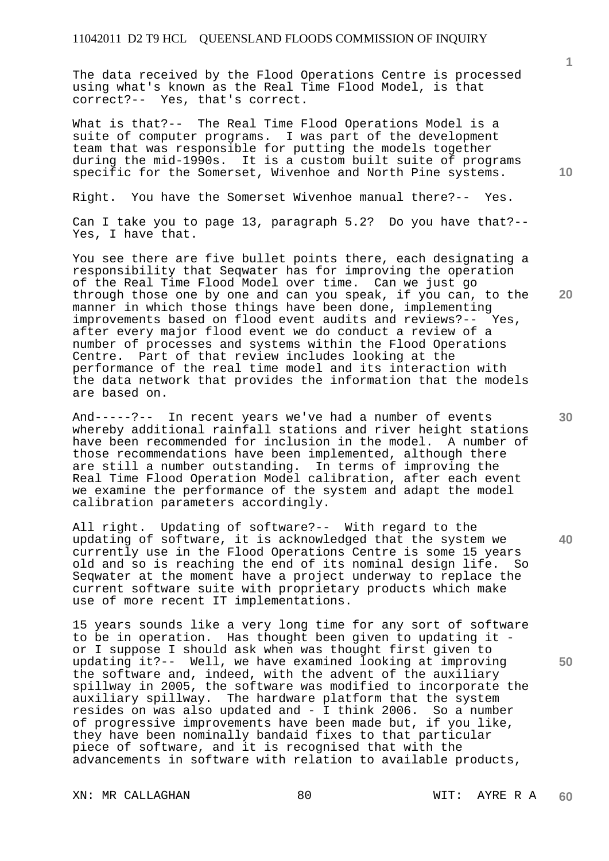The data received by the Flood Operations Centre is processed using what's known as the Real Time Flood Model, is that correct?-- Yes, that's correct.

What is that?-- The Real Time Flood Operations Model is a suite of computer programs. I was part of the development team that was responsible for putting the models together during the mid-1990s. It is a custom built suite of programs specific for the Somerset, Wivenhoe and North Pine systems.

Right. You have the Somerset Wivenhoe manual there?-- Yes.

Can I take you to page 13, paragraph 5.2? Do you have that?-- Yes, I have that.

You see there are five bullet points there, each designating a responsibility that Seqwater has for improving the operation of the Real Time Flood Model over time. Can we just go through those one by one and can you speak, if you can, to the manner in which those things have been done, implementing improvements based on flood event audits and reviews?-- Yes, after every major flood event we do conduct a review of a number of processes and systems within the Flood Operations Centre. Part of that review includes looking at the performance of the real time model and its interaction with the data network that provides the information that the models are based on.

And-----?-- In recent years we've had a number of events whereby additional rainfall stations and river height stations have been recommended for inclusion in the model. A number of those recommendations have been implemented, although there are still a number outstanding. In terms of improving the Real Time Flood Operation Model calibration, after each event we examine the performance of the system and adapt the model calibration parameters accordingly.

All right. Updating of software?-- With regard to the updating of software, it is acknowledged that the system we currently use in the Flood Operations Centre is some 15 years old and so is reaching the end of its nominal design life. So Seqwater at the moment have a project underway to replace the current software suite with proprietary products which make use of more recent IT implementations.

15 years sounds like a very long time for any sort of software to be in operation. Has thought been given to updating it or I suppose I should ask when was thought first given to updating it?-- Well, we have examined looking at improving the software and, indeed, with the advent of the auxiliary spillway in 2005, the software was modified to incorporate the auxiliary spillway. The hardware platform that the system resides on was also updated and - I think 2006. So a number of progressive improvements have been made but, if you like, they have been nominally bandaid fixes to that particular piece of software, and it is recognised that with the advancements in software with relation to available products,

XN: MR CALLAGHAN 80 80 WIT: AYRE R A

**60** 

**30** 

**40** 

**1**

**10** 

**20**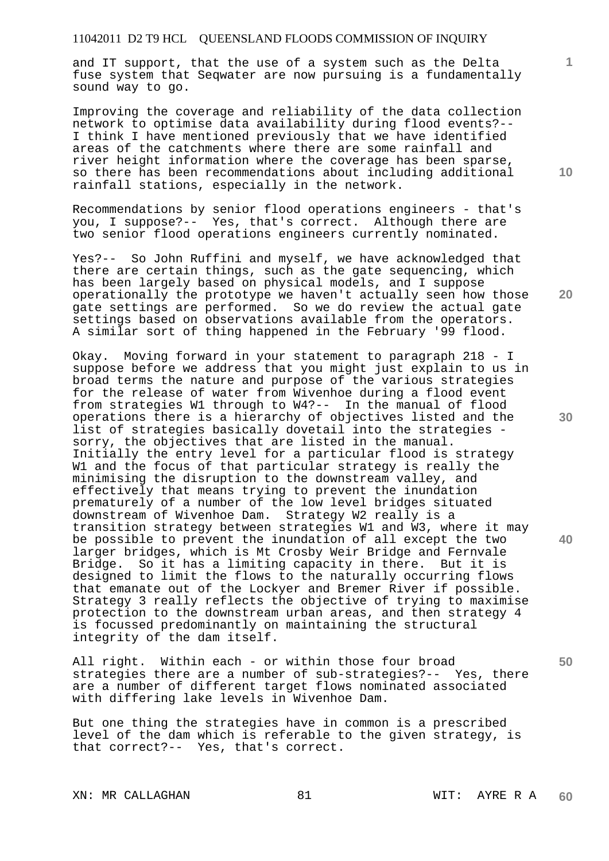and IT support, that the use of a system such as the Delta fuse system that Seqwater are now pursuing is a fundamentally sound way to go.

Improving the coverage and reliability of the data collection network to optimise data availability during flood events?-- I think I have mentioned previously that we have identified areas of the catchments where there are some rainfall and river height information where the coverage has been sparse, so there has been recommendations about including additional rainfall stations, especially in the network.

Recommendations by senior flood operations engineers - that's you, I suppose?-- Yes, that's correct. Although there are two senior flood operations engineers currently nominated.

Yes?-- So John Ruffini and myself, we have acknowledged that there are certain things, such as the gate sequencing, which has been largely based on physical models, and I suppose operationally the prototype we haven't actually seen how those gate settings are performed. So we do review the actual gate settings based on observations available from the operators. A similar sort of thing happened in the February '99 flood.

Okay. Moving forward in your statement to paragraph 218 - I suppose before we address that you might just explain to us in broad terms the nature and purpose of the various strategies for the release of water from Wivenhoe during a flood event from strategies W1 through to W4?-- In the manual of flood operations there is a hierarchy of objectives listed and the list of strategies basically dovetail into the strategies sorry, the objectives that are listed in the manual. Initially the entry level for a particular flood is strategy W1 and the focus of that particular strategy is really the minimising the disruption to the downstream valley, and effectively that means trying to prevent the inundation prematurely of a number of the low level bridges situated downstream of Wivenhoe Dam. Strategy W2 really is a transition strategy between strategies W1 and W3, where it may be possible to prevent the inundation of all except the two larger bridges, which is Mt Crosby Weir Bridge and Fernvale Bridge. So it has a limiting capacity in there. But it is designed to limit the flows to the naturally occurring flows that emanate out of the Lockyer and Bremer River if possible. Strategy 3 really reflects the objective of trying to maximise protection to the downstream urban areas, and then strategy 4 is focussed predominantly on maintaining the structural integrity of the dam itself.

All right. Within each - or within those four broad strategies there are a number of sub-strategies?-- Yes, there are a number of different target flows nominated associated with differing lake levels in Wivenhoe Dam.

But one thing the strategies have in common is a prescribed level of the dam which is referable to the given strategy, is that correct?-- Yes, that's correct.

XN: MR CALLAGHAN 81 81 WIT: AYRE R A

**20** 

**40** 

**10** 

**1**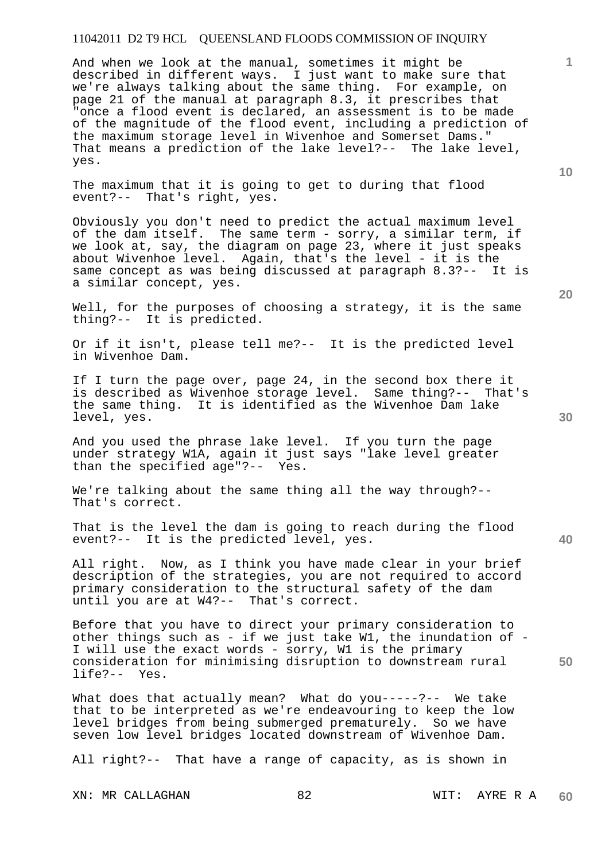And when we look at the manual, sometimes it might be described in different ways. I just want to make sure that we're always talking about the same thing. For example, on page 21 of the manual at paragraph 8.3, it prescribes that "once a flood event is declared, an assessment is to be made of the magnitude of the flood event, including a prediction of the maximum storage level in Wivenhoe and Somerset Dams." That means a prediction of the lake level?-- The lake level, yes.

The maximum that it is going to get to during that flood event?-- That's right, yes.

Obviously you don't need to predict the actual maximum level of the dam itself. The same term - sorry, a similar term, if we look at, say, the diagram on page 23, where it just speaks about Wivenhoe level. Again, that's the level - it is the same concept as was being discussed at paragraph 8.3?-- It is a similar concept, yes.

Well, for the purposes of choosing a strategy, it is the same thing?-- It is predicted.

Or if it isn't, please tell me?-- It is the predicted level in Wivenhoe Dam.

If I turn the page over, page 24, in the second box there it is described as Wivenhoe storage level. Same thing?-- That's the same thing. It is identified as the Wivenhoe Dam lake level, yes.

And you used the phrase lake level. If you turn the page under strategy W1A, again it just says "lake level greater than the specified age"?-- Yes.

We're talking about the same thing all the way through?-- That's correct.

That is the level the dam is going to reach during the flood event?-- It is the predicted level, yes.

All right. Now, as I think you have made clear in your brief description of the strategies, you are not required to accord primary consideration to the structural safety of the dam until you are at W4?-- That's correct.

Before that you have to direct your primary consideration to other things such as - if we just take W1, the inundation of - I will use the exact words - sorry, W1 is the primary consideration for minimising disruption to downstream rural life?-- Yes.

What does that actually mean? What do you-----?-- We take that to be interpreted as we're endeavouring to keep the low level bridges from being submerged prematurely. So we have seven low level bridges located downstream of Wivenhoe Dam.

All right?-- That have a range of capacity, as is shown in

XN: MR CALLAGHAN 82 WIT: AYRE R A

**20** 

**40** 

**50** 

**10**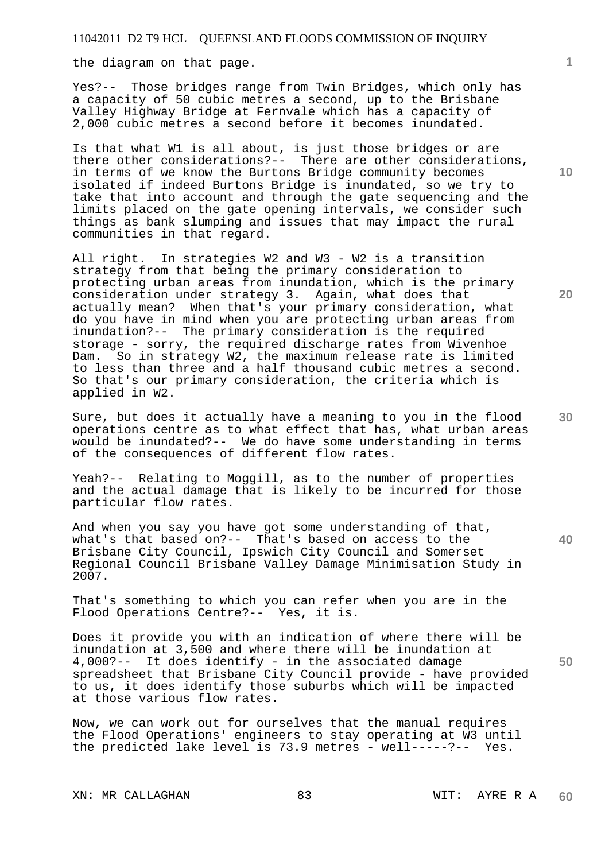the diagram on that page.

Yes?-- Those bridges range from Twin Bridges, which only has a capacity of 50 cubic metres a second, up to the Brisbane Valley Highway Bridge at Fernvale which has a capacity of 2,000 cubic metres a second before it becomes inundated.

Is that what W1 is all about, is just those bridges or are there other considerations?-- There are other considerations, in terms of we know the Burtons Bridge community becomes isolated if indeed Burtons Bridge is inundated, so we try to take that into account and through the gate sequencing and the limits placed on the gate opening intervals, we consider such things as bank slumping and issues that may impact the rural communities in that regard.

All right. In strategies W2 and W3 - W2 is a transition strategy from that being the primary consideration to protecting urban areas from inundation, which is the primary consideration under strategy 3. Again, what does that actually mean? When that's your primary consideration, what do you have in mind when you are protecting urban areas from inundation?-- The primary consideration is the required storage - sorry, the required discharge rates from Wivenhoe Dam. So in strategy W2, the maximum release rate is limited to less than three and a half thousand cubic metres a second. So that's our primary consideration, the criteria which is applied in W2.

Sure, but does it actually have a meaning to you in the flood operations centre as to what effect that has, what urban areas would be inundated?-- We do have some understanding in terms of the consequences of different flow rates.

Yeah?-- Relating to Moggill, as to the number of properties and the actual damage that is likely to be incurred for those particular flow rates.

And when you say you have got some understanding of that, what's that based on?-- That's based on access to the Brisbane City Council, Ipswich City Council and Somerset Regional Council Brisbane Valley Damage Minimisation Study in 2007.

That's something to which you can refer when you are in the Flood Operations Centre?-- Yes, it is.

Does it provide you with an indication of where there will be inundation at 3,500 and where there will be inundation at 4,000?-- It does identify - in the associated damage spreadsheet that Brisbane City Council provide - have provided to us, it does identify those suburbs which will be impacted at those various flow rates.

Now, we can work out for ourselves that the manual requires the Flood Operations' engineers to stay operating at W3 until the predicted lake level is 73.9 metres - well-----?-- Yes.

XN: MR CALLAGHAN 83 WIT: AYRE R A

**10** 

**1**

**20** 

**30**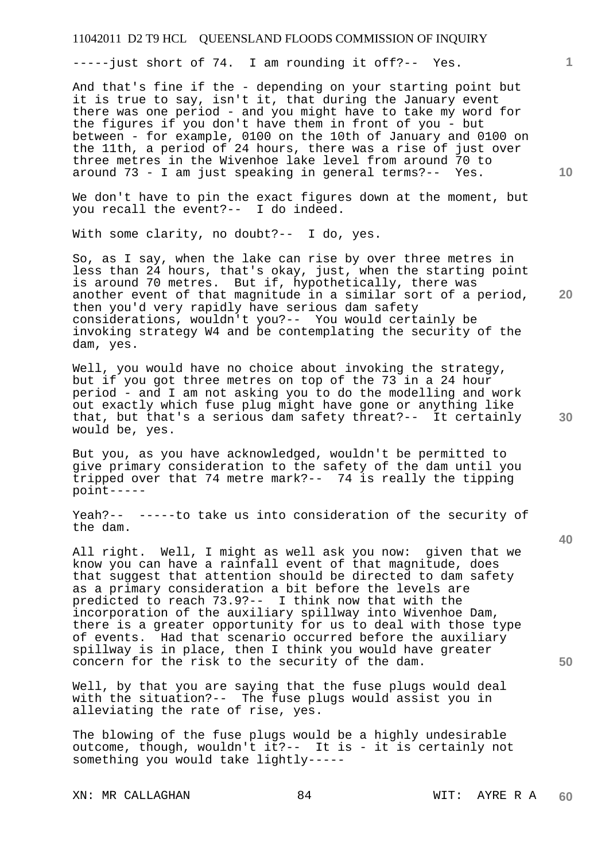-----just short of 74. I am rounding it off?-- Yes.

And that's fine if the - depending on your starting point but it is true to say, isn't it, that during the January event there was one period - and you might have to take my word for the figures if you don't have them in front of you - but between - for example, 0100 on the 10th of January and 0100 on the 11th, a period of 24 hours, there was a rise of just over three metres in the Wivenhoe lake level from around 70 to around 73 - I am just speaking in general terms?-- Yes.

We don't have to pin the exact figures down at the moment, but you recall the event?-- I do indeed.

With some clarity, no doubt?-- I do, yes.

So, as I say, when the lake can rise by over three metres in less than 24 hours, that's okay, just, when the starting point is around 70 metres. But if, hypothetically, there was another event of that magnitude in a similar sort of a period, then you'd very rapidly have serious dam safety considerations, wouldn't you?-- You would certainly be invoking strategy W4 and be contemplating the security of the dam, yes.

Well, you would have no choice about invoking the strategy, but if you got three metres on top of the 73 in a 24 hour period - and I am not asking you to do the modelling and work out exactly which fuse plug might have gone or anything like that, but that's a serious dam safety threat?-- It certainly would be, yes.

But you, as you have acknowledged, wouldn't be permitted to give primary consideration to the safety of the dam until you tripped over that 74 metre mark?-- 74 is really the tipping point-----

Yeah?-- -----to take us into consideration of the security of the dam.

All right. Well, I might as well ask you now: given that we know you can have a rainfall event of that magnitude, does that suggest that attention should be directed to dam safety as a primary consideration a bit before the levels are predicted to reach 73.9?-- I think now that with the incorporation of the auxiliary spillway into Wivenhoe Dam, there is a greater opportunity for us to deal with those type of events. Had that scenario occurred before the auxiliary spillway is in place, then I think you would have greater concern for the risk to the security of the dam.

Well, by that you are saying that the fuse plugs would deal with the situation?-- The fuse plugs would assist you in alleviating the rate of rise, yes.

The blowing of the fuse plugs would be a highly undesirable outcome, though, wouldn't it ?-- It is - it is certainly not something you would take lightly-----

XN: MR CALLAGHAN 84 6 WIT: AYRE R A

**10** 

**20** 

**1**

**30** 

**50**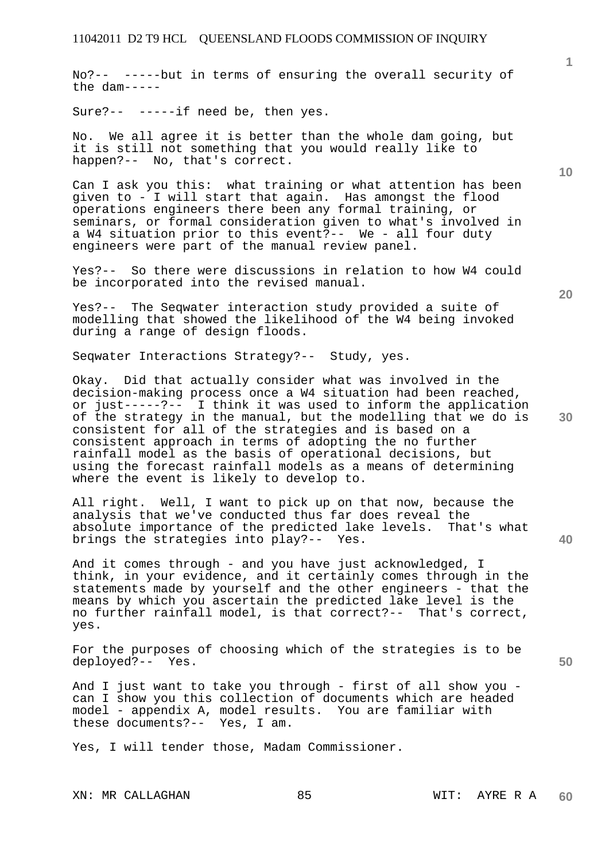No?-- -----but in terms of ensuring the overall security of the dam-----

Sure?-- -----if need be, then yes.

No. We all agree it is better than the whole dam going, but it is still not something that you would really like to happen?-- No, that's correct.

Can I ask you this: what training or what attention has been given to - I will start that again. Has amongst the flood operations engineers there been any formal training, or seminars, or formal consideration given to what's involved in a W4 situation prior to this event?-- We - all four duty engineers were part of the manual review panel.

Yes?-- So there were discussions in relation to how W4 could be incorporated into the revised manual.

Yes?-- The Seqwater interaction study provided a suite of modelling that showed the likelihood of the W4 being invoked during a range of design floods.

Seqwater Interactions Strategy?-- Study, yes.

Okay. Did that actually consider what was involved in the decision-making process once a W4 situation had been reached, or just-----?-- I think it was used to inform the application of the strategy in the manual, but the modelling that we do is consistent for all of the strategies and is based on a consistent approach in terms of adopting the no further rainfall model as the basis of operational decisions, but using the forecast rainfall models as a means of determining where the event is likely to develop to.

All right. Well, I want to pick up on that now, because the analysis that we've conducted thus far does reveal the absolute importance of the predicted lake levels. That's what brings the strategies into play?-- Yes.

And it comes through - and you have just acknowledged, I think, in your evidence, and it certainly comes through in the statements made by yourself and the other engineers - that the means by which you ascertain the predicted lake level is the no further rainfall model, is that correct?-- That's correct, yes.

For the purposes of choosing which of the strategies is to be deployed?-- Yes.

And I just want to take you through - first of all show you can I show you this collection of documents which are headed model - appendix A, model results. You are familiar with these documents?-- Yes, I am.

Yes, I will tender those, Madam Commissioner.

**20** 

**10** 

**1**

**40**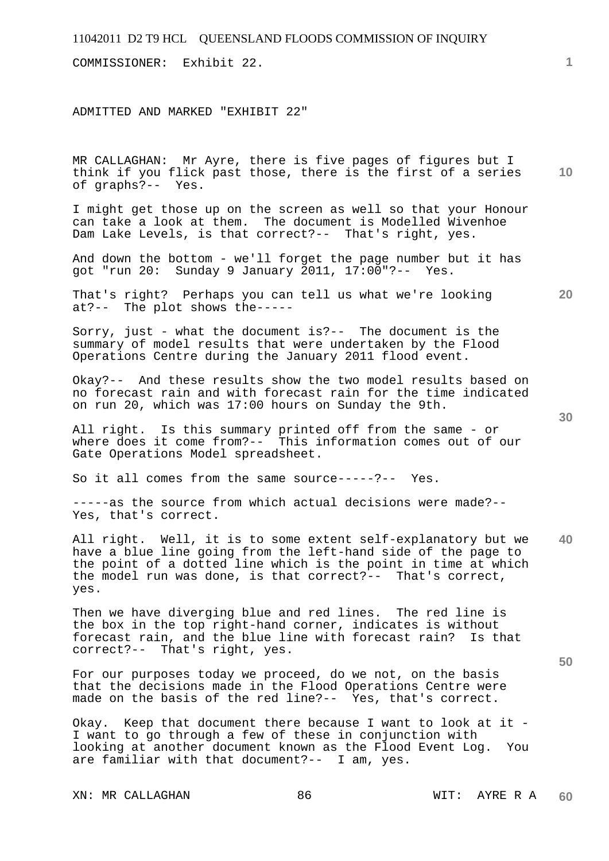# 11042011 D2 T9 HCL QUEENSLAND FLOODS COMMISSION OF INQUIRY **1 10 20 30 40 50**  COMMISSIONER: Exhibit 22. ADMITTED AND MARKED "EXHIBIT 22" MR CALLAGHAN: Mr Ayre, there is five pages of figures but I think if you flick past those, there is the first of a series of graphs?-- Yes. I might get those up on the screen as well so that your Honour can take a look at them. The document is Modelled Wivenhoe Dam Lake Levels, is that correct?-- That's right, yes. And down the bottom - we'll forget the page number but it has got "run 20: Sunday 9 January 2011, 17:00"?-- Yes. That's right? Perhaps you can tell us what we're looking at?-- The plot shows the----- Sorry, just - what the document is?-- The document is the summary of model results that were undertaken by the Flood Operations Centre during the January 2011 flood event. Okay?-- And these results show the two model results based on no forecast rain and with forecast rain for the time indicated on run 20, which was 17:00 hours on Sunday the 9th. All right. Is this summary printed off from the same - or where does it come from?-- This information comes out of our Gate Operations Model spreadsheet. So it all comes from the same source-----?-- Yes. -----as the source from which actual decisions were made?-- Yes, that's correct. All right. Well, it is to some extent self-explanatory but we have a blue line going from the left-hand side of the page to the point of a dotted line which is the point in time at which the model run was done, is that correct?-- That's correct, yes. Then we have diverging blue and red lines. The red line is the box in the top right-hand corner, indicates is without forecast rain, and the blue line with forecast rain? Is that correct?-- That's right, yes. For our purposes today we proceed, do we not, on the basis that the decisions made in the Flood Operations Centre were made on the basis of the red line?-- Yes, that's correct. Okay. Keep that document there because I want to look at it - I want to go through a few of these in conjunction with looking at another document known as the Flood Event Log. You are familiar with that document?-- I am, yes.

XN: MR CALLAGHAN 86 WIT: AYRE R A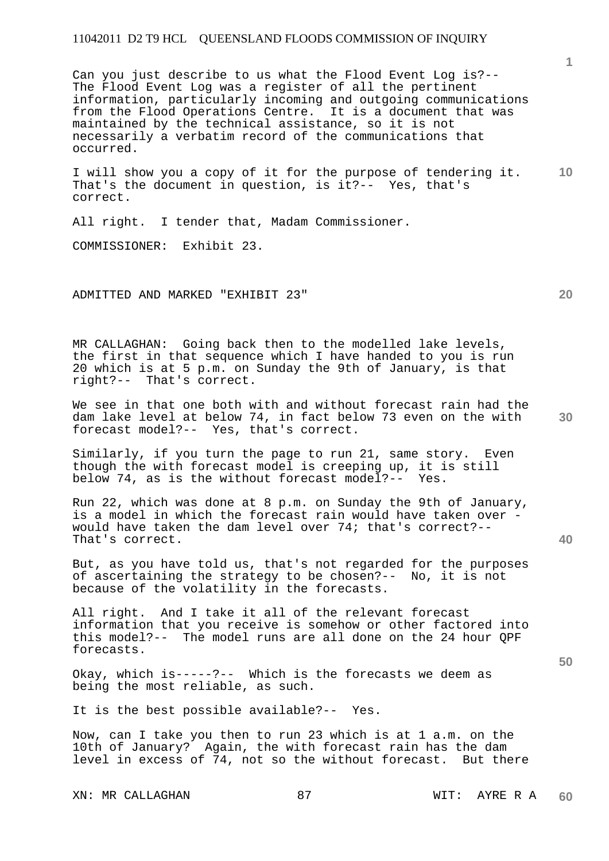Can you just describe to us what the Flood Event Log is?-- The Flood Event Log was a register of all the pertinent information, particularly incoming and outgoing communications from the Flood Operations Centre. It is a document that was maintained by the technical assistance, so it is not necessarily a verbatim record of the communications that occurred.

**10**  I will show you a copy of it for the purpose of tendering it. That's the document in question, is it?-- Yes, that's correct.

All right. I tender that, Madam Commissioner.

COMMISSIONER: Exhibit 23.

ADMITTED AND MARKED "EXHIBIT 23"

MR CALLAGHAN: Going back then to the modelled lake levels, the first in that sequence which I have handed to you is run 20 which is at 5 p.m. on Sunday the 9th of January, is that right?-- That's correct.

**30**  We see in that one both with and without forecast rain had the dam lake level at below 74, in fact below 73 even on the with forecast model?-- Yes, that's correct.

Similarly, if you turn the page to run 21, same story. Even though the with forecast model is creeping up, it is still below 74, as is the without forecast model?-- Yes.

Run 22, which was done at 8 p.m. on Sunday the 9th of January, is a model in which the forecast rain would have taken over would have taken the dam level over 74; that's correct?-- That's correct.

But, as you have told us, that's not regarded for the purposes of ascertaining the strategy to be chosen?-- No, it is not because of the volatility in the forecasts.

All right. And I take it all of the relevant forecast information that you receive is somehow or other factored into this model?-- The model runs are all done on the 24 hour QPF forecasts.

Okay, which is-----?-- Which is the forecasts we deem as being the most reliable, as such.

It is the best possible available?-- Yes.

Now, can I take you then to run 23 which is at 1 a.m. on the 10th of January? Again, the with forecast rain has the dam level in excess of 74, not so the without forecast. But there

**20** 

**40** 

**50**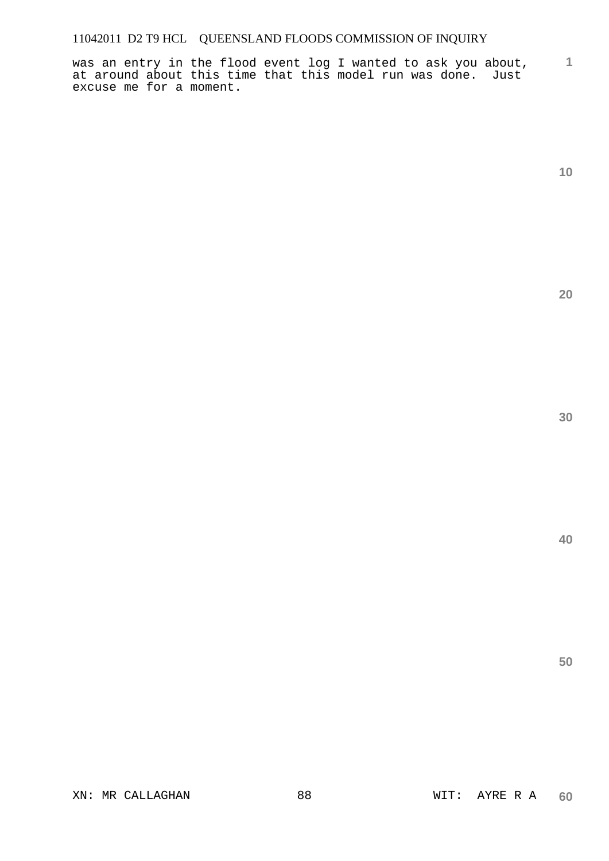**1** was an entry in the flood event log I wanted to ask you about, at around about this time that this model run was done. Just excuse me for a moment.

**10** 

**20** 

**30** 

**40**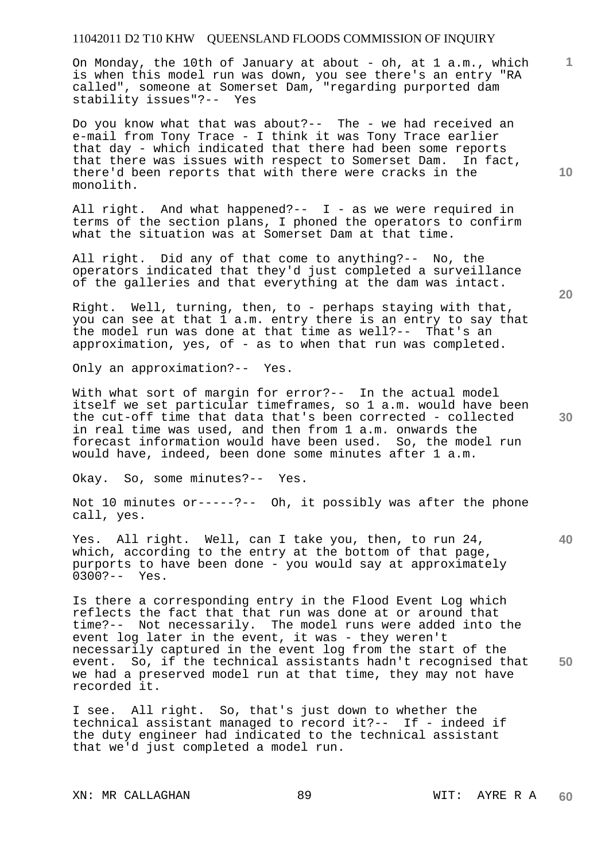On Monday, the 10th of January at about - oh, at 1 a.m., which is when this model run was down, you see there's an entry "RA called", someone at Somerset Dam, "regarding purported dam stability issues"?-- Yes

Do you know what that was about?-- The - we had received an e-mail from Tony Trace - I think it was Tony Trace earlier that day - which indicated that there had been some reports that there was issues with respect to Somerset Dam. In fact, there'd been reports that with there were cracks in the monolith.

All right. And what happened?-- I - as we were required in terms of the section plans, I phoned the operators to confirm what the situation was at Somerset Dam at that time.

All right. Did any of that come to anything?-- No, the operators indicated that they'd just completed a surveillance of the galleries and that everything at the dam was intact.

Right. Well, turning, then, to - perhaps staying with that, you can see at that 1 a.m. entry there is an entry to say that the model run was done at that time as well?-- That's an approximation, yes, of - as to when that run was completed.

Only an approximation?-- Yes.

With what sort of margin for error?-- In the actual model itself we set particular timeframes, so 1 a.m. would have been the cut-off time that data that's been corrected - collected in real time was used, and then from 1 a.m. onwards the forecast information would have been used. So, the model run would have, indeed, been done some minutes after 1 a.m.

Okay. So, some minutes?-- Yes.

Not 10 minutes or-----?-- Oh, it possibly was after the phone call, yes.

Yes. All right. Well, can I take you, then, to run 24, which, according to the entry at the bottom of that page, purports to have been done - you would say at approximately 0300?-- Yes.

**50**  Is there a corresponding entry in the Flood Event Log which reflects the fact that that run was done at or around that time?-- Not necessarily. The model runs were added into the event log later in the event, it was - they weren't necessarily captured in the event log from the start of the event. So, if the technical assistants hadn't recognised that we had a preserved model run at that time, they may not have recorded it.

I see. All right. So, that's just down to whether the technical assistant managed to record it?-- If - indeed if the duty engineer had indicated to the technical assistant that we'd just completed a model run.

**10** 

**20** 

**1**

**30**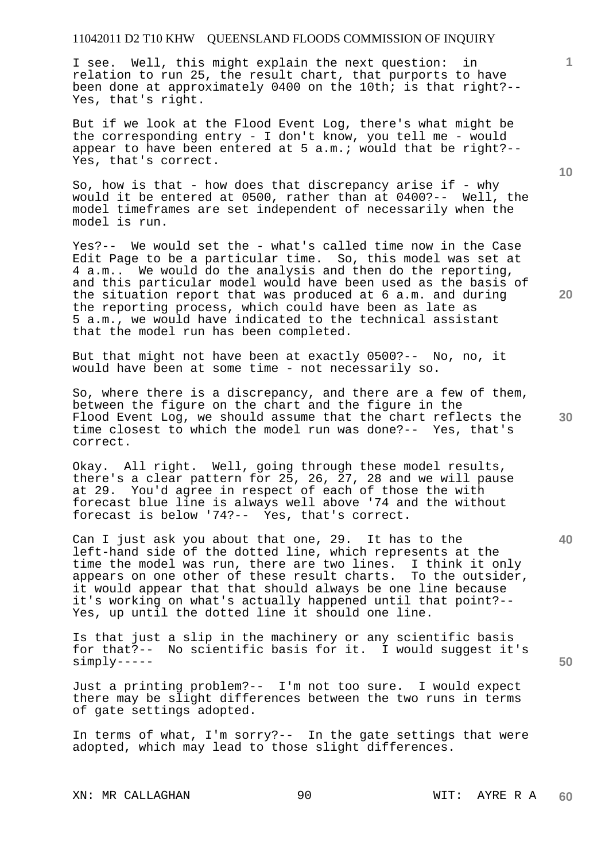I see. Well, this might explain the next question: in relation to run 25, the result chart, that purports to have been done at approximately 0400 on the 10th; is that right?-- Yes, that's right.

But if we look at the Flood Event Log, there's what might be the corresponding entry - I don't know, you tell me - would appear to have been entered at 5 a.m.; would that be right?-- Yes, that's correct.

So, how is that - how does that discrepancy arise if - why would it be entered at 0500, rather than at 0400?-- Well, the model timeframes are set independent of necessarily when the model is run.

Yes?-- We would set the - what's called time now in the Case Edit Page to be a particular time. So, this model was set at 4 a.m.. We would do the analysis and then do the reporting, and this particular model would have been used as the basis of the situation report that was produced at 6 a.m. and during the reporting process, which could have been as late as 5 a.m., we would have indicated to the technical assistant that the model run has been completed.

But that might not have been at exactly 0500?-- No, no, it would have been at some time - not necessarily so.

So, where there is a discrepancy, and there are a few of them, between the figure on the chart and the figure in the Flood Event Log, we should assume that the chart reflects the time closest to which the model run was done?-- Yes, that's correct.

Okay. All right. Well, going through these model results, there's a clear pattern for 25, 26, 27, 28 and we will pause at 29. You'd agree in respect of each of those the with forecast blue line is always well above '74 and the without forecast is below '74?-- Yes, that's correct.

Can I just ask you about that one, 29. It has to the left-hand side of the dotted line, which represents at the time the model was run, there are two lines. I think it only appears on one other of these result charts. To the outsider, it would appear that that should always be one line because it's working on what's actually happened until that point?-- Yes, up until the dotted line it should one line.

Is that just a slip in the machinery or any scientific basis for that?-- No scientific basis for it. I would suggest it's simply-----

Just a printing problem?-- I'm not too sure. I would expect there may be slight differences between the two runs in terms of gate settings adopted.

In terms of what, I'm sorry?-- In the gate settings that were adopted, which may lead to those slight differences.

XN: MR CALLAGHAN 90 WIT: AYRE R A

**10** 

**20** 

**1**

**40** 

**50**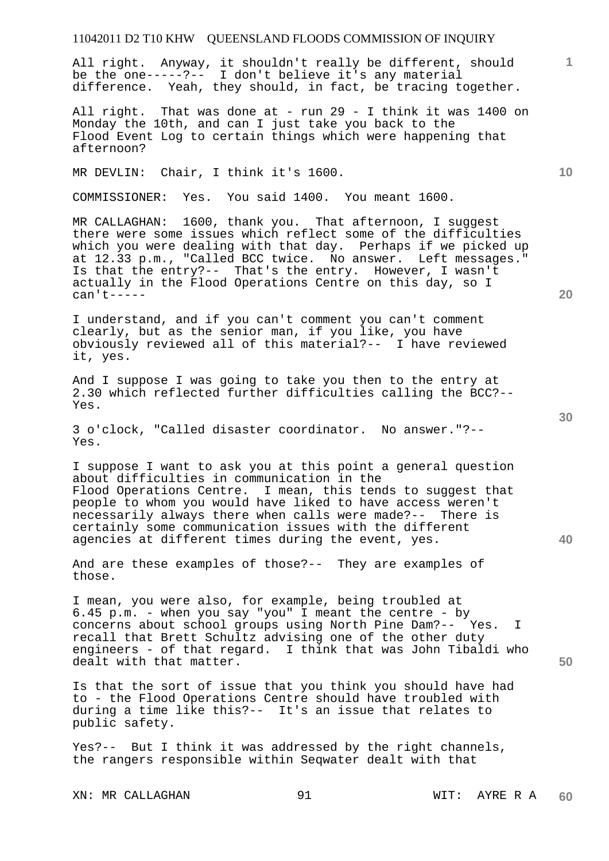All right. Anyway, it shouldn't really be different, should be the one-----?-- I don't believe it's any material difference. Yeah, they should, in fact, be tracing together.

All right. That was done at - run 29 - I think it was 1400 on Monday the 10th, and can I just take you back to the Flood Event Log to certain things which were happening that afternoon?

MR DEVLIN: Chair, I think it's 1600.

COMMISSIONER: Yes. You said 1400. You meant 1600.

MR CALLAGHAN: 1600, thank you. That afternoon, I suggest there were some issues which reflect some of the difficulties which you were dealing with that day. Perhaps if we picked up at 12.33 p.m., "Called BCC twice. No answer. Left messages." Is that the entry?-- That's the entry. However, I wasn't actually in the Flood Operations Centre on this day, so I can't-----

I understand, and if you can't comment you can't comment clearly, but as the senior man, if you like, you have obviously reviewed all of this material?-- I have reviewed it, yes.

And I suppose I was going to take you then to the entry at 2.30 which reflected further difficulties calling the BCC?-- Yes.

3 o'clock, "Called disaster coordinator. No answer."?-- Yes.

I suppose I want to ask you at this point a general question about difficulties in communication in the Flood Operations Centre. I mean, this tends to suggest that people to whom you would have liked to have access weren't necessarily always there when calls were made?-- There is certainly some communication issues with the different agencies at different times during the event, yes.

And are these examples of those?-- They are examples of those.

I mean, you were also, for example, being troubled at 6.45 p.m. - when you say "you" I meant the centre - by concerns about school groups using North Pine Dam?-- Yes. I recall that Brett Schultz advising one of the other duty engineers - of that regard. I think that was John Tibaldi who dealt with that matter.

Is that the sort of issue that you think you should have had to - the Flood Operations Centre should have troubled with during a time like this?-- It's an issue that relates to public safety.

Yes?-- But I think it was addressed by the right channels, the rangers responsible within Seqwater dealt with that

**10** 

**1**

**30** 

**20**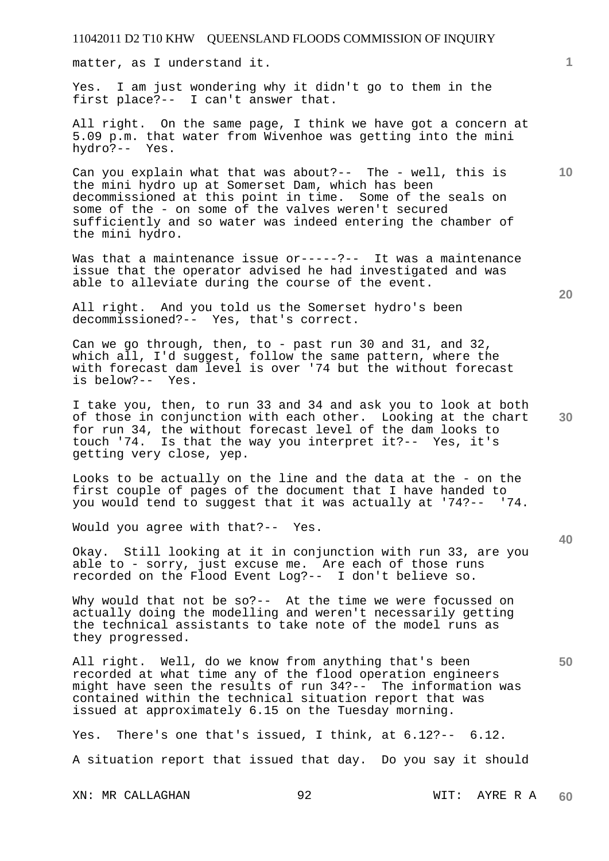matter, as I understand it.

Yes. I am just wondering why it didn't go to them in the first place?-- I can't answer that.

All right. On the same page, I think we have got a concern at 5.09 p.m. that water from Wivenhoe was getting into the mini hydro?-- Yes.

Can you explain what that was about?-- The - well, this is the mini hydro up at Somerset Dam, which has been decommissioned at this point in time. Some of the seals on some of the - on some of the valves weren't secured sufficiently and so water was indeed entering the chamber of the mini hydro.

Was that a maintenance issue or-----?-- It was a maintenance issue that the operator advised he had investigated and was able to alleviate during the course of the event.

All right. And you told us the Somerset hydro's been decommissioned?-- Yes, that's correct.

Can we go through, then, to - past run 30 and 31, and 32, which all, I'd suggest, follow the same pattern, where the with forecast dam level is over '74 but the without forecast is below?-- Yes.

I take you, then, to run 33 and 34 and ask you to look at both of those in conjunction with each other. Looking at the chart for run 34, the without forecast level of the dam looks to touch '74. Is that the way you interpret it?-- Yes, it's getting very close, yep.

Looks to be actually on the line and the data at the - on the first couple of pages of the document that I have handed to you would tend to suggest that it was actually at '74?-- '74.

Would you agree with that?-- Yes.

Okay. Still looking at it in conjunction with run 33, are you able to - sorry, just excuse me. Are each of those runs recorded on the Flood Event Log?-- I don't believe so.

Why would that not be so?-- At the time we were focussed on actually doing the modelling and weren't necessarily getting the technical assistants to take note of the model runs as they progressed.

All right. Well, do we know from anything that's been recorded at what time any of the flood operation engineers might have seen the results of run 34?-- The information was contained within the technical situation report that was issued at approximately 6.15 on the Tuesday morning.

Yes. There's one that's issued, I think, at 6.12?-- 6.12. A situation report that issued that day. Do you say it should

XN: MR CALLAGHAN 92 WIT: AYRE R A

**60** 

**20** 

**40** 

**50** 

**30** 

**10**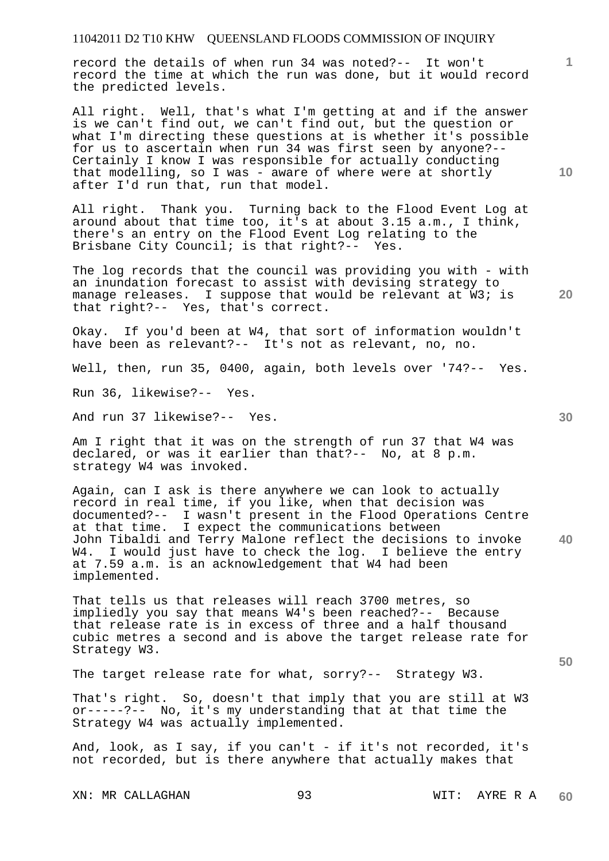record the details of when run 34 was noted?-- It won't record the time at which the run was done, but it would record the predicted levels.

All right. Well, that's what I'm getting at and if the answer is we can't find out, we can't find out, but the question or what I'm directing these questions at is whether it's possible for us to ascertain when run 34 was first seen by anyone?-- Certainly I know I was responsible for actually conducting that modelling, so I was - aware of where were at shortly after I'd run that, run that model.

All right. Thank you. Turning back to the Flood Event Log at around about that time too, it's at about 3.15 a.m., I think, there's an entry on the Flood Event Log relating to the Brisbane City Council; is that right?-- Yes.

The log records that the council was providing you with - with an inundation forecast to assist with devising strategy to manage releases. I suppose that would be relevant at W3; is that right?-- Yes, that's correct.

Okay. If you'd been at W4, that sort of information wouldn't have been as relevant?-- It's not as relevant, no, no.

Well, then, run 35, 0400, again, both levels over '74?-- Yes.

Run 36, likewise?-- Yes.

And run 37 likewise?-- Yes.

Am I right that it was on the strength of run 37 that W4 was declared, or was it earlier than that?-- No, at 8 p.m. strategy W4 was invoked.

**40**  Again, can I ask is there anywhere we can look to actually record in real time, if you like, when that decision was documented?-- I wasn't present in the Flood Operations Centre at that time. I expect the communications between John Tibaldi and Terry Malone reflect the decisions to invoke W4. I would just have to check the log. I believe the entry at 7.59 a.m. is an acknowledgement that W4 had been implemented.

That tells us that releases will reach 3700 metres, so impliedly you say that means W4's been reached?-- Because that release rate is in excess of three and a half thousand cubic metres a second and is above the target release rate for Strategy W3.

The target release rate for what, sorry?-- Strategy W3.

That's right. So, doesn't that imply that you are still at W3 or-----?-- No, it's my understanding that at that time the Strategy W4 was actually implemented.

And, look, as I say, if you can't - if it's not recorded, it's not recorded, but is there anywhere that actually makes that

XN: MR CALLAGHAN 93 WIT: AYRE R A **60** 

**30** 

**50** 

**20** 

**10**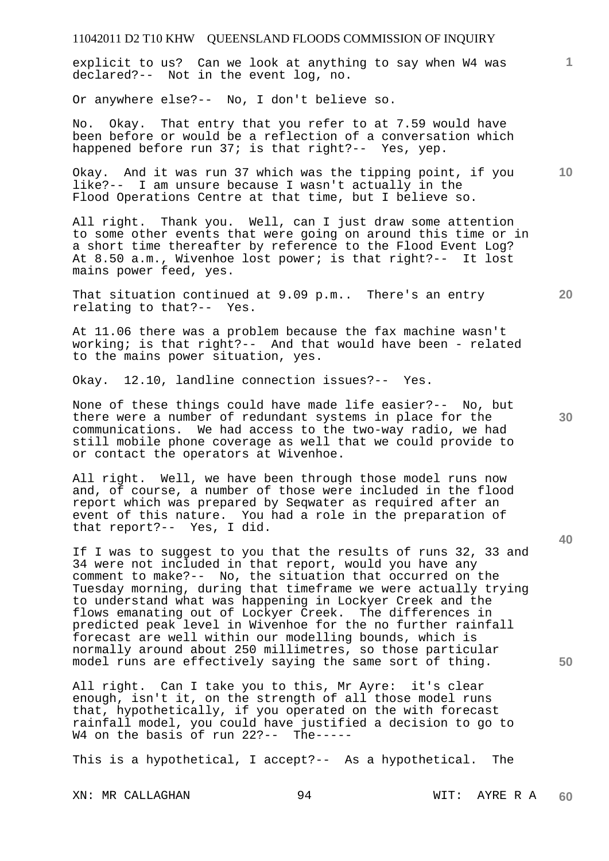explicit to us? Can we look at anything to say when W4 was declared?-- Not in the event log, no.

Or anywhere else?-- No, I don't believe so.

No. Okay. That entry that you refer to at 7.59 would have been before or would be a reflection of a conversation which happened before run 37; is that right?-- Yes, yep.

Okay. And it was run 37 which was the tipping point, if you like?-- I am unsure because I wasn't actually in the Flood Operations Centre at that time, but I believe so.

All right. Thank you. Well, can I just draw some attention to some other events that were going on around this time or in a short time thereafter by reference to the Flood Event Log? At 8.50 a.m., Wivenhoe lost power; is that right?-- It lost mains power feed, yes.

That situation continued at 9.09 p.m.. There's an entry relating to that?-- Yes.

At 11.06 there was a problem because the fax machine wasn't working; is that right?-- And that would have been - related to the mains power situation, yes.

Okay. 12.10, landline connection issues?-- Yes.

None of these things could have made life easier?-- No, but there were a number of redundant systems in place for the communications. We had access to the two-way radio, we had still mobile phone coverage as well that we could provide to or contact the operators at Wivenhoe.

All right. Well, we have been through those model runs now and, of course, a number of those were included in the flood report which was prepared by Seqwater as required after an event of this nature. You had a role in the preparation of that report?-- Yes, I did.

If I was to suggest to you that the results of runs 32, 33 and 34 were not included in that report, would you have any comment to make?-- No, the situation that occurred on the Tuesday morning, during that timeframe we were actually trying to understand what was happening in Lockyer Creek and the flows emanating out of Lockyer Creek. The differences in predicted peak level in Wivenhoe for the no further rainfall forecast are well within our modelling bounds, which is normally around about 250 millimetres, so those particular model runs are effectively saying the same sort of thing.

All right. Can I take you to this, Mr Ayre: it's clear enough, isn't it, on the strength of all those model runs that, hypothetically, if you operated on the with forecast rainfall model, you could have justified a decision to go to W4 on the basis of run 22?-- The-----

This is a hypothetical, I accept?-- As a hypothetical. The

XN: MR CALLAGHAN 94 WIT: AYRE R A **60** 

**30** 

**40** 

**50** 

**10** 

**20**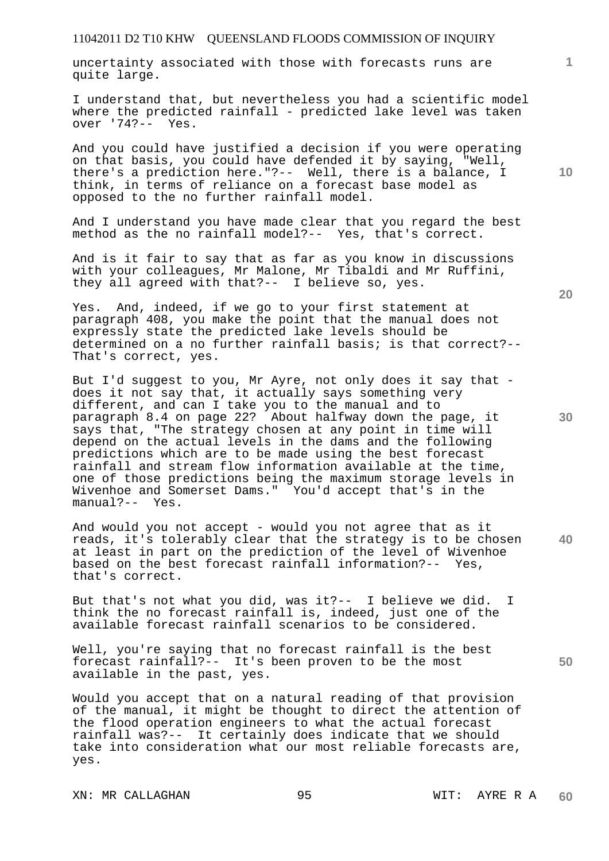uncertainty associated with those with forecasts runs are quite large.

I understand that, but nevertheless you had a scientific model where the predicted rainfall - predicted lake level was taken over '74?-- Yes.

And you could have justified a decision if you were operating on that basis, you could have defended it by saying, "Well, there's a prediction here."?-- Well, there is a balance, I think, in terms of reliance on a forecast base model as opposed to the no further rainfall model.

And I understand you have made clear that you regard the best method as the no rainfall model?-- Yes, that's correct.

And is it fair to say that as far as you know in discussions with your colleagues, Mr Malone, Mr Tibaldi and Mr Ruffini, they all agreed with that?-- I believe so, yes.

Yes. And, indeed, if we go to your first statement at paragraph 408, you make the point that the manual does not expressly state the predicted lake levels should be determined on a no further rainfall basis; is that correct?-- That's correct, yes.

But I'd suggest to you, Mr Ayre, not only does it say that does it not say that, it actually says something very different, and can I take you to the manual and to paragraph 8.4 on page 22? About halfway down the page, it says that, "The strategy chosen at any point in time will depend on the actual levels in the dams and the following predictions which are to be made using the best forecast rainfall and stream flow information available at the time, one of those predictions being the maximum storage levels in Wivenhoe and Somerset Dams." You'd accept that's in the  $manual? --$ 

And would you not accept - would you not agree that as it reads, it's tolerably clear that the strategy is to be chosen at least in part on the prediction of the level of Wivenhoe based on the best forecast rainfall information?-- Yes, that's correct.

But that's not what you did, was it?-- I believe we did. I think the no forecast rainfall is, indeed, just one of the available forecast rainfall scenarios to be considered.

Well, you're saying that no forecast rainfall is the best forecast rainfall?-- It's been proven to be the most available in the past, yes.

Would you accept that on a natural reading of that provision of the manual, it might be thought to direct the attention of the flood operation engineers to what the actual forecast rainfall was?-- It certainly does indicate that we should take into consideration what our most reliable forecasts are, yes.

**20** 

**30** 

**10** 

**1**